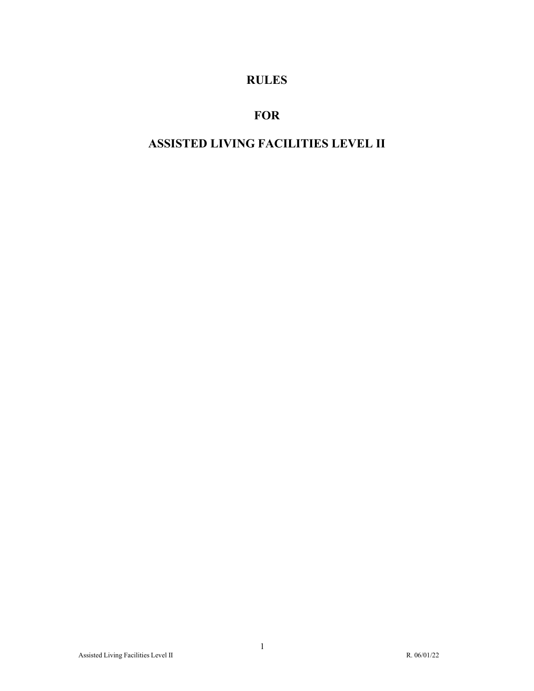# **RULES**

# **FOR**

# **ASSISTED LIVING FACILITIES LEVEL II**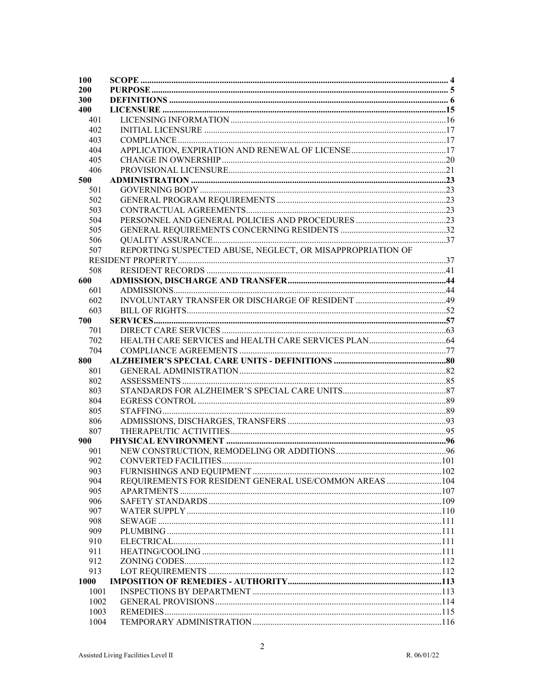| <b>100</b> |                                                            |  |
|------------|------------------------------------------------------------|--|
| 200        |                                                            |  |
| 300        |                                                            |  |
| 400        |                                                            |  |
| 401        |                                                            |  |
| 402        |                                                            |  |
| 403        |                                                            |  |
| 404        |                                                            |  |
| 405        |                                                            |  |
| 406        |                                                            |  |
| 500        |                                                            |  |
| 501        |                                                            |  |
| 502        |                                                            |  |
| 503        |                                                            |  |
| 504        |                                                            |  |
| 505        |                                                            |  |
| 506        |                                                            |  |
| 507        | REPORTING SUSPECTED ABUSE, NEGLECT, OR MISAPPROPRIATION OF |  |
|            |                                                            |  |
| 508        |                                                            |  |
| 600        |                                                            |  |
| 601        |                                                            |  |
| 602        |                                                            |  |
| 603        |                                                            |  |
| 700        |                                                            |  |
| 701        |                                                            |  |
| 702        |                                                            |  |
| 704        |                                                            |  |
| 800        |                                                            |  |
| 801        |                                                            |  |
| 802        |                                                            |  |
| 803        |                                                            |  |
| 804        |                                                            |  |
| 805        |                                                            |  |
|            |                                                            |  |
| 806<br>807 |                                                            |  |
|            |                                                            |  |
| 900        |                                                            |  |
| 901        |                                                            |  |
| 902        |                                                            |  |
| 903        |                                                            |  |
| 904        | REQUIREMENTS FOR RESIDENT GENERAL USE/COMMON AREAS 104     |  |
| 905        |                                                            |  |
| 906        |                                                            |  |
| 907        |                                                            |  |
| 908        |                                                            |  |
| 909        |                                                            |  |
| 910        |                                                            |  |
| 911        |                                                            |  |
| 912        |                                                            |  |
| 913        |                                                            |  |
| 1000       |                                                            |  |
| 1001       |                                                            |  |
| 1002       |                                                            |  |
| 1003       |                                                            |  |
| 1004       |                                                            |  |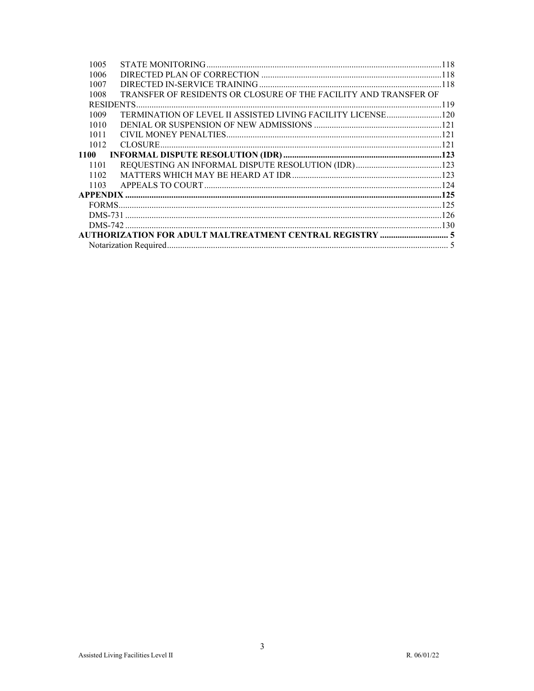| 1005 |                                                                  |  |
|------|------------------------------------------------------------------|--|
| 1006 |                                                                  |  |
| 1007 |                                                                  |  |
| 1008 | TRANSFER OF RESIDENTS OR CLOSURE OF THE FACILITY AND TRANSFER OF |  |
|      |                                                                  |  |
| 1009 |                                                                  |  |
| 1010 |                                                                  |  |
| 1011 |                                                                  |  |
| 1012 |                                                                  |  |
| 1100 |                                                                  |  |
| 1101 |                                                                  |  |
| 1102 |                                                                  |  |
| 1103 |                                                                  |  |
|      |                                                                  |  |
|      |                                                                  |  |
|      |                                                                  |  |
|      |                                                                  |  |
|      |                                                                  |  |
|      |                                                                  |  |
|      |                                                                  |  |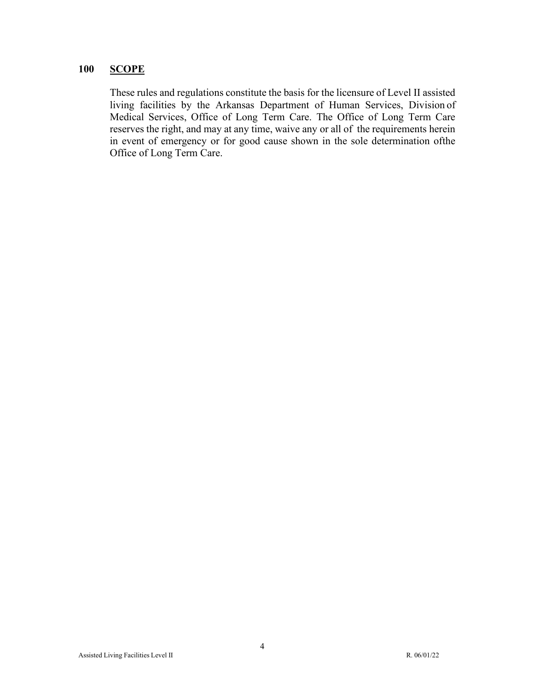## <span id="page-3-0"></span>**100 SCOPE**

These rules and regulations constitute the basis for the licensure of Level II assisted living facilities by the Arkansas Department of Human Services, Division of Medical Services, Office of Long Term Care. The Office of Long Term Care reserves the right, and may at any time, waive any or all of the requirements herein in event of emergency or for good cause shown in the sole determination of the Office of Long Term Care.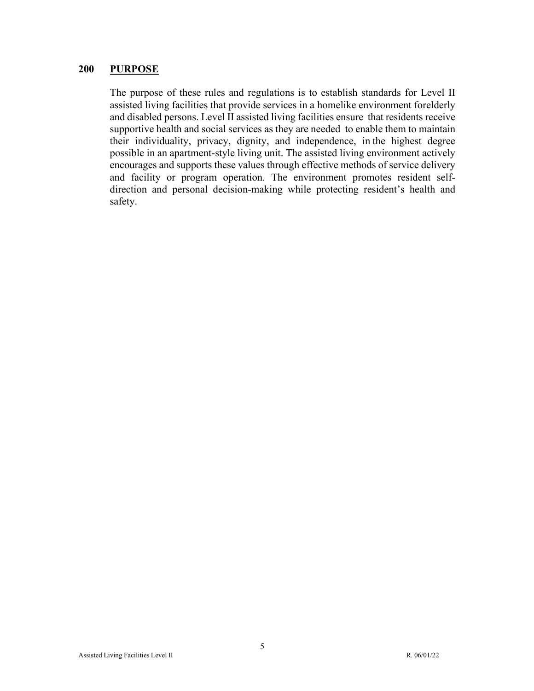#### <span id="page-4-0"></span>**200 PURPOSE**

The purpose of these rules and regulations is to establish standards for Level II assisted living facilities that provide services in a homelike environment forelderly and disabled persons. Level II assisted living facilities ensure that residents receive supportive health and social services as they are needed to enable them to maintain their individuality, privacy, dignity, and independence, in the highest degree possible in an apartment-style living unit. The assisted living environment actively encourages and supports these values through effective methods of service delivery and facility or program operation. The environment promotes resident selfdirection and personal decision-making while protecting resident's health and safety.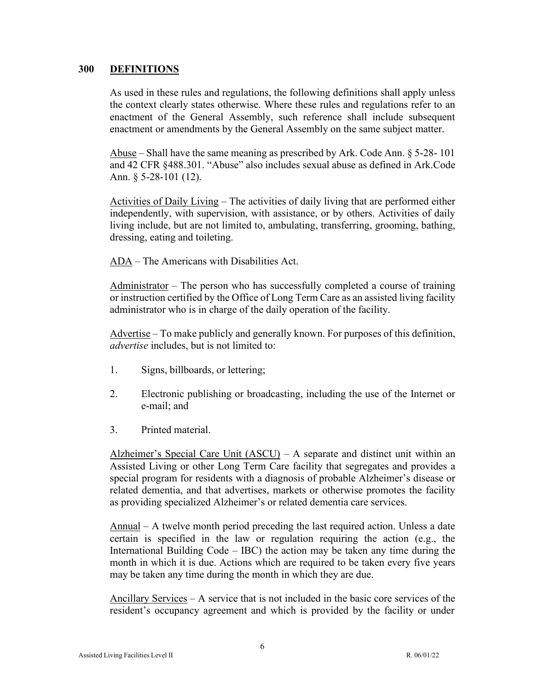#### <span id="page-5-0"></span>**300 DEFINITIONS**

As used in these rules and regulations, the following definitions shall apply unless the context clearly states otherwise. Where these rules and regulations refer to an enactment of the General Assembly, such reference shall include subsequent enactment or amendments by the General Assembly on the same subject matter.

Abuse – Shall have the same meaning as prescribed by Ark. Code Ann.  $\S$  5-28-101 and 42 CFR §488.301. "Abuse" also includes sexual abuse as defined in Ark. Code Ann. § 5-28-101 (12).

Activities of Daily Living – The activities of daily living that are performed either independently, with supervision, with assistance, or by others. Activities of daily living include, but are not limited to, ambulating, transferring, grooming, bathing, dressing, eating and toileting.

ADA – The Americans with Disabilities Act.

Administrator – The person who has successfully completed a course of training or instruction certified by the Office of Long Term Care as an assisted living facility administrator who is in charge of the daily operation of the facility.

Advertise – To make publicly and generally known. For purposes of this definition, *advertise* includes, but is not limited to:

- 1. Signs, billboards, or lettering;
- 2. Electronic publishing or broadcasting, including the use of the Internet or e-mail; and
- 3. Printed material.

Alzheimer's Special Care Unit (ASCU) – A separate and distinct unit within an Assisted Living or other Long Term Care facility that segregates and provides a special program for residents with a diagnosis of probable Alzheimer's disease or related dementia, and that advertises, markets or otherwise promotes the facility as providing specialized Alzheimer's or related dementia care services.

Annual – A twelve month period preceding the last required action. Unless a date certain is specified in the law or regulation requiring the action (e.g., the International Building Code – IBC) the action may be taken any time during the month in which it is due. Actions which are required to be taken every five years may be taken any time during the month in which they are due.

Ancillary Services – A service that is not included in the basic core services of the resident's occupancy agreement and which is provided by the facility or under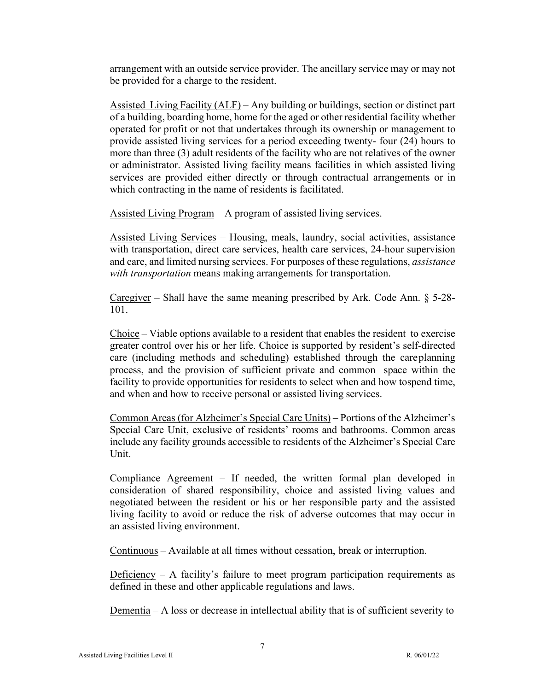arrangement with an outside service provider. The ancillary service may or may not be provided for a charge to the resident.

Assisted Living Facility (ALF) – Any building or buildings, section or distinct part of a building, boarding home, home for the aged or other residential facility whether operated for profit or not that undertakes through its ownership or management to provide assisted living services for a period exceeding twenty- four (24) hours to more than three (3) adult residents of the facility who are not relatives of the owner or administrator. Assisted living facility means facilities in which assisted living services are provided either directly or through contractual arrangements or in which contracting in the name of residents is facilitated.

Assisted Living Program – A program of assisted living services.

Assisted Living Services – Housing, meals, laundry, social activities, assistance with transportation, direct care services, health care services, 24-hour supervision and care, and limited nursing services. For purposes of these regulations, *assistance with transportation* means making arrangements for transportation.

Caregiver – Shall have the same meaning prescribed by Ark. Code Ann.  $\S$  5-28-101.

Choice – Viable options available to a resident that enables the resident to exercise greater control over his or her life. Choice is supported by resident's self-directed care (including methods and scheduling) established through the care planning process, and the provision of sufficient private and common space within the facility to provide opportunities for residents to select when and how tospend time, and when and how to receive personal or assisted living services.

Common Areas (for Alzheimer's Special Care Units) – Portions of the Alzheimer's Special Care Unit, exclusive of residents' rooms and bathrooms. Common areas include any facility grounds accessible to residents of the Alzheimer's Special Care Unit.

Compliance Agreement – If needed, the written formal plan developed in consideration of shared responsibility, choice and assisted living values and negotiated between the resident or his or her responsible party and the assisted living facility to avoid or reduce the risk of adverse outcomes that may occur in an assisted living environment.

Continuous – Available at all times without cessation, break or interruption.

Deficiency – A facility's failure to meet program participation requirements as defined in these and other applicable regulations and laws.

Dementia – A loss or decrease in intellectual ability that is of sufficient severity to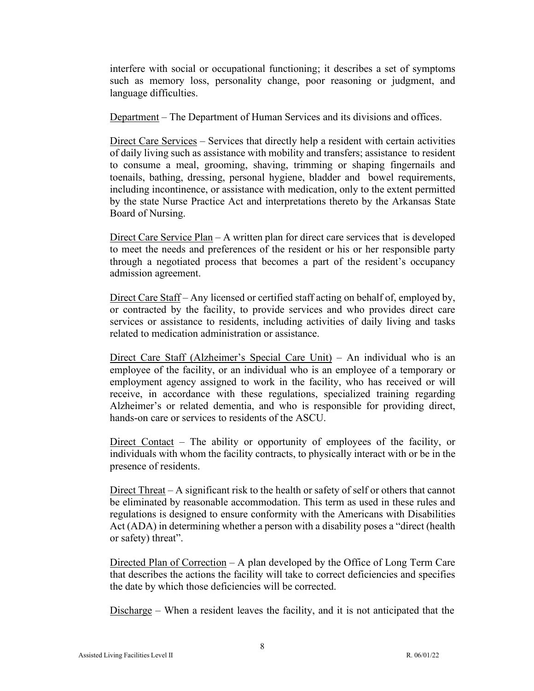interfere with social or occupational functioning; it describes a set of symptoms such as memory loss, personality change, poor reasoning or judgment, and language difficulties.

Department – The Department of Human Services and its divisions and offices.

Direct Care Services – Services that directly help a resident with certain activities of daily living such as assistance with mobility and transfers; assistance to resident to consume a meal, grooming, shaving, trimming or shaping fingernails and toenails, bathing, dressing, personal hygiene, bladder and bowel requirements, including incontinence, or assistance with medication, only to the extent permitted by the state Nurse Practice Act and interpretations thereto by the Arkansas State Board of Nursing.

Direct Care Service Plan – A written plan for direct care services that is developed to meet the needs and preferences of the resident or his or her responsible party through a negotiated process that becomes a part of the resident's occupancy admission agreement.

Direct Care Staff – Any licensed or certified staff acting on behalf of, employed by, or contracted by the facility, to provide services and who provides direct care services or assistance to residents, including activities of daily living and tasks related to medication administration or assistance.

Direct Care Staff (Alzheimer's Special Care Unit) – An individual who is an employee of the facility, or an individual who is an employee of a temporary or employment agency assigned to work in the facility, who has received or will receive, in accordance with these regulations, specialized training regarding Alzheimer's or related dementia, and who is responsible for providing direct, hands-on care or services to residents of the ASCU.

Direct Contact – The ability or opportunity of employees of the facility, or individuals with whom the facility contracts, to physically interact with or be in the presence of residents.

Direct Threat – A significant risk to the health or safety of self or others that cannot be eliminated by reasonable accommodation. This term as used in these rules and regulations is designed to ensure conformity with the Americans with Disabilities Act (ADA) in determining whether a person with a disability poses a "direct (health or safety) threat".

Directed Plan of Correction – A plan developed by the Office of Long Term Care that describes the actions the facility will take to correct deficiencies and specifies the date by which those deficiencies will be corrected.

Discharge – When a resident leaves the facility, and it is not anticipated that the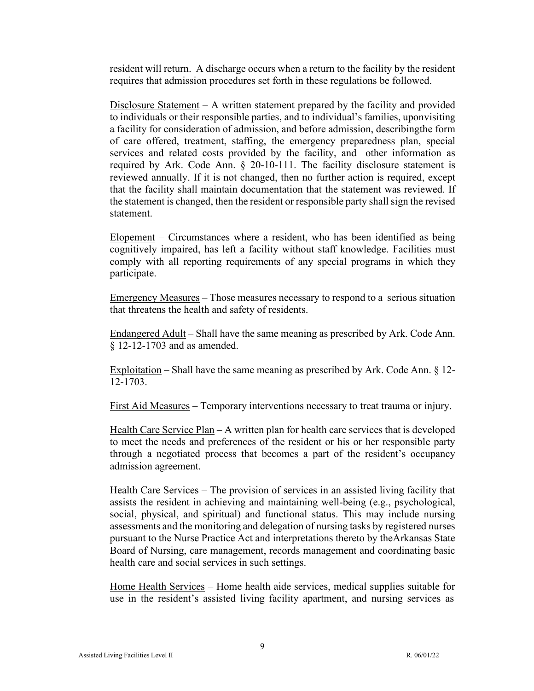resident will return. A discharge occurs when a return to the facility by the resident requires that admission procedures set forth in these regulations be followed.

Disclosure Statement  $- A$  written statement prepared by the facility and provided to individuals or their responsible parties, and to individual's families, upon visiting a facility for consideration of admission, and before admission, describingthe form of care offered, treatment, staffing, the emergency preparedness plan, special services and related costs provided by the facility, and other information as required by Ark. Code Ann. § 20-10-111. The facility disclosure statement is reviewed annually. If it is not changed, then no further action is required, except that the facility shall maintain documentation that the statement was reviewed. If the statement is changed, then the resident or responsible party shall sign the revised statement.

Elopement – Circumstances where a resident, who has been identified as being cognitively impaired, has left a facility without staff knowledge. Facilities must comply with all reporting requirements of any special programs in which they participate.

Emergency Measures – Those measures necessary to respond to a serious situation that threatens the health and safety of residents.

Endangered Adult – Shall have the same meaning as prescribed by Ark. Code Ann. § 12-12-1703 and as amended.

Exploitation – Shall have the same meaning as prescribed by Ark. Code Ann. § 12- 12-1703.

First Aid Measures – Temporary interventions necessary to treat trauma or injury.

Health Care Service Plan – A written plan for health care services that is developed to meet the needs and preferences of the resident or his or her responsible party through a negotiated process that becomes a part of the resident's occupancy admission agreement.

Health Care Services – The provision of services in an assisted living facility that assists the resident in achieving and maintaining well-being (e.g., psychological, social, physical, and spiritual) and functional status. This may include nursing assessments and the monitoring and delegation of nursing tasks by registered nurses pursuant to the Nurse Practice Act and interpretations thereto by the Arkansas State Board of Nursing, care management, records management and coordinating basic health care and social services in such settings.

Home Health Services – Home health aide services, medical supplies suitable for use in the resident's assisted living facility apartment, and nursing services as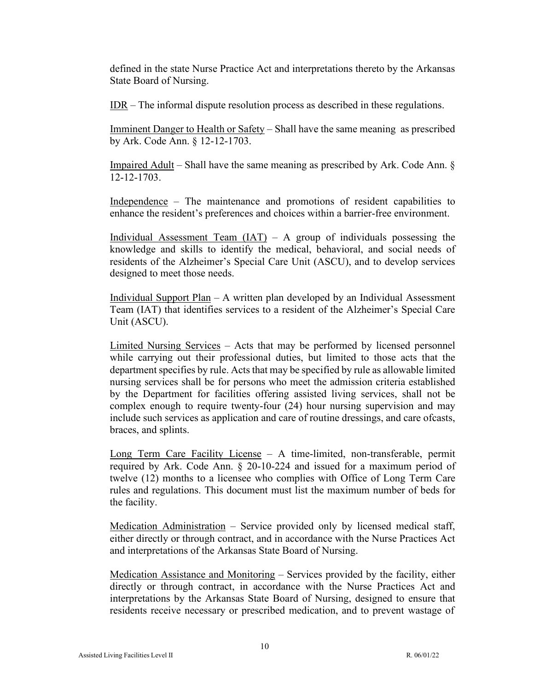defined in the state Nurse Practice Act and interpretations thereto by the Arkansas State Board of Nursing.

 $IDR – The informal dispute resolution process as described in these regulations.$ </u>

Imminent Danger to Health or Safety – Shall have the same meaning as prescribed by Ark. Code Ann. § 12-12-1703.

Impaired Adult – Shall have the same meaning as prescribed by Ark. Code Ann. § 12-12-1703.

Independence – The maintenance and promotions of resident capabilities to enhance the resident's preferences and choices within a barrier-free environment.

Individual Assessment Team  $(IAT) - A$  group of individuals possessing the knowledge and skills to identify the medical, behavioral, and social needs of residents of the Alzheimer's Special Care Unit (ASCU), and to develop services designed to meet those needs.

Individual Support Plan – A written plan developed by an Individual Assessment Team (IAT) that identifies services to a resident of the Alzheimer's Special Care Unit (ASCU).

Limited Nursing Services – Acts that may be performed by licensed personnel while carrying out their professional duties, but limited to those acts that the department specifies by rule. Acts that may be specified by rule as allowable limited nursing services shall be for persons who meet the admission criteria established by the Department for facilities offering assisted living services, shall not be complex enough to require twenty-four (24) hour nursing supervision and may include such services as application and care of routine dressings, and care ofcasts, braces, and splints.

Long Term Care Facility License – A time-limited, non-transferable, permit required by Ark. Code Ann. § 20-10-224 and issued for a maximum period of twelve (12) months to a licensee who complies with Office of Long Term Care rules and regulations. This document must list the maximum number of beds for the facility.

Medication Administration – Service provided only by licensed medical staff, either directly or through contract, and in accordance with the Nurse Practices Act and interpretations of the Arkansas State Board of Nursing.

Medication Assistance and Monitoring – Services provided by the facility, either directly or through contract, in accordance with the Nurse Practices Act and interpretations by the Arkansas State Board of Nursing, designed to ensure that residents receive necessary or prescribed medication, and to prevent wastage of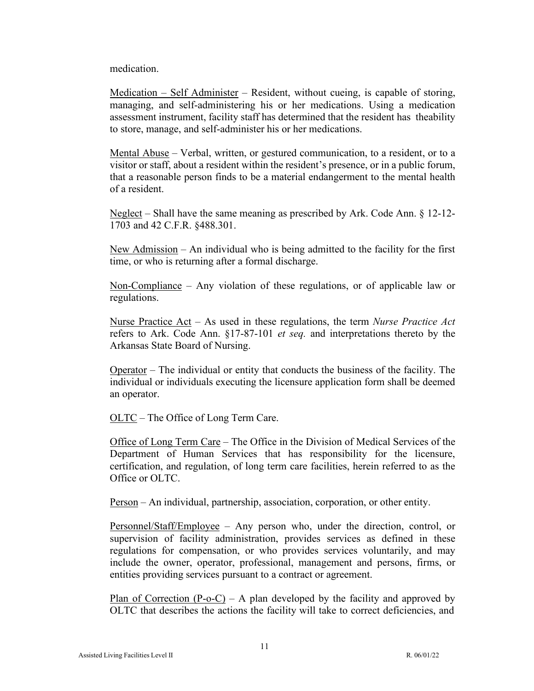medication.

Medication – Self Administer – Resident, without cueing, is capable of storing, managing, and self-administering his or her medications. Using a medication assessment instrument, facility staff has determined that the resident has the ability to store, manage, and self-administer his or her medications.

Mental Abuse – Verbal, written, or gestured communication, to a resident, or to a visitor or staff, about a resident within the resident's presence, or in a public forum, that a reasonable person finds to be a material endangerment to the mental health of a resident.

Neglect – Shall have the same meaning as prescribed by Ark. Code Ann. § 12-12- 1703 and 42 C.F.R. §488.301.

New Admission – An individual who is being admitted to the facility for the first time, or who is returning after a formal discharge.

Non-Compliance – Any violation of these regulations, or of applicable law or regulations.

Nurse Practice Act – As used in these regulations, the term *Nurse Practice Act* refers to Ark. Code Ann. §17-87-101 *et seq.* and interpretations thereto by the Arkansas State Board of Nursing.

Operator – The individual or entity that conducts the business of the facility. The individual or individuals executing the licensure application form shall be deemed an operator.

OLTC – The Office of Long Term Care.

Office of Long Term Care – The Office in the Division of Medical Services of the Department of Human Services that has responsibility for the licensure, certification, and regulation, of long term care facilities, herein referred to as the Office or OLTC.

Person – An individual, partnership, association, corporation, or other entity.

Personnel/Staff/Employee – Any person who, under the direction, control, or supervision of facility administration, provides services as defined in these regulations for compensation, or who provides services voluntarily, and may include the owner, operator, professional, management and persons, firms, or entities providing services pursuant to a contract or agreement.

Plan of Correction  $(P-O-C) - A$  plan developed by the facility and approved by OLTC that describes the actions the facility will take to correct deficiencies, and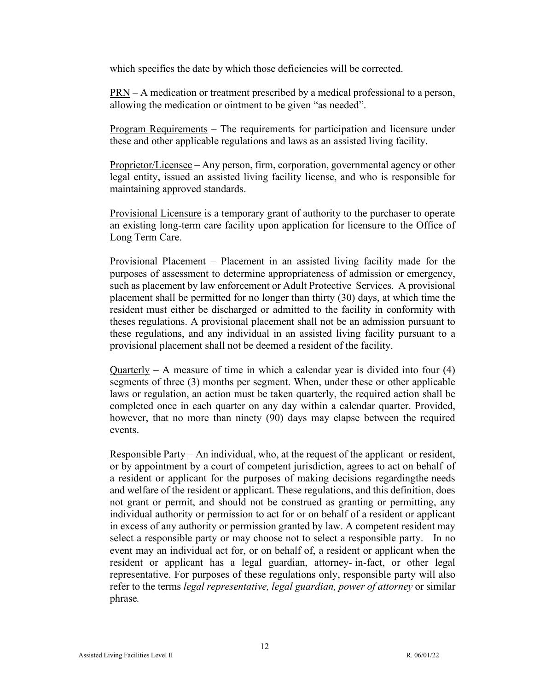which specifies the date by which those deficiencies will be corrected.

PRN – A medication or treatment prescribed by a medical professional to a person, allowing the medication or ointment to be given "as needed".

Program Requirements – The requirements for participation and licensure under these and other applicable regulations and laws as an assisted living facility.

Proprietor/Licensee – Any person, firm, corporation, governmental agency or other legal entity, issued an assisted living facility license, and who is responsible for maintaining approved standards.

Provisional Licensure is a temporary grant of authority to the purchaser to operate an existing long-term care facility upon application for licensure to the Office of Long Term Care.

Provisional Placement – Placement in an assisted living facility made for the purposes of assessment to determine appropriateness of admission or emergency, such as placement by law enforcement or Adult Protective Services. A provisional placement shall be permitted for no longer than thirty (30) days, at which time the resident must either be discharged or admitted to the facility in conformity with theses regulations. A provisional placement shall not be an admission pursuant to these regulations, and any individual in an assisted living facility pursuant to a provisional placement shall not be deemed a resident of the facility.

Quarterly – A measure of time in which a calendar year is divided into four  $(4)$ segments of three (3) months per segment. When, under these or other applicable laws or regulation, an action must be taken quarterly, the required action shall be completed once in each quarter on any day within a calendar quarter. Provided, however, that no more than ninety (90) days may elapse between the required events.

Responsible Party – An individual, who, at the request of the applicant or resident, or by appointment by a court of competent jurisdiction, agrees to act on behalf of a resident or applicant for the purposes of making decisions regarding the needs and welfare of the resident or applicant. These regulations, and this definition, does not grant or permit, and should not be construed as granting or permitting, any individual authority or permission to act for or on behalf of a resident or applicant in excess of any authority or permission granted by law. A competent resident may select a responsible party or may choose not to select a responsible party. In no event may an individual act for, or on behalf of, a resident or applicant when the resident or applicant has a legal guardian, attorney- in-fact, or other legal representative. For purposes of these regulations only, responsible party will also refer to the terms *legal representative, legal guardian, power of attorney* or similar phrase*.*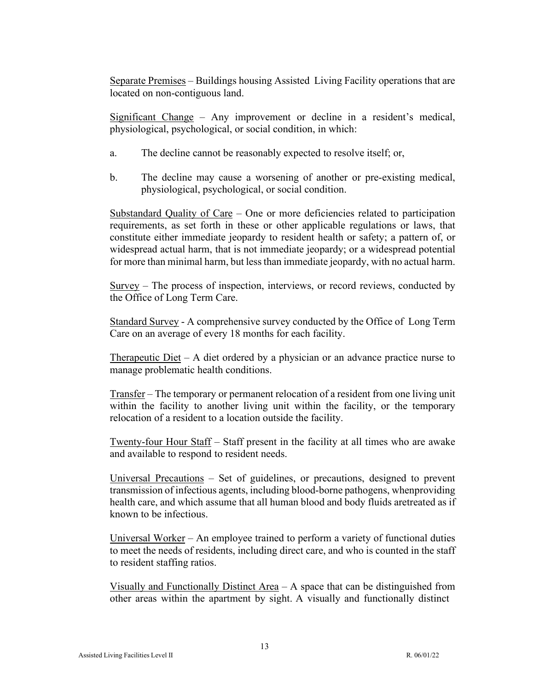Separate Premises – Buildings housing Assisted Living Facility operations that are located on non-contiguous land.

Significant Change – Any improvement or decline in a resident's medical, physiological, psychological, or social condition, in which:

- a. The decline cannot be reasonably expected to resolve itself; or,
- b. The decline may cause a worsening of another or pre-existing medical, physiological, psychological, or social condition.

Substandard Quality of Care – One or more deficiencies related to participation requirements, as set forth in these or other applicable regulations or laws, that constitute either immediate jeopardy to resident health or safety; a pattern of, or widespread actual harm, that is not immediate jeopardy; or a widespread potential for more than minimal harm, but less than immediate jeopardy, with no actual harm.

Survey – The process of inspection, interviews, or record reviews, conducted by the Office of Long Term Care.

Standard Survey - A comprehensive survey conducted by the Office of Long Term Care on an average of every 18 months for each facility.

Therapeutic Diet – A diet ordered by a physician or an advance practice nurse to manage problematic health conditions.

Transfer – The temporary or permanent relocation of a resident from one living unit within the facility to another living unit within the facility, or the temporary relocation of a resident to a location outside the facility.

Twenty-four Hour Staff – Staff present in the facility at all times who are awake and available to respond to resident needs.

Universal Precautions – Set of guidelines, or precautions, designed to prevent transmission of infectious agents, including blood-borne pathogens, when providing health care, and which assume that all human blood and body fluids aretreated as if known to be infectious.

Universal Worker – An employee trained to perform a variety of functional duties to meet the needs of residents, including direct care, and who is counted in the staff to resident staffing ratios.

Visually and Functionally Distinct Area – A space that can be distinguished from other areas within the apartment by sight. A visually and functionally distinct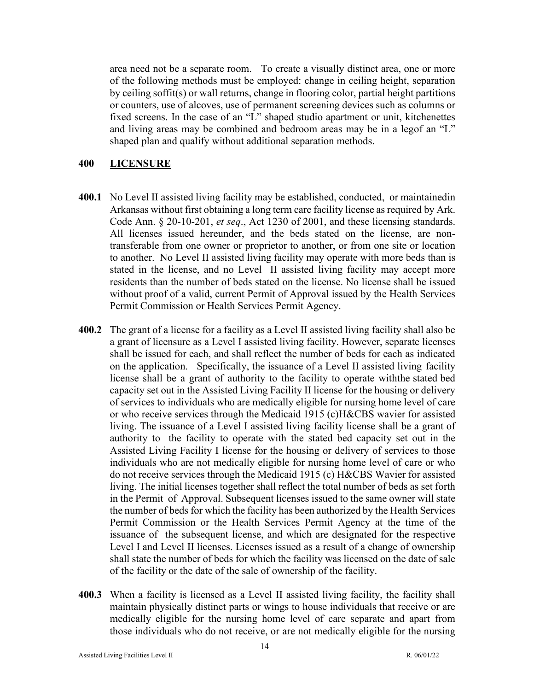area need not be a separate room. To create a visually distinct area, one or more of the following methods must be employed: change in ceiling height, separation by ceiling soffit(s) or wall returns, change in flooring color, partial height partitions or counters, use of alcoves, use of permanent screening devices such as columns or fixed screens. In the case of an "L" shaped studio apartment or unit, kitchenettes and living areas may be combined and bedroom areas may be in a legof an "L" shaped plan and qualify without additional separation methods.

## <span id="page-13-0"></span>**400 LICENSURE**

- **400.1** No Level II assisted living facility may be established, conducted, or maintained in Arkansas without first obtaining a long term care facility license as required by Ark. Code Ann. § 20-10-201, *et seq*., Act 1230 of 2001, and these licensing standards. All licenses issued hereunder, and the beds stated on the license, are nontransferable from one owner or proprietor to another, or from one site or location to another. No Level II assisted living facility may operate with more beds than is stated in the license, and no Level II assisted living facility may accept more residents than the number of beds stated on the license. No license shall be issued without proof of a valid, current Permit of Approval issued by the Health Services Permit Commission or Health Services Permit Agency.
- **400.2** The grant of a license for a facility as a Level II assisted living facility shall also be a grant of licensure as a Level I assisted living facility. However, separate licenses shall be issued for each, and shall reflect the number of beds for each as indicated on the application. Specifically, the issuance of a Level II assisted living facility license shall be a grant of authority to the facility to operate withthe stated bed capacity set out in the Assisted Living Facility II license for the housing or delivery of services to individuals who are medically eligible for nursing home level of care or who receive services through the Medicaid 1915 (c) H&CBS wavier for assisted living. The issuance of a Level I assisted living facility license shall be a grant of authority to the facility to operate with the stated bed capacity set out in the Assisted Living Facility I license for the housing or delivery of services to those individuals who are not medically eligible for nursing home level of care or who do not receive services through the Medicaid 1915 (c) H&CBS Wavier for assisted living. The initial licenses together shall reflect the total number of beds as set forth in the Permit of Approval. Subsequent licenses issued to the same owner will state the number of beds for which the facility has been authorized by the Health Services Permit Commission or the Health Services Permit Agency at the time of the issuance of the subsequent license, and which are designated for the respective Level I and Level II licenses. Licenses issued as a result of a change of ownership shall state the number of beds for which the facility was licensed on the date of sale of the facility or the date of the sale of ownership of the facility.
- **400.3** When a facility is licensed as a Level II assisted living facility, the facility shall maintain physically distinct parts or wings to house individuals that receive or are medically eligible for the nursing home level of care separate and apart from those individuals who do not receive, or are not medically eligible for the nursing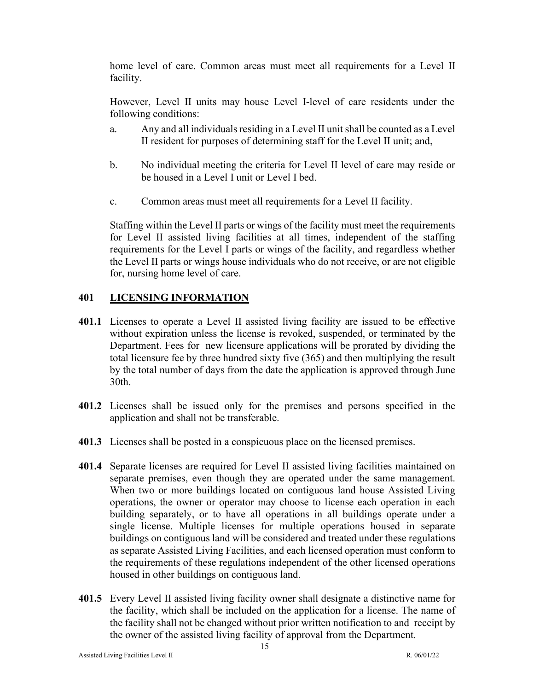home level of care. Common areas must meet all requirements for a Level II facility.

However, Level II units may house Level I-level of care residents under the following conditions:

- a. Any and all individuals residing in a Level II unit shall be counted as a Level II resident for purposes of determining staff for the Level II unit; and,
- b. No individual meeting the criteria for Level II level of care may reside or be housed in a Level I unit or Level I bed.
- c. Common areas must meet all requirements for a Level II facility.

Staffing within the Level II parts or wings of the facility must meet the requirements for Level II assisted living facilities at all times, independent of the staffing requirements for the Level I parts or wings of the facility, and regardless whether the Level II parts or wings house individuals who do not receive, or are not eligible for, nursing home level of care.

## <span id="page-14-0"></span>**401 LICENSING INFORMATION**

- **401.1** Licenses to operate a Level II assisted living facility are issued to be effective without expiration unless the license is revoked, suspended, or terminated by the Department. Fees for new licensure applications will be prorated by dividing the total licensure fee by three hundred sixty five (365) and then multiplying the result by the total number of days from the date the application is approved through June 30th.
- **401.2** Licenses shall be issued only for the premises and persons specified in the application and shall not be transferable.
- **401.3** Licenses shall be posted in a conspicuous place on the licensed premises.
- **401.4** Separate licenses are required for Level II assisted living facilities maintained on separate premises, even though they are operated under the same management. When two or more buildings located on contiguous land house Assisted Living operations, the owner or operator may choose to license each operation in each building separately, or to have all operations in all buildings operate under a single license. Multiple licenses for multiple operations housed in separate buildings on contiguous land will be considered and treated under these regulations as separate Assisted Living Facilities, and each licensed operation must conform to the requirements of these regulations independent of the other licensed operations housed in other buildings on contiguous land.
- **401.5** Every Level II assisted living facility owner shall designate a distinctive name for the facility, which shall be included on the application for a license. The name of the facility shall not be changed without prior written notification to and receipt by the owner of the assisted living facility of approval from the Department.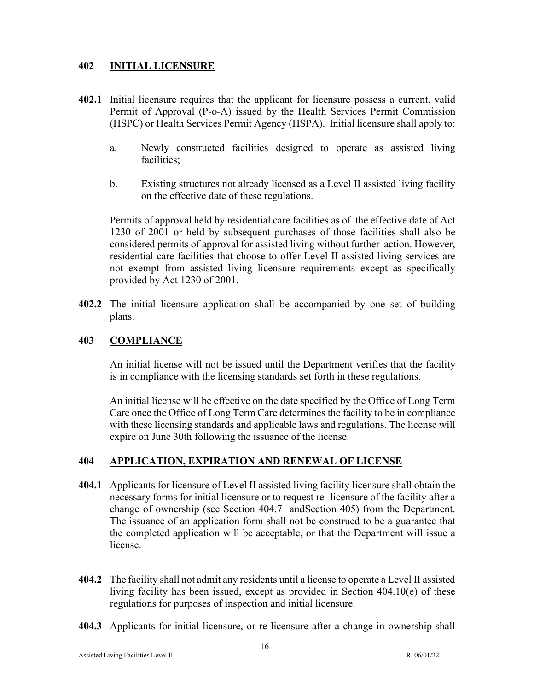## <span id="page-15-0"></span>**402 INITIAL LICENSURE**

- **402.1** Initial licensure requires that the applicant for licensure possess a current, valid Permit of Approval (P-o-A) issued by the Health Services Permit Commission (HSPC) or Health Services Permit Agency (HSPA). Initial licensure shall apply to:
	- a. Newly constructed facilities designed to operate as assisted living facilities;
	- b. Existing structures not already licensed as a Level II assisted living facility on the effective date of these regulations.

Permits of approval held by residential care facilities as of the effective date of Act 1230 of 2001 or held by subsequent purchases of those facilities shall also be considered permits of approval for assisted living without further action. However, residential care facilities that choose to offer Level II assisted living services are not exempt from assisted living licensure requirements except as specifically provided by Act 1230 of 2001.

**402.2** The initial licensure application shall be accompanied by one set of building plans.

## <span id="page-15-1"></span>**403 COMPLIANCE**

An initial license will not be issued until the Department verifies that the facility is in compliance with the licensing standards set forth in these regulations.

An initial license will be effective on the date specified by the Office of Long Term Care once the Office of Long Term Care determines the facility to be in compliance with these licensing standards and applicable laws and regulations. The license will expire on June 30th following the issuance of the license.

### <span id="page-15-2"></span>**404 APPLICATION, EXPIRATION AND RENEWAL OF LICENSE**

- **404.1** Applicants for licensure of Level II assisted living facility licensure shall obtain the necessary forms for initial licensure or to request re- licensure of the facility after a change of ownership (see Section 404.7 andSection 405) from the Department. The issuance of an application form shall not be construed to be a guarantee that the completed application will be acceptable, or that the Department will issue a license.
- **404.2** The facility shall not admit any residents until a license to operate a Level II assisted living facility has been issued, except as provided in Section 404.10(e) of these regulations for purposes of inspection and initial licensure.
- **404.3** Applicants for initial licensure, or re-licensure after a change in ownership shall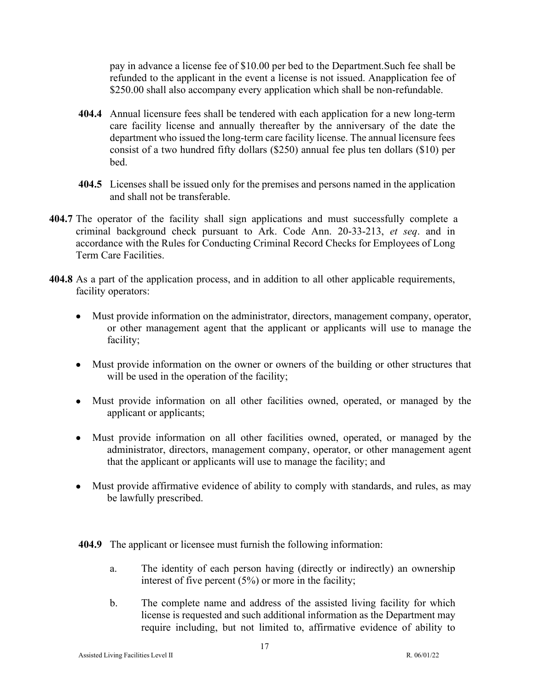pay in advance a license fee of \$10.00 per bed to the Department.Such fee shall be refunded to the applicant in the event a license is not issued. Anapplication fee of \$250.00 shall also accompany every application which shall be non-refundable.

- **404.4** Annual licensure fees shall be tendered with each application for a new long-term care facility license and annually thereafter by the anniversary of the date the department who issued the long-term care facility license. The annual licensure fees consist of a two hundred fifty dollars (\$250) annual fee plus ten dollars (\$10) per bed.
- **404.5** Licenses shall be issued only for the premises and persons named in the application and shall not be transferable.
- **404.7** The operator of the facility shall sign applications and must successfully complete a criminal background check pursuant to Ark. Code Ann. 20-33-213, *et seq*. and in accordance with the Rules for Conducting Criminal Record Checks for Employees of Long Term Care Facilities.
- **404.8** As a part of the application process, and in addition to all other applicable requirements, facility operators:
	- Must provide information on the administrator, directors, management company, operator, or other management agent that the applicant or applicants will use to manage the facility;
	- Must provide information on the owner or owners of the building or other structures that will be used in the operation of the facility;
	- Must provide information on all other facilities owned, operated, or managed by the applicant or applicants;
	- Must provide information on all other facilities owned, operated, or managed by the administrator, directors, management company, operator, or other management agent that the applicant or applicants will use to manage the facility; and
	- Must provide affirmative evidence of ability to comply with standards, and rules, as may be lawfully prescribed.

**404.9** The applicant or licensee must furnish the following information:

- a. The identity of each person having (directly or indirectly) an ownership interest of five percent (5%) or more in the facility;
- b. The complete name and address of the assisted living facility for which license is requested and such additional information as the Department may require including, but not limited to, affirmative evidence of ability to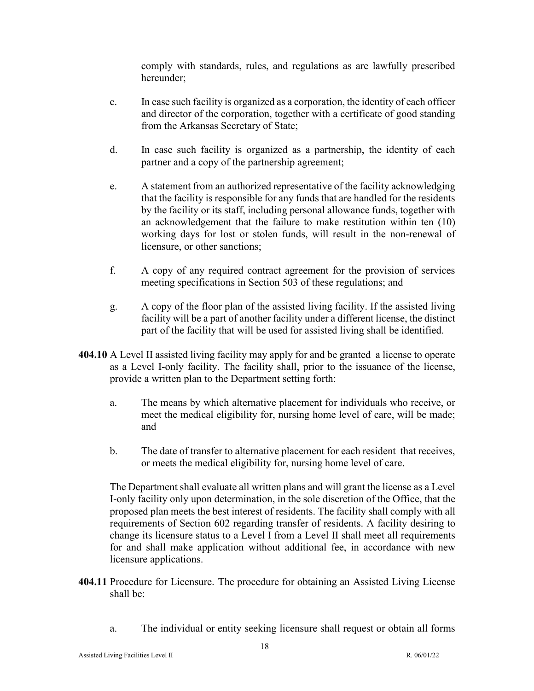comply with standards, rules, and regulations as are lawfully prescribed hereunder;

- c. In case such facility is organized as a corporation, the identity of each officer and director of the corporation, together with a certificate of good standing from the Arkansas Secretary of State;
- d. In case such facility is organized as a partnership, the identity of each partner and a copy of the partnership agreement;
- e. A statement from an authorized representative of the facility acknowledging that the facility is responsible for any funds that are handled for the residents by the facility or its staff, including personal allowance funds, together with an acknowledgement that the failure to make restitution within ten (10) working days for lost or stolen funds, will result in the non-renewal of licensure, or other sanctions;
- f. A copy of any required contract agreement for the provision of services meeting specifications in Section 503 of these regulations; and
- g. A copy of the floor plan of the assisted living facility. If the assisted living facility will be a part of another facility under a different license, the distinct part of the facility that will be used for assisted living shall be identified.
- **404.10** A Level II assisted living facility may apply for and be granted a license to operate as a Level I-only facility. The facility shall, prior to the issuance of the license, provide a written plan to the Department setting forth:
	- a. The means by which alternative placement for individuals who receive, or meet the medical eligibility for, nursing home level of care, will be made; and
	- b. The date of transfer to alternative placement for each resident that receives, or meets the medical eligibility for, nursing home level of care.

The Department shall evaluate all written plans and will grant the license as a Level I-only facility only upon determination, in the sole discretion of the Office, that the proposed plan meets the best interest of residents. The facility shall comply with all requirements of Section 602 regarding transfer of residents. A facility desiring to change its licensure status to a Level I from a Level II shall meet all requirements for and shall make application without additional fee, in accordance with new licensure applications.

- **404.11** Procedure for Licensure. The procedure for obtaining an Assisted Living License shall be:
	- a. The individual or entity seeking licensure shall request or obtain all forms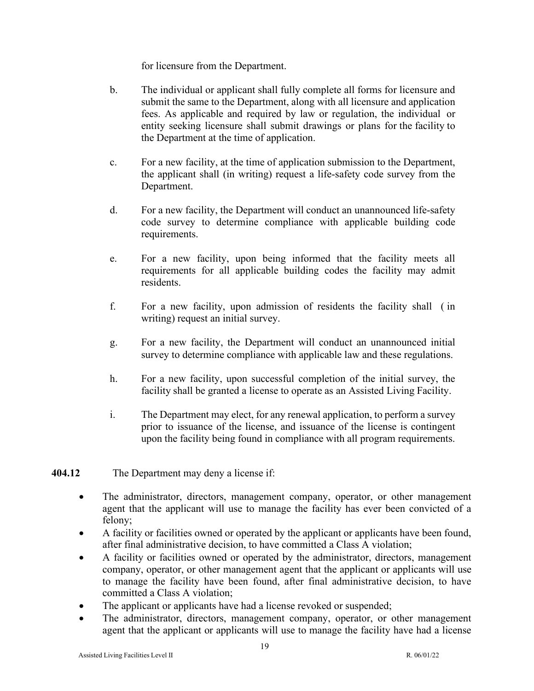for licensure from the Department.

- b. The individual or applicant shall fully complete all forms for licensure and submit the same to the Department, along with all licensure and application fees. As applicable and required by law or regulation, the individual or entity seeking licensure shall submit drawings or plans for the facility to the Department at the time of application.
- c. For a new facility, at the time of application submission to the Department, the applicant shall (in writing) request a life-safety code survey from the Department.
- d. For a new facility, the Department will conduct an unannounced life-safety code survey to determine compliance with applicable building code requirements.
- e. For a new facility, upon being informed that the facility meets all requirements for all applicable building codes the facility may admit residents.
- f. For a new facility, upon admission of residents the facility shall ( in writing) request an initial survey.
- g. For a new facility, the Department will conduct an unannounced initial survey to determine compliance with applicable law and these regulations.
- h. For a new facility, upon successful completion of the initial survey, the facility shall be granted a license to operate as an Assisted Living Facility.
- i. The Department may elect, for any renewal application, to perform a survey prior to issuance of the license, and issuance of the license is contingent upon the facility being found in compliance with all program requirements.

## **404.12** The Department may deny a license if:

- The administrator, directors, management company, operator, or other management agent that the applicant will use to manage the facility has ever been convicted of a felony;
- A facility or facilities owned or operated by the applicant or applicants have been found, after final administrative decision, to have committed a Class A violation;
- A facility or facilities owned or operated by the administrator, directors, management company, operator, or other management agent that the applicant or applicants will use to manage the facility have been found, after final administrative decision, to have committed a Class A violation;
- The applicant or applicants have had a license revoked or suspended;
- The administrator, directors, management company, operator, or other management agent that the applicant or applicants will use to manage the facility have had a license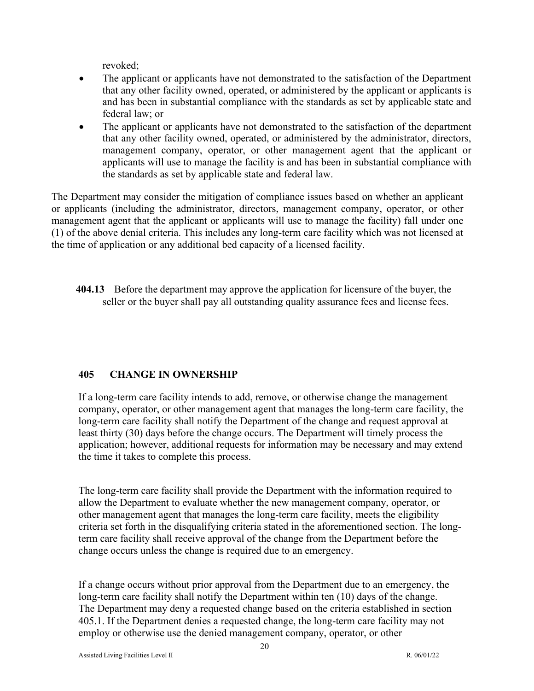revoked;

- The applicant or applicants have not demonstrated to the satisfaction of the Department that any other facility owned, operated, or administered by the applicant or applicants is and has been in substantial compliance with the standards as set by applicable state and federal law; or
- The applicant or applicants have not demonstrated to the satisfaction of the department that any other facility owned, operated, or administered by the administrator, directors, management company, operator, or other management agent that the applicant or applicants will use to manage the facility is and has been in substantial compliance with the standards as set by applicable state and federal law.

The Department may consider the mitigation of compliance issues based on whether an applicant or applicants (including the administrator, directors, management company, operator, or other management agent that the applicant or applicants will use to manage the facility) fall under one (1) of the above denial criteria. This includes any long-term care facility which was not licensed at the time of application or any additional bed capacity of a licensed facility.

**404.13** Before the department may approve the application for licensure of the buyer, the seller or the buyer shall pay all outstanding quality assurance fees and license fees.

## **405 CHANGE IN OWNERSHIP**

If a long-term care facility intends to add, remove, or otherwise change the management company, operator, or other management agent that manages the long-term care facility, the long-term care facility shall notify the Department of the change and request approval at least thirty (30) days before the change occurs. The Department will timely process the application; however, additional requests for information may be necessary and may extend the time it takes to complete this process.

The long-term care facility shall provide the Department with the information required to allow the Department to evaluate whether the new management company, operator, or other management agent that manages the long-term care facility, meets the eligibility criteria set forth in the disqualifying criteria stated in the aforementioned section. The longterm care facility shall receive approval of the change from the Department before the change occurs unless the change is required due to an emergency.

If a change occurs without prior approval from the Department due to an emergency, the long-term care facility shall notify the Department within ten (10) days of the change. The Department may deny a requested change based on the criteria established in section 405.1. If the Department denies a requested change, the long-term care facility may not employ or otherwise use the denied management company, operator, or other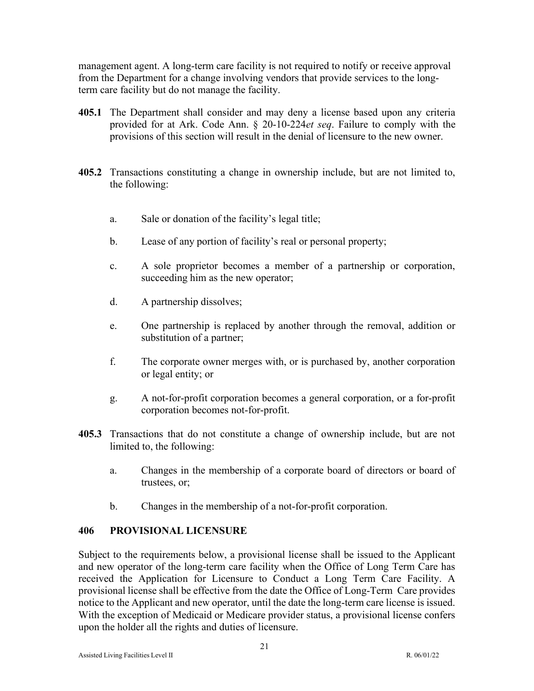management agent. A long-term care facility is not required to notify or receive approval from the Department for a change involving vendors that provide services to the longterm care facility but do not manage the facility.

- **405.1** The Department shall consider and may deny a license based upon any criteria provided for at Ark. Code Ann. § 20-10-224*et seq*. Failure to comply with the provisions of this section will result in the denial of licensure to the new owner.
- **405.2** Transactions constituting a change in ownership include, but are not limited to, the following:
	- a. Sale or donation of the facility's legal title;
	- b. Lease of any portion of facility's real or personal property;
	- c. A sole proprietor becomes a member of a partnership or corporation, succeeding him as the new operator;
	- d. A partnership dissolves;
	- e. One partnership is replaced by another through the removal, addition or substitution of a partner;
	- f. The corporate owner merges with, or is purchased by, another corporation or legal entity; or
	- g. A not-for-profit corporation becomes a general corporation, or a for-profit corporation becomes not-for-profit.
- **405.3** Transactions that do not constitute a change of ownership include, but are not limited to, the following:
	- a. Changes in the membership of a corporate board of directors or board of trustees, or;
	- b. Changes in the membership of a not-for-profit corporation.

## <span id="page-20-0"></span>**406 PROVISIONAL LICENSURE**

Subject to the requirements below, a provisional license shall be issued to the Applicant and new operator of the long-term care facility when the Office of Long Term Care has received the Application for Licensure to Conduct a Long Term Care Facility. A provisional license shall be effective from the date the Office of Long-Term Care provides notice to the Applicant and new operator, until the date the long-term care license is issued. With the exception of Medicaid or Medicare provider status, a provisional license confers upon the holder all the rights and duties of licensure.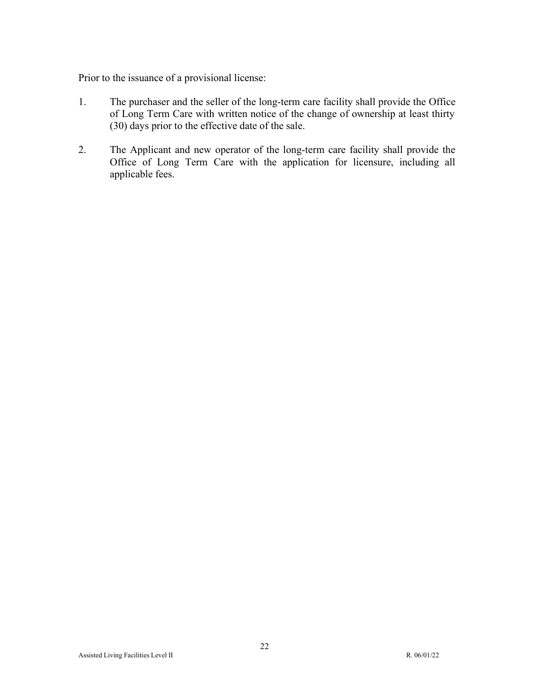Prior to the issuance of a provisional license:

- 1. The purchaser and the seller of the long-term care facility shall provide the Office of Long Term Care with written notice of the change of ownership at least thirty (30) days prior to the effective date of the sale.
- 2. The Applicant and new operator of the long-term care facility shall provide the Office of Long Term Care with the application for licensure, including all applicable fees.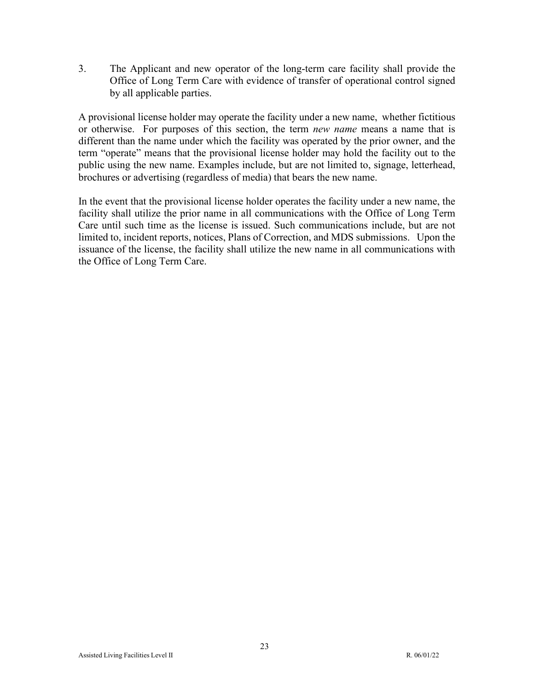3. The Applicant and new operator of the long-term care facility shall provide the Office of Long Term Care with evidence of transfer of operational control signed by all applicable parties.

A provisional license holder may operate the facility under a new name, whether fictitious or otherwise. For purposes of this section, the term *new name* means a name that is different than the name under which the facility was operated by the prior owner, and the term "operate" means that the provisional license holder may hold the facility out to the public using the new name. Examples include, but are not limited to, signage, letterhead, brochures or advertising (regardless of media) that bears the new name.

In the event that the provisional license holder operates the facility under a new name, the facility shall utilize the prior name in all communications with the Office of Long Term Care until such time as the license is issued. Such communications include, but are not limited to, incident reports, notices, Plans of Correction, and MDS submissions. Upon the issuance of the license, the facility shall utilize the new name in all communications with the Office of Long Term Care.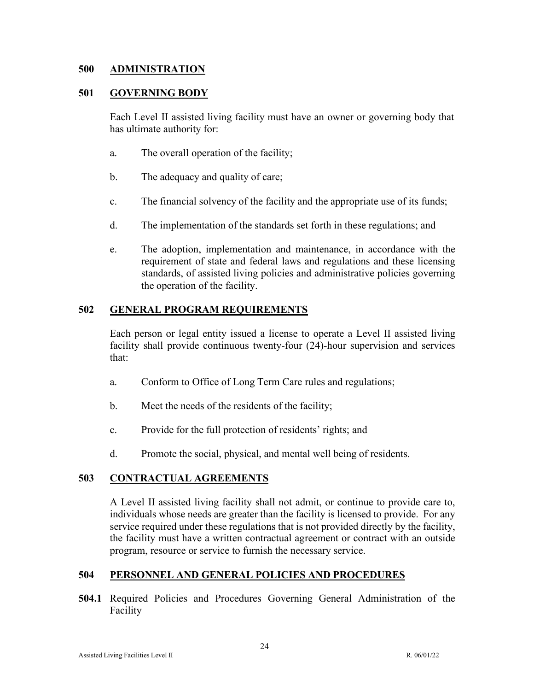#### <span id="page-23-0"></span>**500 ADMINISTRATION**

#### <span id="page-23-1"></span>**501 GOVERNING BODY**

Each Level II assisted living facility must have an owner or governing body that has ultimate authority for:

- a. The overall operation of the facility;
- b. The adequacy and quality of care;
- c. The financial solvency of the facility and the appropriate use of its funds;
- d. The implementation of the standards set forth in these regulations; and
- e. The adoption, implementation and maintenance, in accordance with the requirement of state and federal laws and regulations and these licensing standards, of assisted living policies and administrative policies governing the operation of the facility.

## <span id="page-23-2"></span>**502 GENERAL PROGRAM REQUIREMENTS**

Each person or legal entity issued a license to operate a Level II assisted living facility shall provide continuous twenty-four (24)-hour supervision and services that:

- a. Conform to Office of Long Term Care rules and regulations;
- b. Meet the needs of the residents of the facility;
- c. Provide for the full protection of residents' rights; and
- d. Promote the social, physical, and mental well being of residents.

### <span id="page-23-3"></span>**503 CONTRACTUAL AGREEMENTS**

A Level II assisted living facility shall not admit, or continue to provide care to, individuals whose needs are greater than the facility is licensed to provide. For any service required under these regulations that is not provided directly by the facility, the facility must have a written contractual agreement or contract with an outside program, resource or service to furnish the necessary service.

### <span id="page-23-4"></span>**504 PERSONNEL AND GENERAL POLICIES AND PROCEDURES**

**504.1** Required Policies and Procedures Governing General Administration of the Facility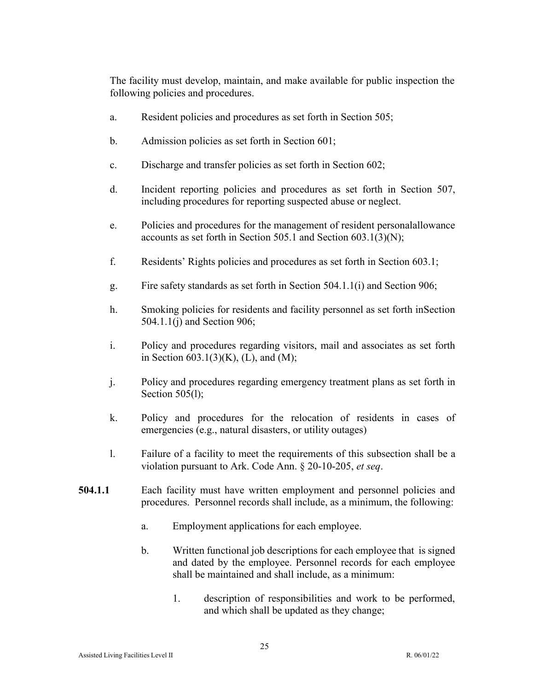The facility must develop, maintain, and make available for public inspection the following policies and procedures.

- a. Resident policies and procedures as set forth in Section 505;
- b. Admission policies as set forth in Section 601;
- c. Discharge and transfer policies as set forth in Section 602;
- d. Incident reporting policies and procedures as set forth in Section 507, including procedures for reporting suspected abuse or neglect.
- e. Policies and procedures for the management of resident personalallowance accounts as set forth in Section 505.1 and Section 603.1(3)(N);
- f. Residents' Rights policies and procedures as set forth in Section 603.1;
- g. Fire safety standards as set forth in Section 504.1.1(i) and Section 906;
- h. Smoking policies for residents and facility personnel as set forth inSection 504.1.1(j) and Section 906;
- i. Policy and procedures regarding visitors, mail and associates as set forth in Section  $603.1(3)(K)$ , (L), and (M);
- j. Policy and procedures regarding emergency treatment plans as set forth in Section 505(1);
- k. Policy and procedures for the relocation of residents in cases of emergencies (e.g., natural disasters, or utility outages)
- l. Failure of a facility to meet the requirements of this subsection shall be a violation pursuant to Ark. Code Ann. § 20-10-205, *et seq*.
- **504.1.1** Each facility must have written employment and personnel policies and procedures. Personnel records shall include, as a minimum, the following:
	- a. Employment applications for each employee.
	- b. Written functional job descriptions for each employee that is signed and dated by the employee. Personnel records for each employee shall be maintained and shall include, as a minimum:
		- 1. description of responsibilities and work to be performed, and which shall be updated as they change;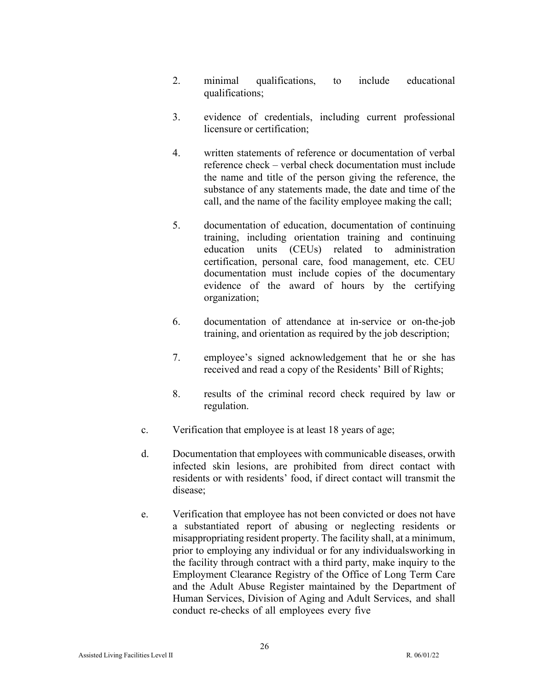- 2. minimal qualifications, to include educational qualifications;
- 3. evidence of credentials, including current professional licensure or certification;
- 4. written statements of reference or documentation of verbal reference check – verbal check documentation must include the name and title of the person giving the reference, the substance of any statements made, the date and time of the call, and the name of the facility employee making the call;
- 5. documentation of education, documentation of continuing training, including orientation training and continuing education units (CEUs) related to administration certification, personal care, food management, etc. CEU documentation must include copies of the documentary evidence of the award of hours by the certifying organization;
- 6. documentation of attendance at in-service or on-the-job training, and orientation as required by the job description;
- 7. employee's signed acknowledgement that he or she has received and read a copy of the Residents' Bill of Rights;
- 8. results of the criminal record check required by law or regulation.
- c. Verification that employee is at least 18 years of age;
- d. Documentation that employees with communicable diseases, orwith infected skin lesions, are prohibited from direct contact with residents or with residents' food, if direct contact will transmit the disease;
- e. Verification that employee has not been convicted or does not have a substantiated report of abusing or neglecting residents or misappropriating resident property. The facility shall, at a minimum, prior to employing any individual or for any individualsworking in the facility through contract with a third party, make inquiry to the Employment Clearance Registry of the Office of Long Term Care and the Adult Abuse Register maintained by the Department of Human Services, Division of Aging and Adult Services, and shall conduct re-checks of all employees every five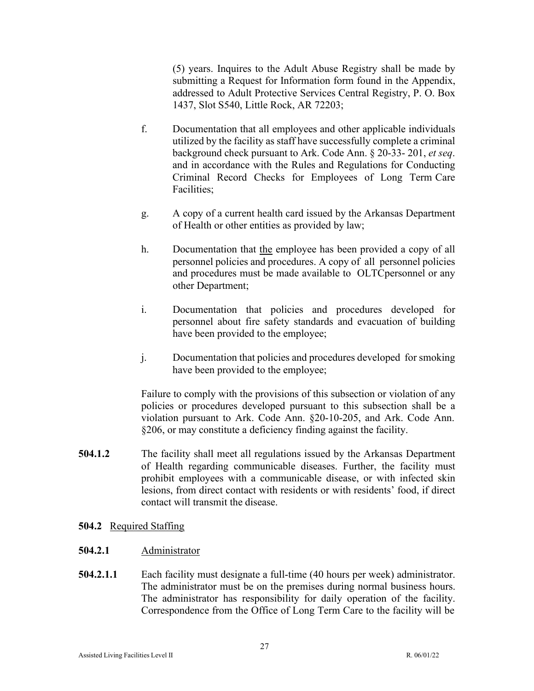(5) years. Inquires to the Adult Abuse Registry shall be made by submitting a Request for Information form found in the Appendix, addressed to Adult Protective Services Central Registry, P. O. Box 1437, Slot S540, Little Rock, AR 72203;

- f. Documentation that all employees and other applicable individuals utilized by the facility as staff have successfully complete a criminal background check pursuant to Ark. Code Ann. § 20-33- 201, *et seq*. and in accordance with the Rules and Regulations for Conducting Criminal Record Checks for Employees of Long Term Care Facilities;
- g. A copy of a current health card issued by the Arkansas Department of Health or other entities as provided by law;
- h. Documentation that the employee has been provided a copy of all personnel policies and procedures. A copy of all personnel policies and procedures must be made available to OLTC personnel or any other Department;
- i. Documentation that policies and procedures developed for personnel about fire safety standards and evacuation of building have been provided to the employee;
- j. Documentation that policies and procedures developed for smoking have been provided to the employee;

Failure to comply with the provisions of this subsection or violation of any policies or procedures developed pursuant to this subsection shall be a violation pursuant to Ark. Code Ann. §20-10-205, and Ark. Code Ann. §206, or may constitute a deficiency finding against the facility.

- **504.1.2** The facility shall meet all regulations issued by the Arkansas Department of Health regarding communicable diseases. Further, the facility must prohibit employees with a communicable disease, or with infected skin lesions, from direct contact with residents or with residents' food, if direct contact will transmit the disease.
- **504.2** Required Staffing
- **504.2.1** Administrator
- **504.2.1.1** Each facility must designate a full-time (40 hours per week) administrator. The administrator must be on the premises during normal business hours. The administrator has responsibility for daily operation of the facility. Correspondence from the Office of Long Term Care to the facility will be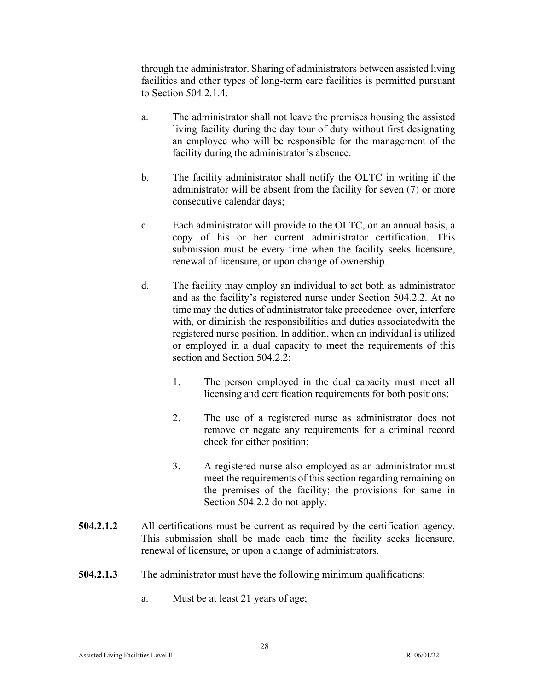through the administrator. Sharing of administrators between assisted living facilities and other types of long-term care facilities is permitted pursuant to Section 504.2.1.4.

- a. The administrator shall not leave the premises housing the assisted living facility during the day tour of duty without first designating an employee who will be responsible for the management of the facility during the administrator's absence.
- b. The facility administrator shall notify the OLTC in writing if the administrator will be absent from the facility for seven (7) or more consecutive calendar days;
- c. Each administrator will provide to the OLTC, on an annual basis, a copy of his or her current administrator certification. This submission must be every time when the facility seeks licensure, renewal of licensure, or upon change of ownership.
- d. The facility may employ an individual to act both as administrator and as the facility's registered nurse under Section 504.2.2. At no time may the duties of administrator take precedence over, interfere with, or diminish the responsibilities and duties associatedwith the registered nurse position. In addition, when an individual is utilized or employed in a dual capacity to meet the requirements of this section and Section 504.2.2:
	- 1. The person employed in the dual capacity must meet all licensing and certification requirements for both positions;
	- 2. The use of a registered nurse as administrator does not remove or negate any requirements for a criminal record check for either position;
	- 3. A registered nurse also employed as an administrator must meet the requirements of this section regarding remaining on the premises of the facility; the provisions for same in Section 504.2.2 do not apply.
- **504.2.1.2** All certifications must be current as required by the certification agency. This submission shall be made each time the facility seeks licensure, renewal of licensure, or upon a change of administrators.
- **504.2.1.3** The administrator must have the following minimum qualifications:
	- a. Must be at least 21 years of age;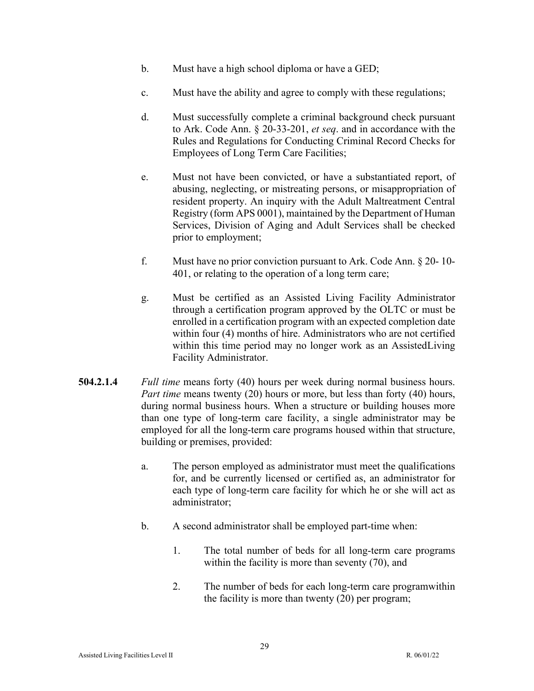- b. Must have a high school diploma or have a GED;
- c. Must have the ability and agree to comply with these regulations;
- d. Must successfully complete a criminal background check pursuant to Ark. Code Ann. § 20-33-201, *et seq*. and in accordance with the Rules and Regulations for Conducting Criminal Record Checks for Employees of Long Term Care Facilities;
- e. Must not have been convicted, or have a substantiated report, of abusing, neglecting, or mistreating persons, or misappropriation of resident property. An inquiry with the Adult Maltreatment Central Registry (form APS 0001), maintained by the Department of Human Services, Division of Aging and Adult Services shall be checked prior to employment;
- f. Must have no prior conviction pursuant to Ark. Code Ann. § 20- 10- 401, or relating to the operation of a long term care;
- g. Must be certified as an Assisted Living Facility Administrator through a certification program approved by the OLTC or must be enrolled in a certification program with an expected completion date within four (4) months of hire. Administrators who are not certified within this time period may no longer work as an AssistedLiving Facility Administrator.
- **504.2.1.4** *Full time* means forty (40) hours per week during normal business hours. *Part time* means twenty (20) hours or more, but less than forty (40) hours, during normal business hours. When a structure or building houses more than one type of long-term care facility, a single administrator may be employed for all the long-term care programs housed within that structure, building or premises, provided:
	- a. The person employed as administrator must meet the qualifications for, and be currently licensed or certified as, an administrator for each type of long-term care facility for which he or she will act as administrator;
	- b. A second administrator shall be employed part-time when:
		- 1. The total number of beds for all long-term care programs within the facility is more than seventy (70), and
		- 2. The number of beds for each long-term care programwithin the facility is more than twenty (20) per program;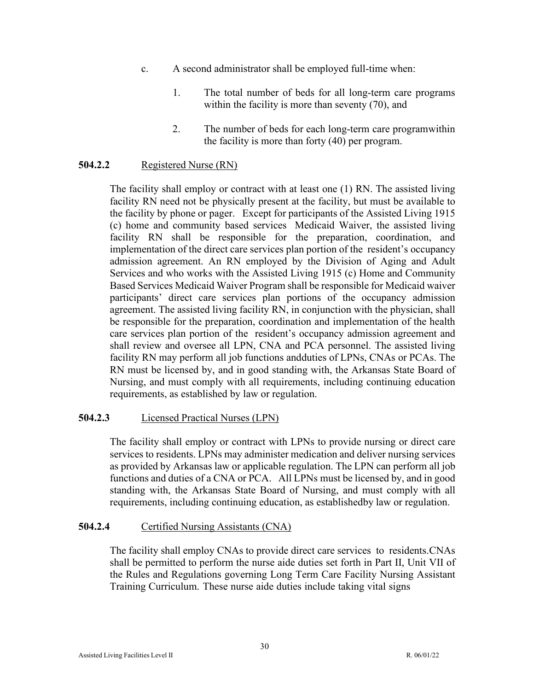- c. A second administrator shall be employed full-time when:
	- 1. The total number of beds for all long-term care programs within the facility is more than seventy (70), and
	- 2. The number of beds for each long-term care program within the facility is more than forty (40) per program.

## **504.2.2** Registered Nurse (RN)

The facility shall employ or contract with at least one (1) RN. The assisted living facility RN need not be physically present at the facility, but must be available to the facility by phone or pager. Except for participants of the Assisted Living 1915 (c) home and community based services Medicaid Waiver, the assisted living facility RN shall be responsible for the preparation, coordination, and implementation of the direct care services plan portion of the resident's occupancy admission agreement. An RN employed by the Division of Aging and Adult Services and who works with the Assisted Living 1915 (c) Home and Community Based Services Medicaid Waiver Program shall be responsible for Medicaid waiver participants' direct care services plan portions of the occupancy admission agreement. The assisted living facility RN, in conjunction with the physician, shall be responsible for the preparation, coordination and implementation of the health care services plan portion of the resident's occupancy admission agreement and shall review and oversee all LPN, CNA and PCA personnel. The assisted living facility RN may perform all job functions andduties of LPNs, CNAs or PCAs. The RN must be licensed by, and in good standing with, the Arkansas State Board of Nursing, and must comply with all requirements, including continuing education requirements, as established by law or regulation.

### **504.2.3** Licensed Practical Nurses (LPN)

The facility shall employ or contract with LPNs to provide nursing or direct care services to residents. LPNs may administer medication and deliver nursing services as provided by Arkansas law or applicable regulation. The LPN can perform all job functions and duties of a CNA or PCA. All LPNs must be licensed by, and in good standing with, the Arkansas State Board of Nursing, and must comply with all requirements, including continuing education, as established by law or regulation.

### **504.2.4** Certified Nursing Assistants (CNA)

The facility shall employ CNAs to provide direct care services to residents.CNAs shall be permitted to perform the nurse aide duties set forth in Part II, Unit VII of the Rules and Regulations governing Long Term Care Facility Nursing Assistant Training Curriculum. These nurse aide duties include taking vital signs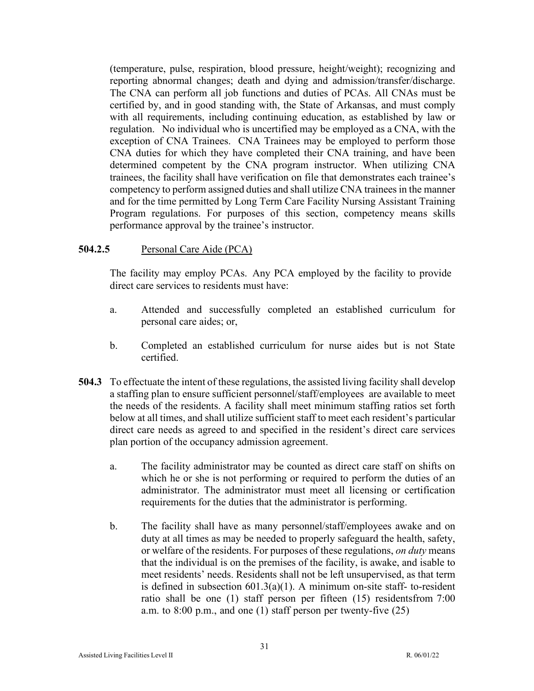(temperature, pulse, respiration, blood pressure, height/weight); recognizing and reporting abnormal changes; death and dying and admission/transfer/discharge. The CNA can perform all job functions and duties of PCAs. All CNAs must be certified by, and in good standing with, the State of Arkansas, and must comply with all requirements, including continuing education, as established by law or regulation. No individual who is uncertified may be employed as a CNA, with the exception of CNA Trainees. CNA Trainees may be employed to perform those CNA duties for which they have completed their CNA training, and have been determined competent by the CNA program instructor. When utilizing CNA trainees, the facility shall have verification on file that demonstrates each trainee's competency to perform assigned duties and shall utilize CNA trainees in the manner and for the time permitted by Long Term Care Facility Nursing Assistant Training Program regulations. For purposes of this section, competency means skills performance approval by the trainee's instructor.

## **504.2.5** Personal Care Aide (PCA)

The facility may employ PCAs. Any PCA employed by the facility to provide direct care services to residents must have:

- a. Attended and successfully completed an established curriculum for personal care aides; or,
- b. Completed an established curriculum for nurse aides but is not State certified.
- **504.3** To effectuate the intent of these regulations, the assisted living facility shall develop a staffing plan to ensure sufficient personnel/staff/employees are available to meet the needs of the residents. A facility shall meet minimum staffing ratios set forth below at all times, and shall utilize sufficient staff to meet each resident's particular direct care needs as agreed to and specified in the resident's direct care services plan portion of the occupancy admission agreement.
	- a. The facility administrator may be counted as direct care staff on shifts on which he or she is not performing or required to perform the duties of an administrator. The administrator must meet all licensing or certification requirements for the duties that the administrator is performing.
	- b. The facility shall have as many personnel/staff/employees awake and on duty at all times as may be needed to properly safeguard the health, safety, or welfare of the residents. For purposes of these regulations, *on duty* means that the individual is on the premises of the facility, is awake, and isable to meet residents' needs. Residents shall not be left unsupervised, as that term is defined in subsection  $601.3(a)(1)$ . A minimum on-site staff- to-resident ratio shall be one (1) staff person per fifteen (15) residentsfrom 7:00 a.m. to 8:00 p.m., and one (1) staff person per twenty-five (25)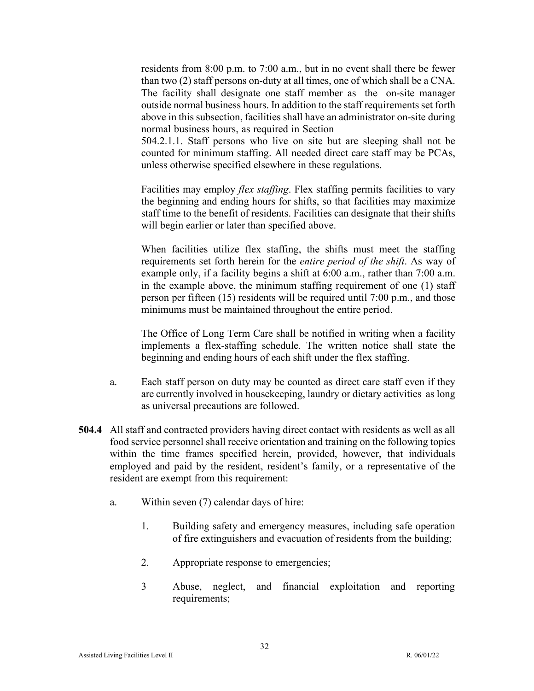residents from 8:00 p.m. to 7:00 a.m., but in no event shall there be fewer than two (2) staff persons on-duty at all times, one of which shall be a CNA. The facility shall designate one staff member as the on-site manager outside normal business hours. In addition to the staff requirements set forth above in this subsection, facilities shall have an administrator on-site during normal business hours, as required in Section

504.2.1.1. Staff persons who live on site but are sleeping shall not be counted for minimum staffing. All needed direct care staff may be PCAs, unless otherwise specified elsewhere in these regulations.

Facilities may employ *flex staffing*. Flex staffing permits facilities to vary the beginning and ending hours for shifts, so that facilities may maximize staff time to the benefit of residents. Facilities can designate that their shifts will begin earlier or later than specified above.

When facilities utilize flex staffing, the shifts must meet the staffing requirements set forth herein for the *entire period of the shift*. As way of example only, if a facility begins a shift at 6:00 a.m., rather than 7:00 a.m. in the example above, the minimum staffing requirement of one (1) staff person per fifteen (15) residents will be required until 7:00 p.m., and those minimums must be maintained throughout the entire period.

The Office of Long Term Care shall be notified in writing when a facility implements a flex-staffing schedule. The written notice shall state the beginning and ending hours of each shift under the flex staffing.

- a. Each staff person on duty may be counted as direct care staff even if they are currently involved in housekeeping, laundry or dietary activities as long as universal precautions are followed.
- **504.4** All staff and contracted providers having direct contact with residents as well as all food service personnel shall receive orientation and training on the following topics within the time frames specified herein, provided, however, that individuals employed and paid by the resident, resident's family, or a representative of the resident are exempt from this requirement:
	- a. Within seven (7) calendar days of hire:
		- 1. Building safety and emergency measures, including safe operation of fire extinguishers and evacuation of residents from the building;
		- 2. Appropriate response to emergencies;
		- 3 Abuse, neglect, and financial exploitation and reporting requirements;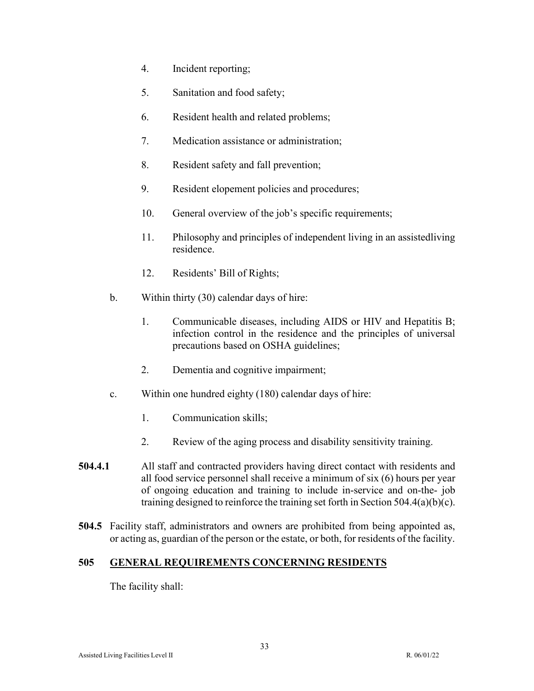- 4. Incident reporting;
- 5. Sanitation and food safety;
- 6. Resident health and related problems;
- 7. Medication assistance or administration;
- 8. Resident safety and fall prevention;
- 9. Resident elopement policies and procedures;
- 10. General overview of the job's specific requirements;
- 11. Philosophy and principles of independent living in an assistedliving residence.
- 12. Residents' Bill of Rights;
- b. Within thirty (30) calendar days of hire:
	- 1. Communicable diseases, including AIDS or HIV and Hepatitis B; infection control in the residence and the principles of universal precautions based on OSHA guidelines;
	- 2. Dementia and cognitive impairment;
- c. Within one hundred eighty (180) calendar days of hire:
	- 1. Communication skills;
	- 2. Review of the aging process and disability sensitivity training.
- **504.4.1** All staff and contracted providers having direct contact with residents and all food service personnel shall receive a minimum of six (6) hours per year of ongoing education and training to include in-service and on-the- job training designed to reinforce the training set forth in Section 504.4(a)(b)(c).
- **504.5** Facility staff, administrators and owners are prohibited from being appointed as, or acting as, guardian of the person or the estate, or both, for residents of the facility.

## <span id="page-32-0"></span>**505 GENERAL REQUIREMENTS CONCERNING RESIDENTS**

The facility shall: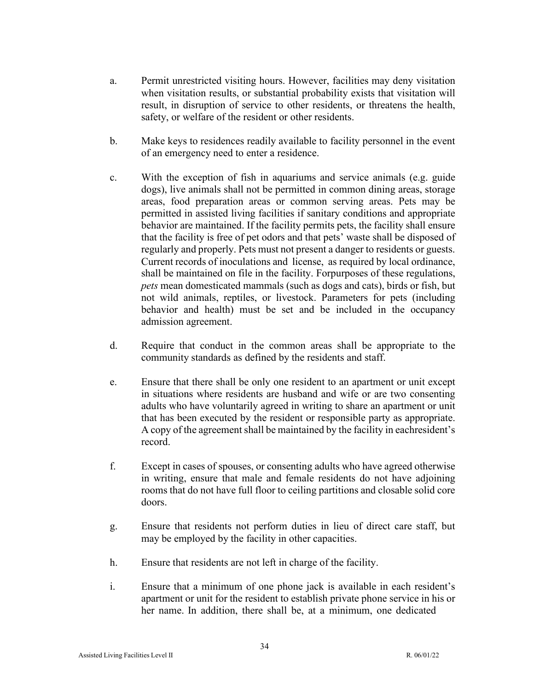- a. Permit unrestricted visiting hours. However, facilities may deny visitation when visitation results, or substantial probability exists that visitation will result, in disruption of service to other residents, or threatens the health, safety, or welfare of the resident or other residents.
- b. Make keys to residences readily available to facility personnel in the event of an emergency need to enter a residence.
- c. With the exception of fish in aquariums and service animals (e.g. guide dogs), live animals shall not be permitted in common dining areas, storage areas, food preparation areas or common serving areas. Pets may be permitted in assisted living facilities if sanitary conditions and appropriate behavior are maintained. If the facility permits pets, the facility shall ensure that the facility is free of pet odors and that pets' waste shall be disposed of regularly and properly. Pets must not present a danger to residents or guests. Current records of inoculations and license, as required by local ordinance, shall be maintained on file in the facility. Forpurposes of these regulations, *pets* mean domesticated mammals (such as dogs and cats), birds or fish, but not wild animals, reptiles, or livestock. Parameters for pets (including behavior and health) must be set and be included in the occupancy admission agreement.
- d. Require that conduct in the common areas shall be appropriate to the community standards as defined by the residents and staff.
- e. Ensure that there shall be only one resident to an apartment or unit except in situations where residents are husband and wife or are two consenting adults who have voluntarily agreed in writing to share an apartment or unit that has been executed by the resident or responsible party as appropriate. A copy of the agreement shall be maintained by the facility in eachresident's record.
- f. Except in cases of spouses, or consenting adults who have agreed otherwise in writing, ensure that male and female residents do not have adjoining rooms that do not have full floor to ceiling partitions and closable solid core doors.
- g. Ensure that residents not perform duties in lieu of direct care staff, but may be employed by the facility in other capacities.
- h. Ensure that residents are not left in charge of the facility.
- i. Ensure that a minimum of one phone jack is available in each resident's apartment or unit for the resident to establish private phone service in his or her name. In addition, there shall be, at a minimum, one dedicated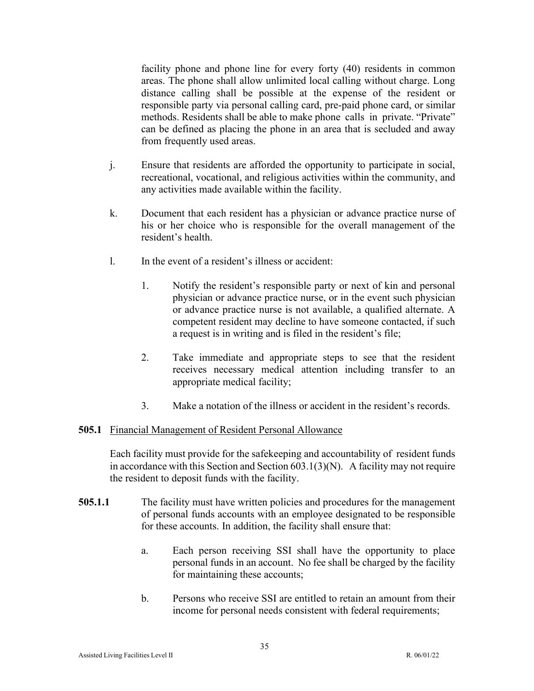facility phone and phone line for every forty (40) residents in common areas. The phone shall allow unlimited local calling without charge. Long distance calling shall be possible at the expense of the resident or responsible party via personal calling card, pre-paid phone card, or similar methods. Residents shall be able to make phone calls in private. "Private" can be defined as placing the phone in an area that is secluded and away from frequently used areas.

- j. Ensure that residents are afforded the opportunity to participate in social, recreational, vocational, and religious activities within the community, and any activities made available within the facility.
- k. Document that each resident has a physician or advance practice nurse of his or her choice who is responsible for the overall management of the resident's health.
- l. In the event of a resident's illness or accident:
	- 1. Notify the resident's responsible party or next of kin and personal physician or advance practice nurse, or in the event such physician or advance practice nurse is not available, a qualified alternate. A competent resident may decline to have someone contacted, if such a request is in writing and is filed in the resident's file;
	- 2. Take immediate and appropriate steps to see that the resident receives necessary medical attention including transfer to an appropriate medical facility;
	- 3. Make a notation of the illness or accident in the resident's records.

### **505.1** Financial Management of Resident Personal Allowance

Each facility must provide for the safekeeping and accountability of resident funds in accordance with this Section and Section 603.1(3)(N). A facility may not require the resident to deposit funds with the facility.

- **505.1.1** The facility must have written policies and procedures for the management of personal funds accounts with an employee designated to be responsible for these accounts. In addition, the facility shall ensure that:
	- a. Each person receiving SSI shall have the opportunity to place personal funds in an account. No fee shall be charged by the facility for maintaining these accounts;
	- b. Persons who receive SSI are entitled to retain an amount from their income for personal needs consistent with federal requirements;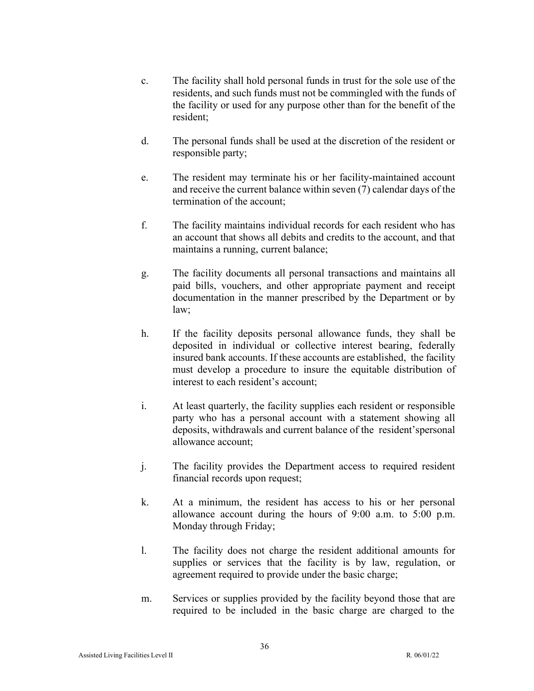- c. The facility shall hold personal funds in trust for the sole use of the residents, and such funds must not be commingled with the funds of the facility or used for any purpose other than for the benefit of the resident;
- d. The personal funds shall be used at the discretion of the resident or responsible party;
- e. The resident may terminate his or her facility-maintained account and receive the current balance within seven (7) calendar days of the termination of the account;
- f. The facility maintains individual records for each resident who has an account that shows all debits and credits to the account, and that maintains a running, current balance;
- g. The facility documents all personal transactions and maintains all paid bills, vouchers, and other appropriate payment and receipt documentation in the manner prescribed by the Department or by law;
- h. If the facility deposits personal allowance funds, they shall be deposited in individual or collective interest bearing, federally insured bank accounts. If these accounts are established, the facility must develop a procedure to insure the equitable distribution of interest to each resident's account;
- i. At least quarterly, the facility supplies each resident or responsible party who has a personal account with a statement showing all deposits, withdrawals and current balance of the resident'spersonal allowance account;
- j. The facility provides the Department access to required resident financial records upon request;
- k. At a minimum, the resident has access to his or her personal allowance account during the hours of 9:00 a.m. to 5:00 p.m. Monday through Friday;
- l. The facility does not charge the resident additional amounts for supplies or services that the facility is by law, regulation, or agreement required to provide under the basic charge;
- m. Services or supplies provided by the facility beyond those that are required to be included in the basic charge are charged to the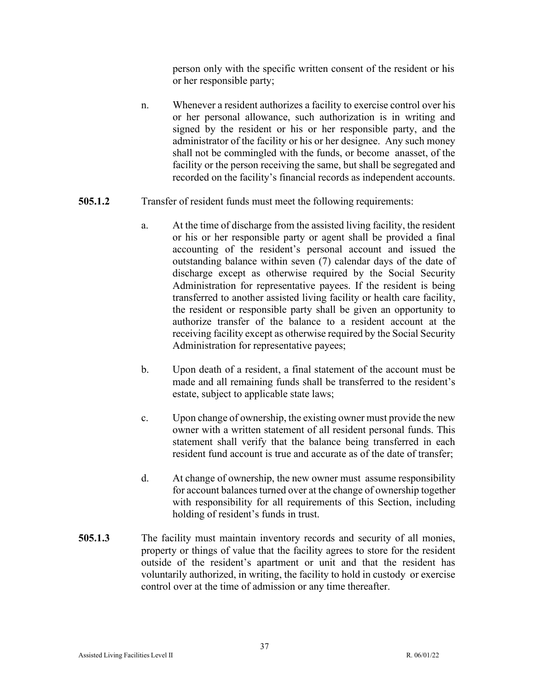person only with the specific written consent of the resident or his or her responsible party;

- n. Whenever a resident authorizes a facility to exercise control over his or her personal allowance, such authorization is in writing and signed by the resident or his or her responsible party, and the administrator of the facility or his or her designee. Any such money shall not be commingled with the funds, or become anasset, of the facility or the person receiving the same, but shall be segregated and recorded on the facility's financial records as independent accounts.
- **505.1.2** Transfer of resident funds must meet the following requirements:
	- a. At the time of discharge from the assisted living facility, the resident or his or her responsible party or agent shall be provided a final accounting of the resident's personal account and issued the outstanding balance within seven (7) calendar days of the date of discharge except as otherwise required by the Social Security Administration for representative payees. If the resident is being transferred to another assisted living facility or health care facility, the resident or responsible party shall be given an opportunity to authorize transfer of the balance to a resident account at the receiving facility except as otherwise required by the Social Security Administration for representative payees;
	- b. Upon death of a resident, a final statement of the account must be made and all remaining funds shall be transferred to the resident's estate, subject to applicable state laws;
	- c. Upon change of ownership, the existing owner must provide the new owner with a written statement of all resident personal funds. This statement shall verify that the balance being transferred in each resident fund account is true and accurate as of the date of transfer;
	- d. At change of ownership, the new owner must assume responsibility for account balances turned over at the change of ownership together with responsibility for all requirements of this Section, including holding of resident's funds in trust.
- **505.1.3** The facility must maintain inventory records and security of all monies, property or things of value that the facility agrees to store for the resident outside of the resident's apartment or unit and that the resident has voluntarily authorized, in writing, the facility to hold in custody or exercise control over at the time of admission or any time thereafter.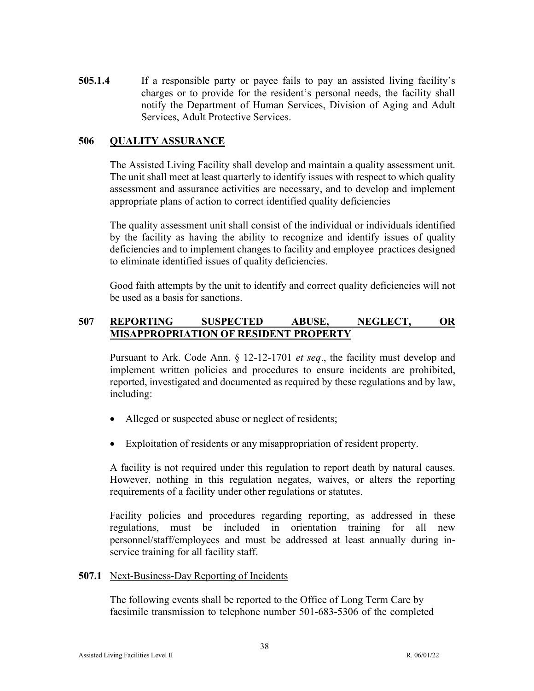**505.1.4** If a responsible party or payee fails to pay an assisted living facility's charges or to provide for the resident's personal needs, the facility shall notify the Department of Human Services, Division of Aging and Adult Services, Adult Protective Services.

### **506 QUALITY ASSURANCE**

The Assisted Living Facility shall develop and maintain a quality assessment unit. The unit shall meet at least quarterly to identify issues with respect to which quality assessment and assurance activities are necessary, and to develop and implement appropriate plans of action to correct identified quality deficiencies

The quality assessment unit shall consist of the individual or individuals identified by the facility as having the ability to recognize and identify issues of quality deficiencies and to implement changes to facility and employee practices designed to eliminate identified issues of quality deficiencies.

Good faith attempts by the unit to identify and correct quality deficiencies will not be used as a basis for sanctions.

# **507 REPORTING SUSPECTED ABUSE, NEGLECT, OR MISAPPROPRIATION OF RESIDENT PROPERTY**

Pursuant to Ark. Code Ann. § 12-12-1701 *et seq*., the facility must develop and implement written policies and procedures to ensure incidents are prohibited, reported, investigated and documented as required by these regulations and by law, including:

- Alleged or suspected abuse or neglect of residents;
- Exploitation of residents or any misappropriation of resident property.

A facility is not required under this regulation to report death by natural causes. However, nothing in this regulation negates, waives, or alters the reporting requirements of a facility under other regulations or statutes.

Facility policies and procedures regarding reporting, as addressed in these regulations, must be included in orientation training for all new personnel/staff/employees and must be addressed at least annually during inservice training for all facility staff.

### **507.1** Next-Business-Day Reporting of Incidents

The following events shall be reported to the Office of Long Term Care by facsimile transmission to telephone number 501-683-5306 of the completed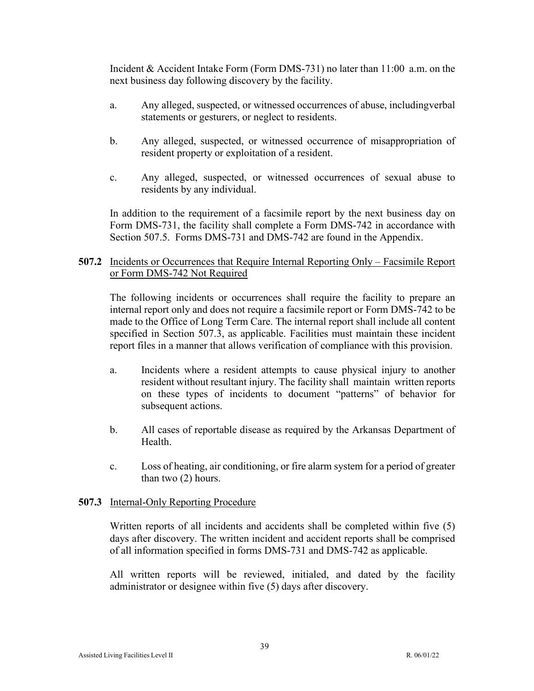Incident & Accident Intake Form (Form DMS-731) no later than 11:00 a.m. on the next business day following discovery by the facility.

- a. Any alleged, suspected, or witnessed occurrences of abuse, including verbal statements or gesturers, or neglect to residents.
- b. Any alleged, suspected, or witnessed occurrence of misappropriation of resident property or exploitation of a resident.
- c. Any alleged, suspected, or witnessed occurrences of sexual abuse to residents by any individual.

In addition to the requirement of a facsimile report by the next business day on Form DMS-731, the facility shall complete a Form DMS-742 in accordance with Section 507.5. Forms DMS-731 and DMS-742 are found in the Appendix.

### **507.2** Incidents or Occurrences that Require Internal Reporting Only – Facsimile Report or Form DMS-742 Not Required

The following incidents or occurrences shall require the facility to prepare an internal report only and does not require a facsimile report or Form DMS-742 to be made to the Office of Long Term Care. The internal report shall include all content specified in Section 507.3, as applicable. Facilities must maintain these incident report files in a manner that allows verification of compliance with this provision.

- a. Incidents where a resident attempts to cause physical injury to another resident without resultant injury. The facility shall maintain written reports on these types of incidents to document "patterns" of behavior for subsequent actions.
- b. All cases of reportable disease as required by the Arkansas Department of Health.
- c. Loss of heating, air conditioning, or fire alarm system for a period of greater than two (2) hours.

### **507.3** Internal-Only Reporting Procedure

Written reports of all incidents and accidents shall be completed within five (5) days after discovery. The written incident and accident reports shall be comprised of all information specified in forms DMS-731 and DMS-742 as applicable.

All written reports will be reviewed, initialed, and dated by the facility administrator or designee within five (5) days after discovery.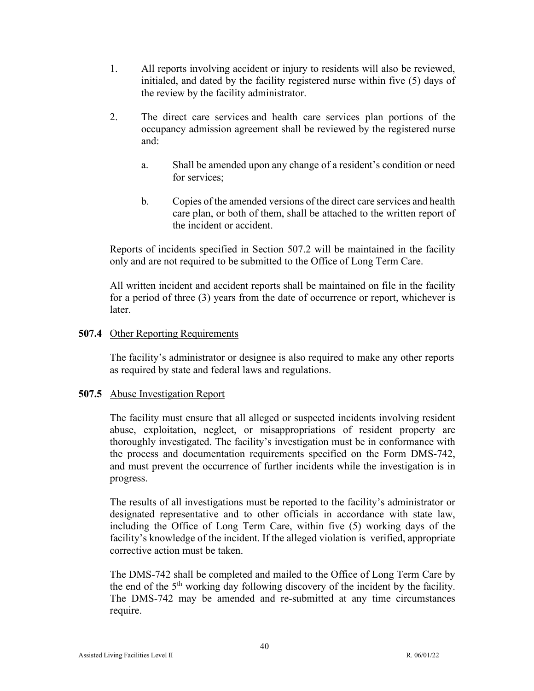- 1. All reports involving accident or injury to residents will also be reviewed, initialed, and dated by the facility registered nurse within five (5) days of the review by the facility administrator.
- 2. The direct care services and health care services plan portions of the occupancy admission agreement shall be reviewed by the registered nurse and:
	- a. Shall be amended upon any change of a resident's condition or need for services;
	- b. Copies of the amended versions of the direct care services and health care plan, or both of them, shall be attached to the written report of the incident or accident.

Reports of incidents specified in Section 507.2 will be maintained in the facility only and are not required to be submitted to the Office of Long Term Care.

All written incident and accident reports shall be maintained on file in the facility for a period of three (3) years from the date of occurrence or report, whichever is later.

## **507.4** Other Reporting Requirements

The facility's administrator or designee is also required to make any other reports as required by state and federal laws and regulations.

### **507.5** Abuse Investigation Report

The facility must ensure that all alleged or suspected incidents involving resident abuse, exploitation, neglect, or misappropriations of resident property are thoroughly investigated. The facility's investigation must be in conformance with the process and documentation requirements specified on the Form DMS-742, and must prevent the occurrence of further incidents while the investigation is in progress.

The results of all investigations must be reported to the facility's administrator or designated representative and to other officials in accordance with state law, including the Office of Long Term Care, within five (5) working days of the facility's knowledge of the incident. If the alleged violation is verified, appropriate corrective action must be taken.

The DMS-742 shall be completed and mailed to the Office of Long Term Care by the end of the  $5<sup>th</sup>$  working day following discovery of the incident by the facility. The DMS-742 may be amended and re-submitted at any time circumstances require.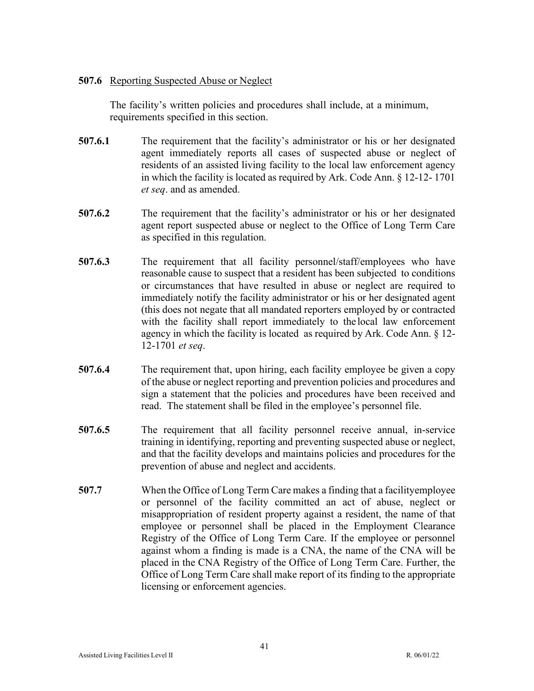### **507.6** Reporting Suspected Abuse or Neglect

The facility's written policies and procedures shall include, at a minimum, requirements specified in this section.

- **507.6.1** The requirement that the facility's administrator or his or her designated agent immediately reports all cases of suspected abuse or neglect of residents of an assisted living facility to the local law enforcement agency in which the facility is located as required by Ark. Code Ann. § 12-12- 1701 *et seq*. and as amended.
- **507.6.2** The requirement that the facility's administrator or his or her designated agent report suspected abuse or neglect to the Office of Long Term Care as specified in this regulation.
- **507.6.3** The requirement that all facility personnel/staff/employees who have reasonable cause to suspect that a resident has been subjected to conditions or circumstances that have resulted in abuse or neglect are required to immediately notify the facility administrator or his or her designated agent (this does not negate that all mandated reporters employed by or contracted with the facility shall report immediately to the local law enforcement agency in which the facility is located as required by Ark. Code Ann. § 12- 12-1701 *et seq*.
- **507.6.4** The requirement that, upon hiring, each facility employee be given a copy of the abuse or neglect reporting and prevention policies and procedures and sign a statement that the policies and procedures have been received and read. The statement shall be filed in the employee's personnel file.
- **507.6.5** The requirement that all facility personnel receive annual, in-service training in identifying, reporting and preventing suspected abuse or neglect, and that the facility develops and maintains policies and procedures for the prevention of abuse and neglect and accidents.
- **507.7** When the Office of Long Term Care makes a finding that a facilityemployee or personnel of the facility committed an act of abuse, neglect or misappropriation of resident property against a resident, the name of that employee or personnel shall be placed in the Employment Clearance Registry of the Office of Long Term Care. If the employee or personnel against whom a finding is made is a CNA, the name of the CNA will be placed in the CNA Registry of the Office of Long Term Care. Further, the Office of Long Term Care shall make report of its finding to the appropriate licensing or enforcement agencies.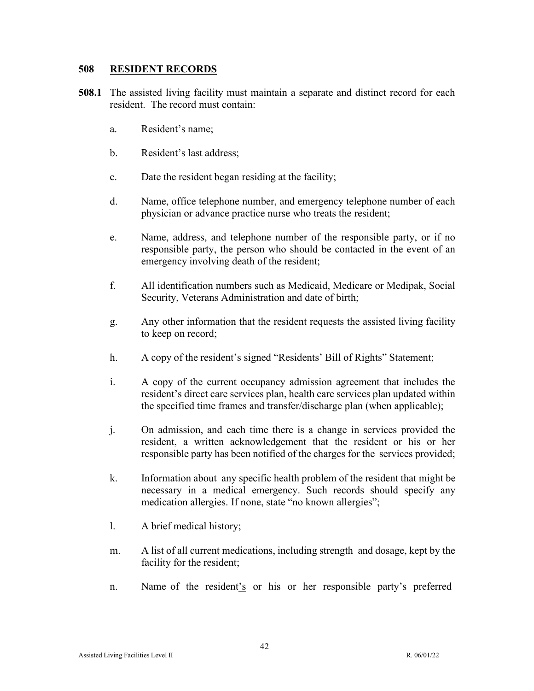#### **508 RESIDENT RECORDS**

- **508.1** The assisted living facility must maintain a separate and distinct record for each resident. The record must contain:
	- a. Resident's name;
	- b. Resident's last address;
	- c. Date the resident began residing at the facility;
	- d. Name, office telephone number, and emergency telephone number of each physician or advance practice nurse who treats the resident;
	- e. Name, address, and telephone number of the responsible party, or if no responsible party, the person who should be contacted in the event of an emergency involving death of the resident;
	- f. All identification numbers such as Medicaid, Medicare or Medipak, Social Security, Veterans Administration and date of birth;
	- g. Any other information that the resident requests the assisted living facility to keep on record;
	- h. A copy of the resident's signed "Residents' Bill of Rights" Statement;
	- i. A copy of the current occupancy admission agreement that includes the resident's direct care services plan, health care services plan updated within the specified time frames and transfer/discharge plan (when applicable);
	- j. On admission, and each time there is a change in services provided the resident, a written acknowledgement that the resident or his or her responsible party has been notified of the charges for the services provided;
	- k. Information about any specific health problem of the resident that might be necessary in a medical emergency. Such records should specify any medication allergies. If none, state "no known allergies";
	- l. A brief medical history;
	- m. A list of all current medications, including strength and dosage, kept by the facility for the resident;
	- n. Name of the resident's or his or her responsible party's preferred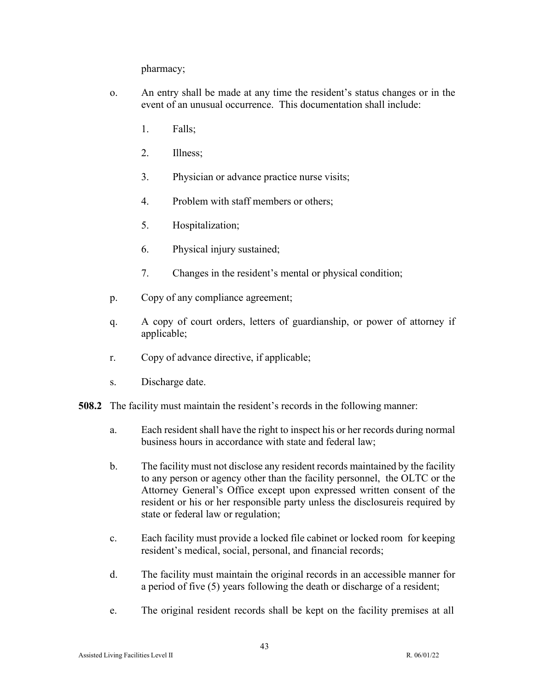pharmacy;

- o. An entry shall be made at any time the resident's status changes or in the event of an unusual occurrence. This documentation shall include:
	- 1. Falls;
	- 2. Illness;
	- 3. Physician or advance practice nurse visits;
	- 4. Problem with staff members or others;
	- 5. Hospitalization;
	- 6. Physical injury sustained;
	- 7. Changes in the resident's mental or physical condition;
- p. Copy of any compliance agreement;
- q. A copy of court orders, letters of guardianship, or power of attorney if applicable;
- r. Copy of advance directive, if applicable;
- s. Discharge date.
- **508.2** The facility must maintain the resident's records in the following manner:
	- a. Each resident shall have the right to inspect his or her records during normal business hours in accordance with state and federal law;
	- b. The facility must not disclose any resident records maintained by the facility to any person or agency other than the facility personnel, the OLTC or the Attorney General's Office except upon expressed written consent of the resident or his or her responsible party unless the disclosureis required by state or federal law or regulation;
	- c. Each facility must provide a locked file cabinet or locked room for keeping resident's medical, social, personal, and financial records;
	- d. The facility must maintain the original records in an accessible manner for a period of five (5) years following the death or discharge of a resident;
	- e. The original resident records shall be kept on the facility premises at all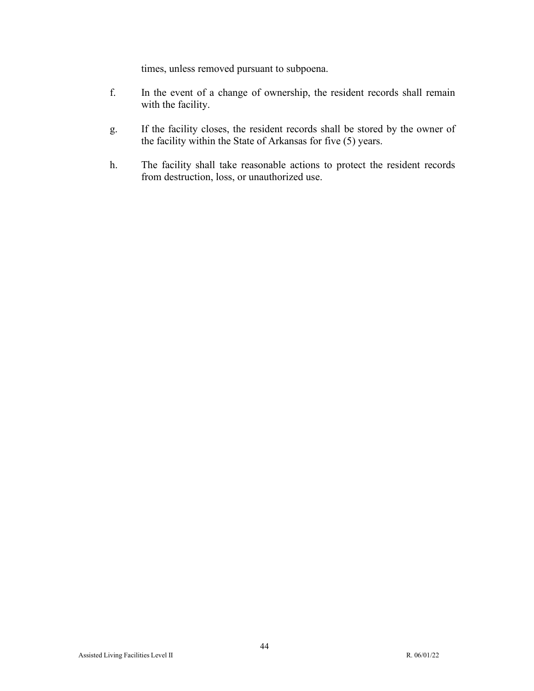times, unless removed pursuant to subpoena.

- f. In the event of a change of ownership, the resident records shall remain with the facility.
- g. If the facility closes, the resident records shall be stored by the owner of the facility within the State of Arkansas for five (5) years.
- h. The facility shall take reasonable actions to protect the resident records from destruction, loss, or unauthorized use.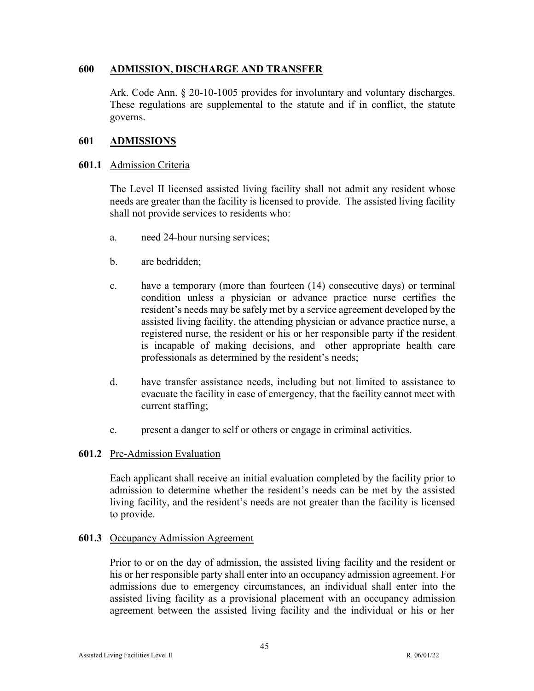### **600 ADMISSION, DISCHARGE AND TRANSFER**

Ark. Code Ann. § 20-10-1005 provides for involuntary and voluntary discharges. These regulations are supplemental to the statute and if in conflict, the statute governs.

### **601 ADMISSIONS**

#### **601.1** Admission Criteria

The Level II licensed assisted living facility shall not admit any resident whose needs are greater than the facility is licensed to provide. The assisted living facility shall not provide services to residents who:

- a. need 24-hour nursing services;
- b. are bedridden;
- c. have a temporary (more than fourteen (14) consecutive days) or terminal condition unless a physician or advance practice nurse certifies the resident's needs may be safely met by a service agreement developed by the assisted living facility, the attending physician or advance practice nurse, a registered nurse, the resident or his or her responsible party if the resident is incapable of making decisions, and other appropriate health care professionals as determined by the resident's needs;
- d. have transfer assistance needs, including but not limited to assistance to evacuate the facility in case of emergency, that the facility cannot meet with current staffing;
- e. present a danger to self or others or engage in criminal activities.

### **601.2** Pre-Admission Evaluation

Each applicant shall receive an initial evaluation completed by the facility prior to admission to determine whether the resident's needs can be met by the assisted living facility, and the resident's needs are not greater than the facility is licensed to provide.

### **601.3** Occupancy Admission Agreement

Prior to or on the day of admission, the assisted living facility and the resident or his or her responsible party shall enter into an occupancy admission agreement. For admissions due to emergency circumstances, an individual shall enter into the assisted living facility as a provisional placement with an occupancy admission agreement between the assisted living facility and the individual or his or her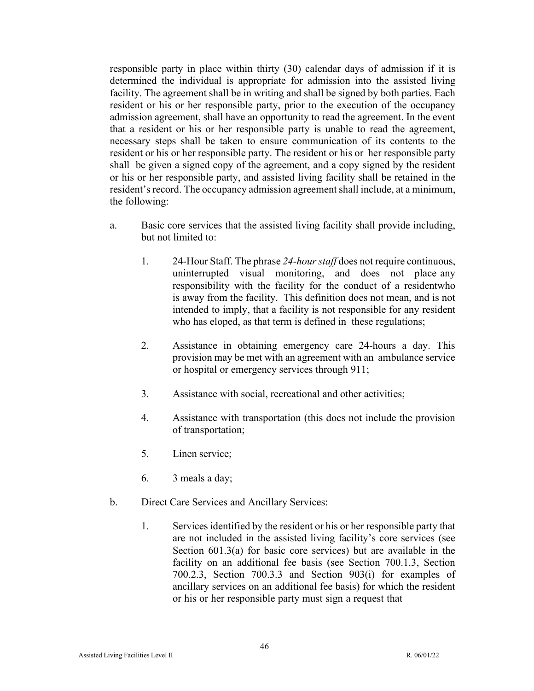responsible party in place within thirty (30) calendar days of admission if it is determined the individual is appropriate for admission into the assisted living facility. The agreement shall be in writing and shall be signed by both parties. Each resident or his or her responsible party, prior to the execution of the occupancy admission agreement, shall have an opportunity to read the agreement. In the event that a resident or his or her responsible party is unable to read the agreement, necessary steps shall be taken to ensure communication of its contents to the resident or his or her responsible party. The resident or his or her responsible party shall be given a signed copy of the agreement, and a copy signed by the resident or his or her responsible party, and assisted living facility shall be retained in the resident's record. The occupancy admission agreement shall include, at a minimum, the following:

- a. Basic core services that the assisted living facility shall provide including, but not limited to:
	- 1. 24-Hour Staff. The phrase *24-hour staff* does not require continuous, uninterrupted visual monitoring, and does not place any responsibility with the facility for the conduct of a residentwho is away from the facility. This definition does not mean, and is not intended to imply, that a facility is not responsible for any resident who has eloped, as that term is defined in these regulations;
	- 2. Assistance in obtaining emergency care 24-hours a day. This provision may be met with an agreement with an ambulance service or hospital or emergency services through 911;
	- 3. Assistance with social, recreational and other activities;
	- 4. Assistance with transportation (this does not include the provision of transportation;
	- 5. Linen service;
	- 6. 3 meals a day;
- b. Direct Care Services and Ancillary Services:
	- 1. Services identified by the resident or his or her responsible party that are not included in the assisted living facility's core services (see Section 601.3(a) for basic core services) but are available in the facility on an additional fee basis (see Section 700.1.3, Section 700.2.3, Section 700.3.3 and Section 903(i) for examples of ancillary services on an additional fee basis) for which the resident or his or her responsible party must sign a request that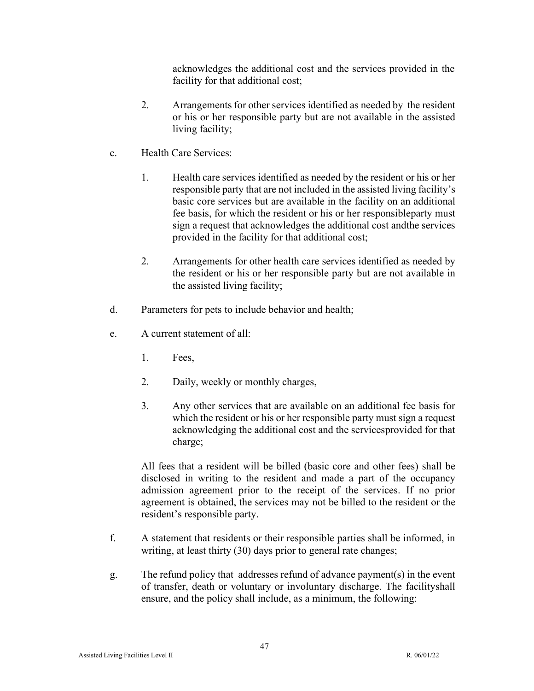acknowledges the additional cost and the services provided in the facility for that additional cost;

- 2. Arrangements for other services identified as needed by the resident or his or her responsible party but are not available in the assisted living facility;
- c. Health Care Services:
	- 1. Health care services identified as needed by the resident or his or her responsible party that are not included in the assisted living facility's basic core services but are available in the facility on an additional fee basis, for which the resident or his or her responsibleparty must sign a request that acknowledges the additional cost andthe services provided in the facility for that additional cost;
	- 2. Arrangements for other health care services identified as needed by the resident or his or her responsible party but are not available in the assisted living facility;
- d. Parameters for pets to include behavior and health;
- e. A current statement of all:
	- 1. Fees,
	- 2. Daily, weekly or monthly charges,
	- 3. Any other services that are available on an additional fee basis for which the resident or his or her responsible party must sign a request acknowledging the additional cost and the servicesprovided for that charge;

All fees that a resident will be billed (basic core and other fees) shall be disclosed in writing to the resident and made a part of the occupancy admission agreement prior to the receipt of the services. If no prior agreement is obtained, the services may not be billed to the resident or the resident's responsible party.

- f. A statement that residents or their responsible parties shall be informed, in writing, at least thirty (30) days prior to general rate changes;
- g. The refund policy that addresses refund of advance payment(s) in the event of transfer, death or voluntary or involuntary discharge. The facilityshall ensure, and the policy shall include, as a minimum, the following: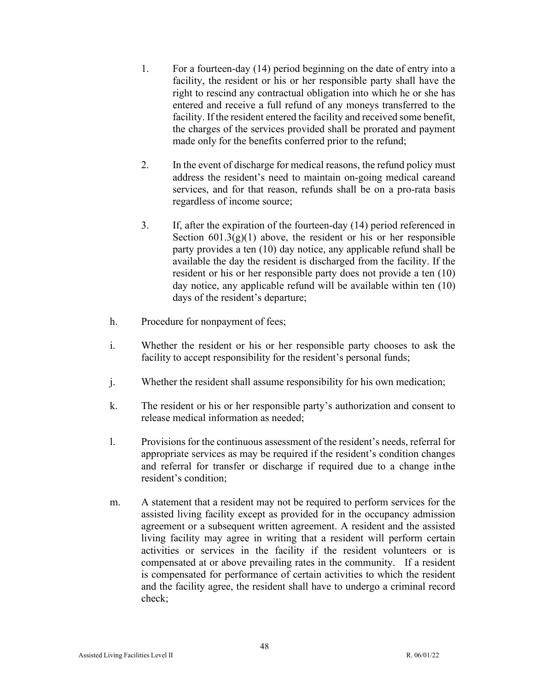- 1. For a fourteen-day (14) period beginning on the date of entry into a facility, the resident or his or her responsible party shall have the right to rescind any contractual obligation into which he or she has entered and receive a full refund of any moneys transferred to the facility. If the resident entered the facility and received some benefit, the charges of the services provided shall be prorated and payment made only for the benefits conferred prior to the refund;
- 2. In the event of discharge for medical reasons, the refund policy must address the resident's need to maintain on-going medical careand services, and for that reason, refunds shall be on a pro-rata basis regardless of income source;
- 3. If, after the expiration of the fourteen-day (14) period referenced in Section  $601.3(g)(1)$  above, the resident or his or her responsible party provides a ten (10) day notice, any applicable refund shall be available the day the resident is discharged from the facility. If the resident or his or her responsible party does not provide a ten (10) day notice, any applicable refund will be available within ten (10) days of the resident's departure;
- h. Procedure for nonpayment of fees;
- i. Whether the resident or his or her responsible party chooses to ask the facility to accept responsibility for the resident's personal funds;
- j. Whether the resident shall assume responsibility for his own medication;
- k. The resident or his or her responsible party's authorization and consent to release medical information as needed;
- l. Provisions for the continuous assessment of the resident's needs, referral for appropriate services as may be required if the resident's condition changes and referral for transfer or discharge if required due to a change inthe resident's condition;
- m. A statement that a resident may not be required to perform services for the assisted living facility except as provided for in the occupancy admission agreement or a subsequent written agreement. A resident and the assisted living facility may agree in writing that a resident will perform certain activities or services in the facility if the resident volunteers or is compensated at or above prevailing rates in the community. If a resident is compensated for performance of certain activities to which the resident and the facility agree, the resident shall have to undergo a criminal record check;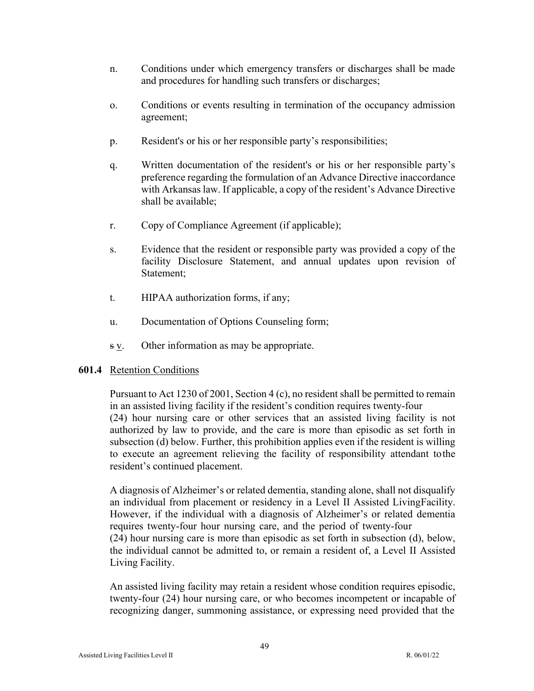- n. Conditions under which emergency transfers or discharges shall be made and procedures for handling such transfers or discharges;
- o. Conditions or events resulting in termination of the occupancy admission agreement;
- p. Resident's or his or her responsible party's responsibilities;
- q. Written documentation of the resident's or his or her responsible party's preference regarding the formulation of an Advance Directive inaccordance with Arkansas law. If applicable, a copy of the resident's Advance Directive shall be available;
- r. Copy of Compliance Agreement (if applicable);
- s. Evidence that the resident or responsible party was provided a copy of the facility Disclosure Statement, and annual updates upon revision of Statement;
- t. HIPAA authorization forms, if any;
- u. Documentation of Options Counseling form;
- s v. Other information as may be appropriate.

### **601.4** Retention Conditions

Pursuant to Act 1230 of 2001, Section 4 (c), no resident shall be permitted to remain in an assisted living facility if the resident's condition requires twenty-four (24) hour nursing care or other services that an assisted living facility is not authorized by law to provide, and the care is more than episodic as set forth in subsection (d) below. Further, this prohibition applies even if the resident is willing to execute an agreement relieving the facility of responsibility attendant to the resident's continued placement.

A diagnosis of Alzheimer's or related dementia, standing alone, shall not disqualify an individual from placement or residency in a Level II Assisted LivingFacility. However, if the individual with a diagnosis of Alzheimer's or related dementia requires twenty-four hour nursing care, and the period of twenty-four (24) hour nursing care is more than episodic as set forth in subsection (d), below, the individual cannot be admitted to, or remain a resident of, a Level II Assisted Living Facility.

An assisted living facility may retain a resident whose condition requires episodic, twenty-four (24) hour nursing care, or who becomes incompetent or incapable of recognizing danger, summoning assistance, or expressing need provided that the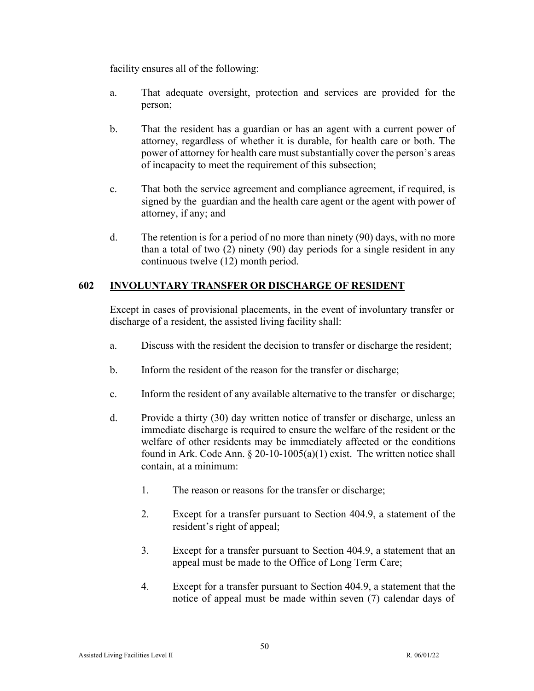facility ensures all of the following:

- a. That adequate oversight, protection and services are provided for the person;
- b. That the resident has a guardian or has an agent with a current power of attorney, regardless of whether it is durable, for health care or both. The power of attorney for health care must substantially cover the person's areas of incapacity to meet the requirement of this subsection;
- c. That both the service agreement and compliance agreement, if required, is signed by the guardian and the health care agent or the agent with power of attorney, if any; and
- d. The retention is for a period of no more than ninety (90) days, with no more than a total of two (2) ninety (90) day periods for a single resident in any continuous twelve (12) month period.

## **602 INVOLUNTARY TRANSFER OR DISCHARGE OF RESIDENT**

Except in cases of provisional placements, in the event of involuntary transfer or discharge of a resident, the assisted living facility shall:

- a. Discuss with the resident the decision to transfer or discharge the resident;
- b. Inform the resident of the reason for the transfer or discharge;
- c. Inform the resident of any available alternative to the transfer or discharge;
- d. Provide a thirty (30) day written notice of transfer or discharge, unless an immediate discharge is required to ensure the welfare of the resident or the welfare of other residents may be immediately affected or the conditions found in Ark. Code Ann.  $\S 20-10-1005(a)(1)$  exist. The written notice shall contain, at a minimum:
	- 1. The reason or reasons for the transfer or discharge;
	- 2. Except for a transfer pursuant to Section 404.9, a statement of the resident's right of appeal;
	- 3. Except for a transfer pursuant to Section 404.9, a statement that an appeal must be made to the Office of Long Term Care;
	- 4. Except for a transfer pursuant to Section 404.9, a statement that the notice of appeal must be made within seven (7) calendar days of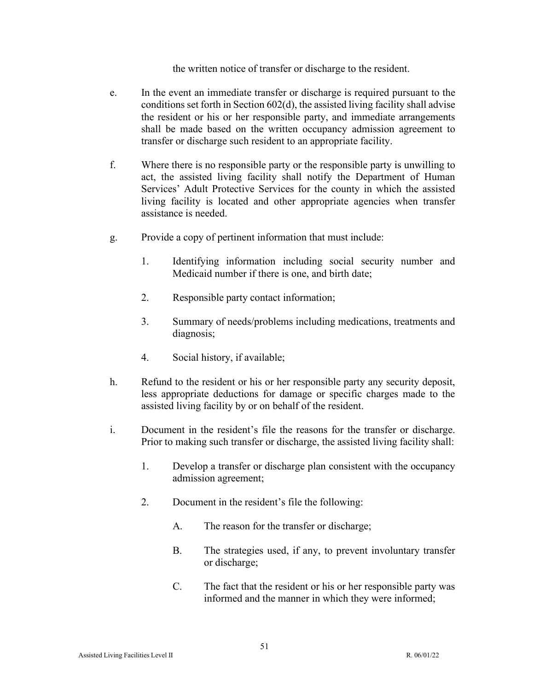the written notice of transfer or discharge to the resident.

- e. In the event an immediate transfer or discharge is required pursuant to the conditions set forth in Section 602(d), the assisted living facility shall advise the resident or his or her responsible party, and immediate arrangements shall be made based on the written occupancy admission agreement to transfer or discharge such resident to an appropriate facility.
- f. Where there is no responsible party or the responsible party is unwilling to act, the assisted living facility shall notify the Department of Human Services' Adult Protective Services for the county in which the assisted living facility is located and other appropriate agencies when transfer assistance is needed.
- g. Provide a copy of pertinent information that must include:
	- 1. Identifying information including social security number and Medicaid number if there is one, and birth date;
	- 2. Responsible party contact information;
	- 3. Summary of needs/problems including medications, treatments and diagnosis;
	- 4. Social history, if available;
- h. Refund to the resident or his or her responsible party any security deposit, less appropriate deductions for damage or specific charges made to the assisted living facility by or on behalf of the resident.
- i. Document in the resident's file the reasons for the transfer or discharge. Prior to making such transfer or discharge, the assisted living facility shall:
	- 1. Develop a transfer or discharge plan consistent with the occupancy admission agreement;
	- 2. Document in the resident's file the following:
		- A. The reason for the transfer or discharge;
		- B. The strategies used, if any, to prevent involuntary transfer or discharge;
		- C. The fact that the resident or his or her responsible party was informed and the manner in which they were informed;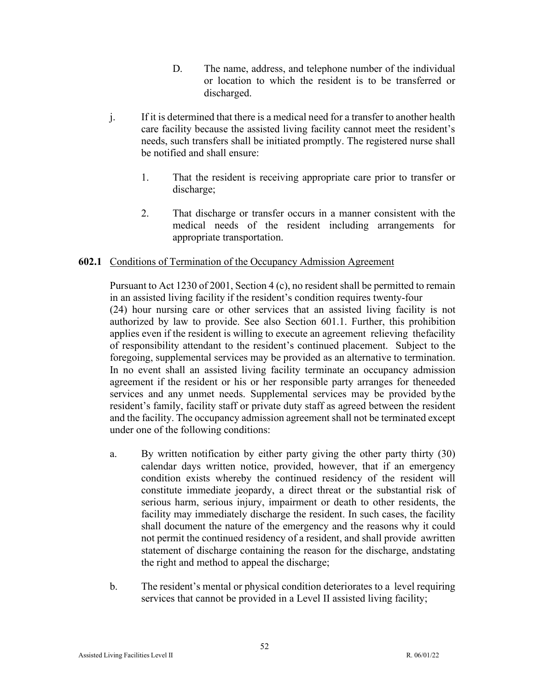- D. The name, address, and telephone number of the individual or location to which the resident is to be transferred or discharged.
- j. If it is determined that there is a medical need for a transfer to another health care facility because the assisted living facility cannot meet the resident's needs, such transfers shall be initiated promptly. The registered nurse shall be notified and shall ensure:
	- 1. That the resident is receiving appropriate care prior to transfer or discharge;
	- 2. That discharge or transfer occurs in a manner consistent with the medical needs of the resident including arrangements for appropriate transportation.

## **602.1** Conditions of Termination of the Occupancy Admission Agreement

Pursuant to Act 1230 of 2001, Section 4 (c), no resident shall be permitted to remain in an assisted living facility if the resident's condition requires twenty-four

(24) hour nursing care or other services that an assisted living facility is not authorized by law to provide. See also Section 601.1. Further, this prohibition applies even if the resident is willing to execute an agreement relieving the facility of responsibility attendant to the resident's continued placement. Subject to the foregoing, supplemental services may be provided as an alternative to termination. In no event shall an assisted living facility terminate an occupancy admission agreement if the resident or his or her responsible party arranges for theneeded services and any unmet needs. Supplemental services may be provided by the resident's family, facility staff or private duty staff as agreed between the resident and the facility. The occupancy admission agreement shall not be terminated except under one of the following conditions:

- a. By written notification by either party giving the other party thirty (30) calendar days written notice, provided, however, that if an emergency condition exists whereby the continued residency of the resident will constitute immediate jeopardy, a direct threat or the substantial risk of serious harm, serious injury, impairment or death to other residents, the facility may immediately discharge the resident. In such cases, the facility shall document the nature of the emergency and the reasons why it could not permit the continued residency of a resident, and shall provide awritten statement of discharge containing the reason for the discharge, andstating the right and method to appeal the discharge;
- b. The resident's mental or physical condition deteriorates to a level requiring services that cannot be provided in a Level II assisted living facility;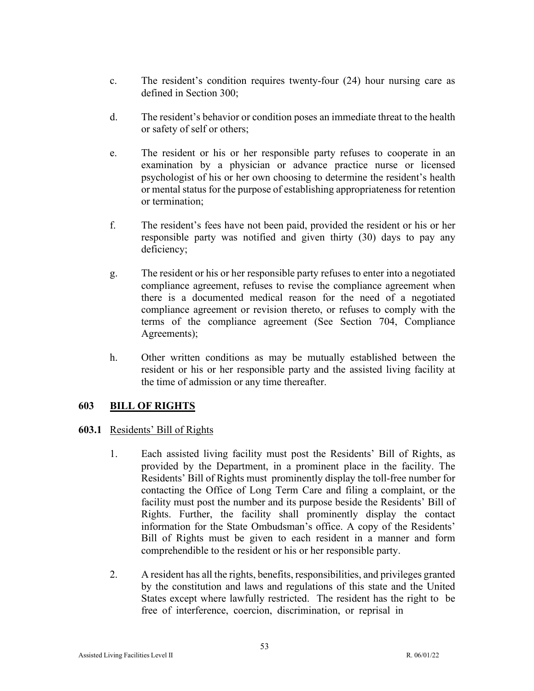- c. The resident's condition requires twenty-four (24) hour nursing care as defined in Section 300;
- d. The resident's behavior or condition poses an immediate threat to the health or safety of self or others;
- e. The resident or his or her responsible party refuses to cooperate in an examination by a physician or advance practice nurse or licensed psychologist of his or her own choosing to determine the resident's health or mental status for the purpose of establishing appropriateness for retention or termination;
- f. The resident's fees have not been paid, provided the resident or his or her responsible party was notified and given thirty (30) days to pay any deficiency;
- g. The resident or his or her responsible party refuses to enter into a negotiated compliance agreement, refuses to revise the compliance agreement when there is a documented medical reason for the need of a negotiated compliance agreement or revision thereto, or refuses to comply with the terms of the compliance agreement (See Section 704, Compliance Agreements);
- h. Other written conditions as may be mutually established between the resident or his or her responsible party and the assisted living facility at the time of admission or any time thereafter.

# **603 BILL OF RIGHTS**

### **603.1** Residents' Bill of Rights

- 1. Each assisted living facility must post the Residents' Bill of Rights, as provided by the Department, in a prominent place in the facility. The Residents' Bill of Rights must prominently display the toll-free number for contacting the Office of Long Term Care and filing a complaint, or the facility must post the number and its purpose beside the Residents' Bill of Rights. Further, the facility shall prominently display the contact information for the State Ombudsman's office. A copy of the Residents' Bill of Rights must be given to each resident in a manner and form comprehendible to the resident or his or her responsible party.
- 2. A resident has all the rights, benefits, responsibilities, and privileges granted by the constitution and laws and regulations of this state and the United States except where lawfully restricted. The resident has the right to be free of interference, coercion, discrimination, or reprisal in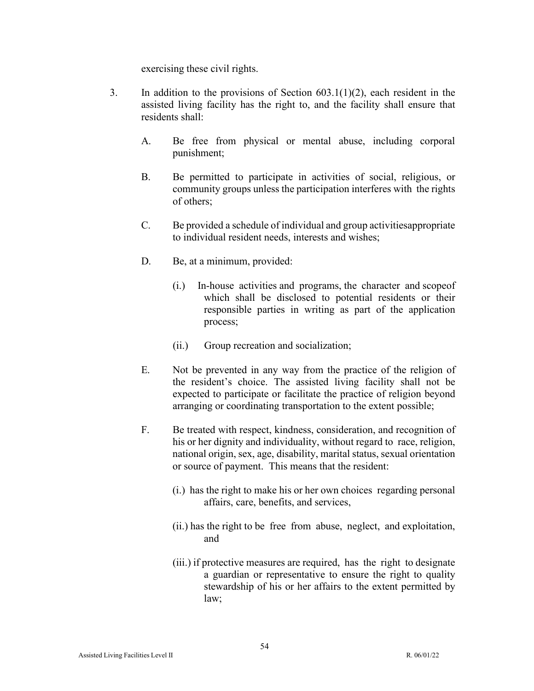exercising these civil rights.

- 3. In addition to the provisions of Section  $603.1(1)(2)$ , each resident in the assisted living facility has the right to, and the facility shall ensure that residents shall:
	- A. Be free from physical or mental abuse, including corporal punishment;
	- B. Be permitted to participate in activities of social, religious, or community groups unless the participation interferes with the rights of others;
	- C. Be provided a schedule of individual and group activitiesappropriate to individual resident needs, interests and wishes;
	- D. Be, at a minimum, provided:
		- (i.) In-house activities and programs, the character and scopeof which shall be disclosed to potential residents or their responsible parties in writing as part of the application process;
		- (ii.) Group recreation and socialization;
	- E. Not be prevented in any way from the practice of the religion of the resident's choice. The assisted living facility shall not be expected to participate or facilitate the practice of religion beyond arranging or coordinating transportation to the extent possible;
	- F. Be treated with respect, kindness, consideration, and recognition of his or her dignity and individuality, without regard to race, religion, national origin, sex, age, disability, marital status, sexual orientation or source of payment. This means that the resident:
		- (i.) has the right to make his or her own choices regarding personal affairs, care, benefits, and services,
		- (ii.) has the right to be free from abuse, neglect, and exploitation, and
		- (iii.) if protective measures are required, has the right to designate a guardian or representative to ensure the right to quality stewardship of his or her affairs to the extent permitted by law;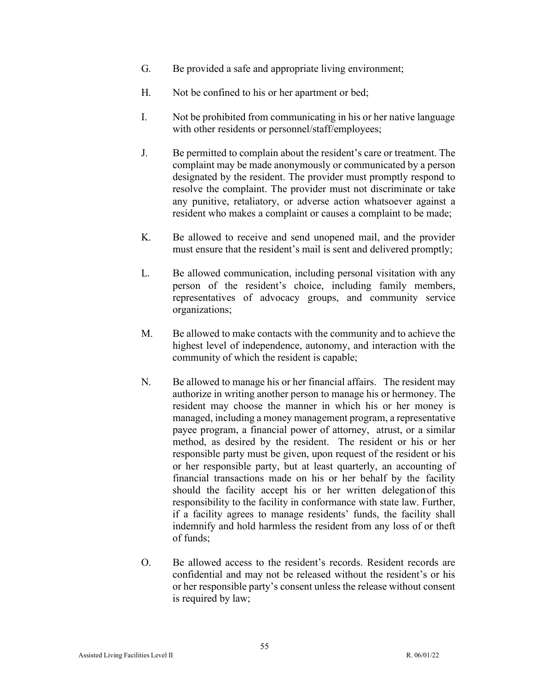- G. Be provided a safe and appropriate living environment;
- H. Not be confined to his or her apartment or bed;
- I. Not be prohibited from communicating in his or her native language with other residents or personnel/staff/employees;
- J. Be permitted to complain about the resident's care or treatment. The complaint may be made anonymously or communicated by a person designated by the resident. The provider must promptly respond to resolve the complaint. The provider must not discriminate or take any punitive, retaliatory, or adverse action whatsoever against a resident who makes a complaint or causes a complaint to be made;
- K. Be allowed to receive and send unopened mail, and the provider must ensure that the resident's mail is sent and delivered promptly;
- L. Be allowed communication, including personal visitation with any person of the resident's choice, including family members, representatives of advocacy groups, and community service organizations;
- M. Be allowed to make contacts with the community and to achieve the highest level of independence, autonomy, and interaction with the community of which the resident is capable;
- N. Be allowed to manage his or her financial affairs. The resident may authorize in writing another person to manage his or hermoney. The resident may choose the manner in which his or her money is managed, including a money management program, a representative payee program, a financial power of attorney, atrust, or a similar method, as desired by the resident. The resident or his or her responsible party must be given, upon request of the resident or his or her responsible party, but at least quarterly, an accounting of financial transactions made on his or her behalf by the facility should the facility accept his or her written delegationof this responsibility to the facility in conformance with state law. Further, if a facility agrees to manage residents' funds, the facility shall indemnify and hold harmless the resident from any loss of or theft of funds;
- O. Be allowed access to the resident's records. Resident records are confidential and may not be released without the resident's or his or her responsible party's consent unless the release without consent is required by law;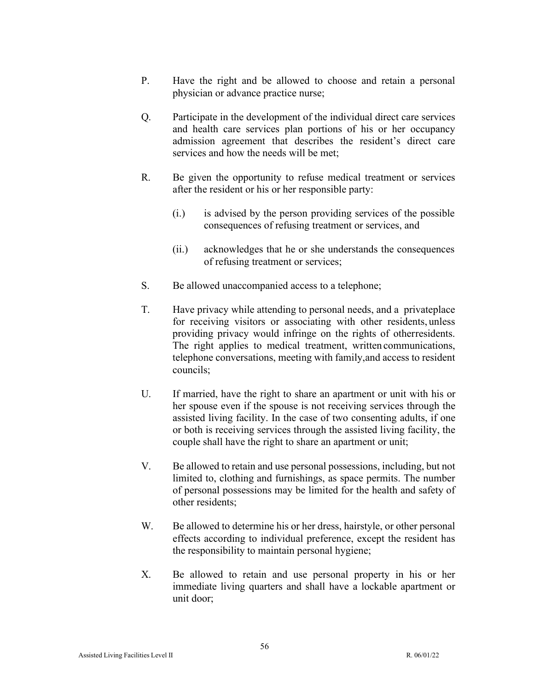- P. Have the right and be allowed to choose and retain a personal physician or advance practice nurse;
- Q. Participate in the development of the individual direct care services and health care services plan portions of his or her occupancy admission agreement that describes the resident's direct care services and how the needs will be met;
- R. Be given the opportunity to refuse medical treatment or services after the resident or his or her responsible party:
	- (i.) is advised by the person providing services of the possible consequences of refusing treatment or services, and
	- (ii.) acknowledges that he or she understands the consequences of refusing treatment or services;
- S. Be allowed unaccompanied access to a telephone;
- T. Have privacy while attending to personal needs, and a privateplace for receiving visitors or associating with other residents, unless providing privacy would infringe on the rights of otherresidents. The right applies to medical treatment, written communications, telephone conversations, meeting with family,and access to resident councils;
- U. If married, have the right to share an apartment or unit with his or her spouse even if the spouse is not receiving services through the assisted living facility. In the case of two consenting adults, if one or both is receiving services through the assisted living facility, the couple shall have the right to share an apartment or unit;
- V. Be allowed to retain and use personal possessions, including, but not limited to, clothing and furnishings, as space permits. The number of personal possessions may be limited for the health and safety of other residents;
- W. Be allowed to determine his or her dress, hairstyle, or other personal effects according to individual preference, except the resident has the responsibility to maintain personal hygiene;
- X. Be allowed to retain and use personal property in his or her immediate living quarters and shall have a lockable apartment or unit door;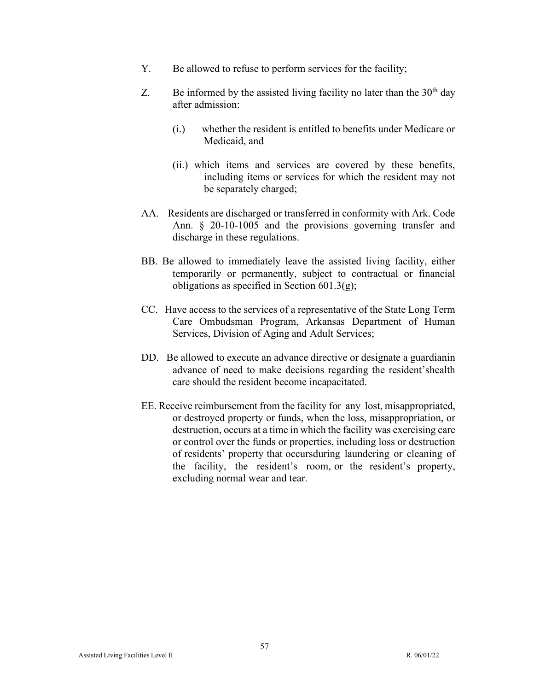- Y. Be allowed to refuse to perform services for the facility;
- Z. Be informed by the assisted living facility no later than the  $30<sup>th</sup>$  day after admission:
	- (i.) whether the resident is entitled to benefits under Medicare or Medicaid, and
	- (ii.) which items and services are covered by these benefits, including items or services for which the resident may not be separately charged;
- AA. Residents are discharged or transferred in conformity with Ark. Code Ann. § 20-10-1005 and the provisions governing transfer and discharge in these regulations.
- BB. Be allowed to immediately leave the assisted living facility, either temporarily or permanently, subject to contractual or financial obligations as specified in Section  $601.3(g)$ ;
- CC. Have access to the services of a representative of the State Long Term Care Ombudsman Program, Arkansas Department of Human Services, Division of Aging and Adult Services;
- DD. Be allowed to execute an advance directive or designate a guardianin advance of need to make decisions regarding the resident'shealth care should the resident become incapacitated.
- EE. Receive reimbursement from the facility for any lost, misappropriated, or destroyed property or funds, when the loss, misappropriation, or destruction, occurs at a time in which the facility was exercising care or control over the funds or properties, including loss or destruction of residents' property that occursduring laundering or cleaning of the facility, the resident's room, or the resident's property, excluding normal wear and tear.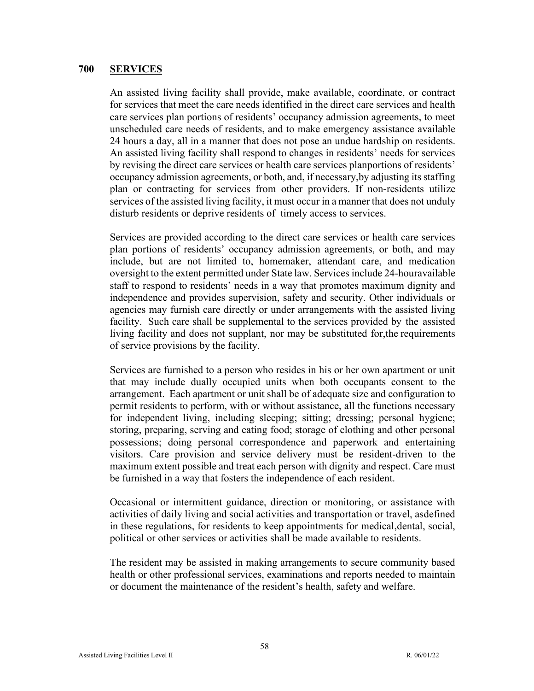#### **700 SERVICES**

An assisted living facility shall provide, make available, coordinate, or contract for services that meet the care needs identified in the direct care services and health care services plan portions of residents' occupancy admission agreements, to meet unscheduled care needs of residents, and to make emergency assistance available 24 hours a day, all in a manner that does not pose an undue hardship on residents. An assisted living facility shall respond to changes in residents' needs for services by revising the direct care services or health care services planportions of residents' occupancy admission agreements, or both, and, if necessary,by adjusting its staffing plan or contracting for services from other providers. If non-residents utilize services of the assisted living facility, it must occur in a manner that does not unduly disturb residents or deprive residents of timely access to services.

Services are provided according to the direct care services or health care services plan portions of residents' occupancy admission agreements, or both, and may include, but are not limited to, homemaker, attendant care, and medication oversight to the extent permitted under State law. Services include 24-hour available staff to respond to residents' needs in a way that promotes maximum dignity and independence and provides supervision, safety and security. Other individuals or agencies may furnish care directly or under arrangements with the assisted living facility. Such care shall be supplemental to the services provided by the assisted living facility and does not supplant, nor may be substituted for, the requirements of service provisions by the facility.

Services are furnished to a person who resides in his or her own apartment or unit that may include dually occupied units when both occupants consent to the arrangement. Each apartment or unit shall be of adequate size and configuration to permit residents to perform, with or without assistance, all the functions necessary for independent living, including sleeping; sitting; dressing; personal hygiene; storing, preparing, serving and eating food; storage of clothing and other personal possessions; doing personal correspondence and paperwork and entertaining visitors. Care provision and service delivery must be resident-driven to the maximum extent possible and treat each person with dignity and respect. Care must be furnished in a way that fosters the independence of each resident.

Occasional or intermittent guidance, direction or monitoring, or assistance with activities of daily living and social activities and transportation or travel, asdefined in these regulations, for residents to keep appointments for medical,dental, social, political or other services or activities shall be made available to residents.

The resident may be assisted in making arrangements to secure community based health or other professional services, examinations and reports needed to maintain or document the maintenance of the resident's health, safety and welfare.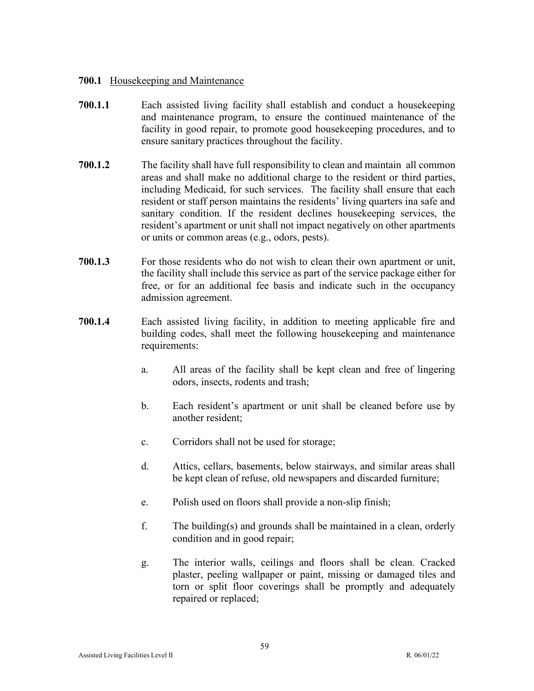### **700.1** Housekeeping and Maintenance

- **700.1.1** Each assisted living facility shall establish and conduct a housekeeping and maintenance program, to ensure the continued maintenance of the facility in good repair, to promote good housekeeping procedures, and to ensure sanitary practices throughout the facility.
- **700.1.2** The facility shall have full responsibility to clean and maintain all common areas and shall make no additional charge to the resident or third parties, including Medicaid, for such services. The facility shall ensure that each resident or staff person maintains the residents' living quarters ina safe and sanitary condition. If the resident declines housekeeping services, the resident's apartment or unit shall not impact negatively on other apartments or units or common areas (e.g., odors, pests).
- **700.1.3** For those residents who do not wish to clean their own apartment or unit, the facility shall include this service as part of the service package either for free, or for an additional fee basis and indicate such in the occupancy admission agreement.
- **700.1.4** Each assisted living facility, in addition to meeting applicable fire and building codes, shall meet the following housekeeping and maintenance requirements:
	- a. All areas of the facility shall be kept clean and free of lingering odors, insects, rodents and trash;
	- b. Each resident's apartment or unit shall be cleaned before use by another resident;
	- c. Corridors shall not be used for storage;
	- d. Attics, cellars, basements, below stairways, and similar areas shall be kept clean of refuse, old newspapers and discarded furniture;
	- e. Polish used on floors shall provide a non-slip finish;
	- f. The building(s) and grounds shall be maintained in a clean, orderly condition and in good repair;
	- g. The interior walls, ceilings and floors shall be clean. Cracked plaster, peeling wallpaper or paint, missing or damaged tiles and torn or split floor coverings shall be promptly and adequately repaired or replaced;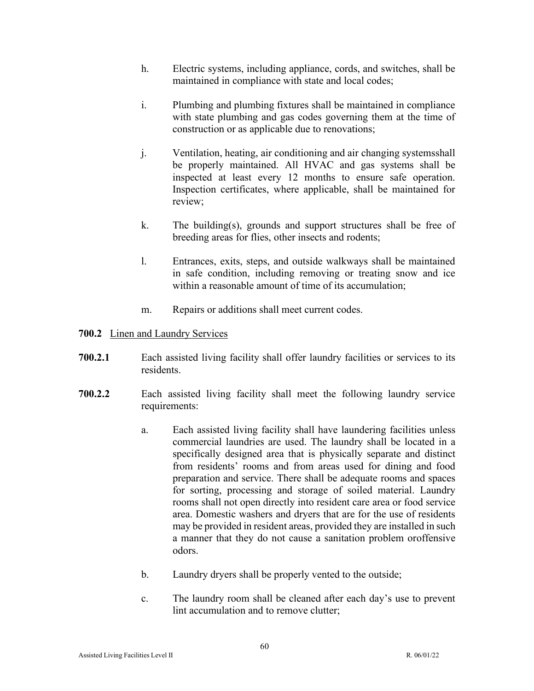- h. Electric systems, including appliance, cords, and switches, shall be maintained in compliance with state and local codes;
- i. Plumbing and plumbing fixtures shall be maintained in compliance with state plumbing and gas codes governing them at the time of construction or as applicable due to renovations;
- j. Ventilation, heating, air conditioning and air changing systemsshall be properly maintained. All HVAC and gas systems shall be inspected at least every 12 months to ensure safe operation. Inspection certificates, where applicable, shall be maintained for review;
- k. The building(s), grounds and support structures shall be free of breeding areas for flies, other insects and rodents;
- l. Entrances, exits, steps, and outside walkways shall be maintained in safe condition, including removing or treating snow and ice within a reasonable amount of time of its accumulation;
- m. Repairs or additions shall meet current codes.

## **700.2** Linen and Laundry Services

- **700.2.1** Each assisted living facility shall offer laundry facilities or services to its residents.
- **700.2.2** Each assisted living facility shall meet the following laundry service requirements:
	- a. Each assisted living facility shall have laundering facilities unless commercial laundries are used. The laundry shall be located in a specifically designed area that is physically separate and distinct from residents' rooms and from areas used for dining and food preparation and service. There shall be adequate rooms and spaces for sorting, processing and storage of soiled material. Laundry rooms shall not open directly into resident care area or food service area. Domestic washers and dryers that are for the use of residents may be provided in resident areas, provided they are installed in such a manner that they do not cause a sanitation problem or offensive odors.
	- b. Laundry dryers shall be properly vented to the outside;
	- c. The laundry room shall be cleaned after each day's use to prevent lint accumulation and to remove clutter;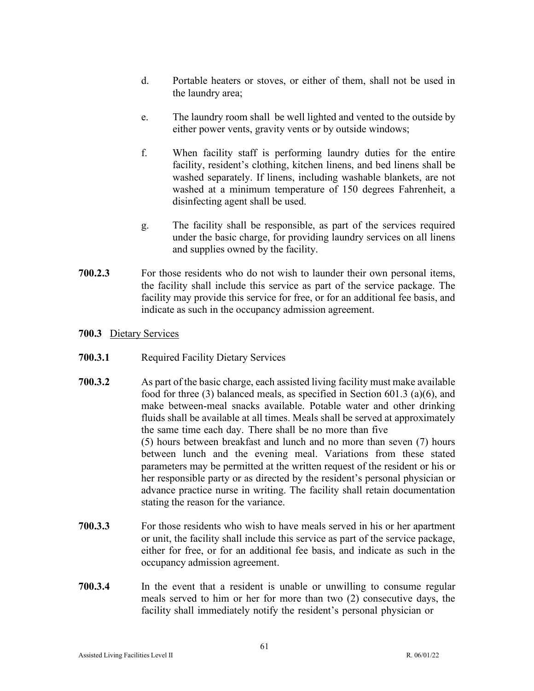- d. Portable heaters or stoves, or either of them, shall not be used in the laundry area;
- e. The laundry room shall be well lighted and vented to the outside by either power vents, gravity vents or by outside windows;
- f. When facility staff is performing laundry duties for the entire facility, resident's clothing, kitchen linens, and bed linens shall be washed separately. If linens, including washable blankets, are not washed at a minimum temperature of 150 degrees Fahrenheit, a disinfecting agent shall be used.
- g. The facility shall be responsible, as part of the services required under the basic charge, for providing laundry services on all linens and supplies owned by the facility.
- **700.2.3** For those residents who do not wish to launder their own personal items, the facility shall include this service as part of the service package. The facility may provide this service for free, or for an additional fee basis, and indicate as such in the occupancy admission agreement.
- **700.3** Dietary Services
- **700.3.1** Required Facility Dietary Services
- **700.3.2** As part of the basic charge, each assisted living facility must make available food for three (3) balanced meals, as specified in Section 601.3 (a)(6), and make between-meal snacks available. Potable water and other drinking fluids shall be available at all times. Meals shall be served at approximately the same time each day. There shall be no more than five (5) hours between breakfast and lunch and no more than seven (7) hours between lunch and the evening meal. Variations from these stated parameters may be permitted at the written request of the resident or his or her responsible party or as directed by the resident's personal physician or advance practice nurse in writing. The facility shall retain documentation stating the reason for the variance.
- **700.3.3** For those residents who wish to have meals served in his or her apartment or unit, the facility shall include this service as part of the service package, either for free, or for an additional fee basis, and indicate as such in the occupancy admission agreement.
- **700.3.4** In the event that a resident is unable or unwilling to consume regular meals served to him or her for more than two (2) consecutive days, the facility shall immediately notify the resident's personal physician or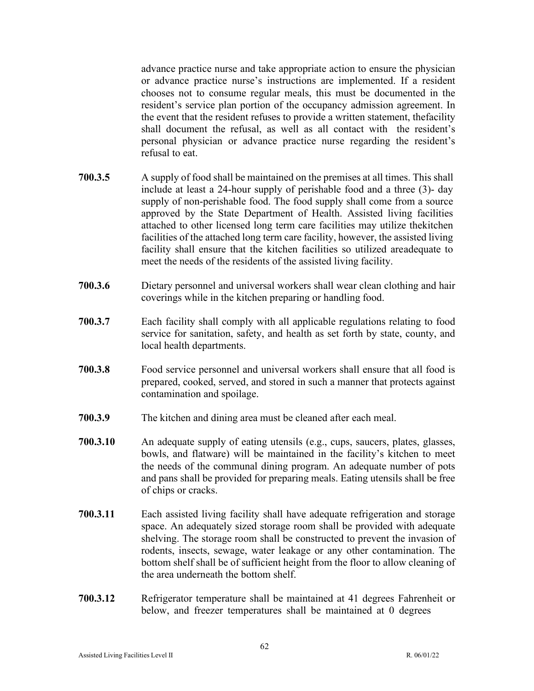advance practice nurse and take appropriate action to ensure the physician or advance practice nurse's instructions are implemented. If a resident chooses not to consume regular meals, this must be documented in the resident's service plan portion of the occupancy admission agreement. In the event that the resident refuses to provide a written statement, thefacility shall document the refusal, as well as all contact with the resident's personal physician or advance practice nurse regarding the resident's refusal to eat.

- **700.3.5** A supply of food shall be maintained on the premises at all times. This shall include at least a 24-hour supply of perishable food and a three (3)- day supply of non-perishable food. The food supply shall come from a source approved by the State Department of Health. Assisted living facilities attached to other licensed long term care facilities may utilize thekitchen facilities of the attached long term care facility, however, the assisted living facility shall ensure that the kitchen facilities so utilized areadequate to meet the needs of the residents of the assisted living facility.
- **700.3.6** Dietary personnel and universal workers shall wear clean clothing and hair coverings while in the kitchen preparing or handling food.
- **700.3.7** Each facility shall comply with all applicable regulations relating to food service for sanitation, safety, and health as set forth by state, county, and local health departments.
- **700.3.8** Food service personnel and universal workers shall ensure that all food is prepared, cooked, served, and stored in such a manner that protects against contamination and spoilage.
- **700.3.9** The kitchen and dining area must be cleaned after each meal.
- **700.3.10** An adequate supply of eating utensils (e.g., cups, saucers, plates, glasses, bowls, and flatware) will be maintained in the facility's kitchen to meet the needs of the communal dining program. An adequate number of pots and pans shall be provided for preparing meals. Eating utensils shall be free of chips or cracks.
- **700.3.11** Each assisted living facility shall have adequate refrigeration and storage space. An adequately sized storage room shall be provided with adequate shelving. The storage room shall be constructed to prevent the invasion of rodents, insects, sewage, water leakage or any other contamination. The bottom shelf shall be of sufficient height from the floor to allow cleaning of the area underneath the bottom shelf.
- **700.3.12** Refrigerator temperature shall be maintained at 41 degrees Fahrenheit or below, and freezer temperatures shall be maintained at 0 degrees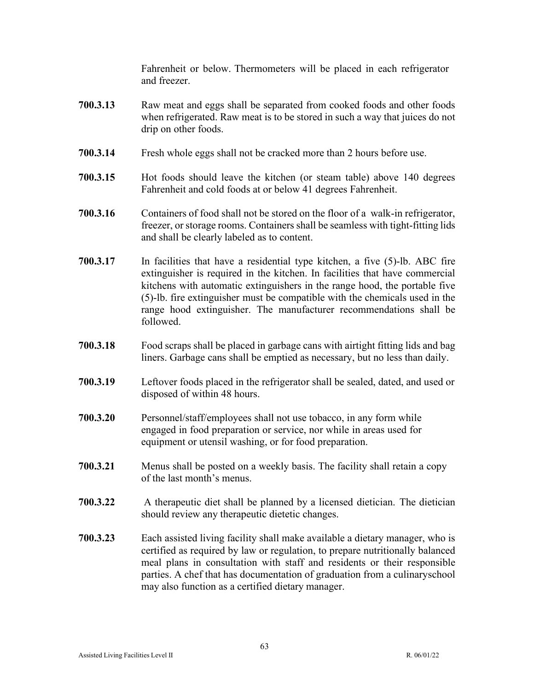Fahrenheit or below. Thermometers will be placed in each refrigerator and freezer.

- **700.3.13** Raw meat and eggs shall be separated from cooked foods and other foods when refrigerated. Raw meat is to be stored in such a way that juices do not drip on other foods.
- **700.3.14** Fresh whole eggs shall not be cracked more than 2 hours before use.
- **700.3.15** Hot foods should leave the kitchen (or steam table) above 140 degrees Fahrenheit and cold foods at or below 41 degrees Fahrenheit.
- **700.3.16** Containers of food shall not be stored on the floor of a walk-in refrigerator, freezer, or storage rooms. Containers shall be seamless with tight-fitting lids and shall be clearly labeled as to content.
- **700.3.17** In facilities that have a residential type kitchen, a five (5)-lb. ABC fire extinguisher is required in the kitchen. In facilities that have commercial kitchens with automatic extinguishers in the range hood, the portable five (5)-lb. fire extinguisher must be compatible with the chemicals used in the range hood extinguisher. The manufacturer recommendations shall be followed.
- **700.3.18** Food scraps shall be placed in garbage cans with airtight fitting lids and bag liners. Garbage cans shall be emptied as necessary, but no less than daily.
- **700.3.19** Leftover foods placed in the refrigerator shall be sealed, dated, and used or disposed of within 48 hours.
- **700.3.20** Personnel/staff/employees shall not use tobacco, in any form while engaged in food preparation or service, nor while in areas used for equipment or utensil washing, or for food preparation.
- **700.3.21** Menus shall be posted on a weekly basis. The facility shall retain a copy of the last month's menus.
- **700.3.22** A therapeutic diet shall be planned by a licensed dietician. The dietician should review any therapeutic dietetic changes.
- **700.3.23** Each assisted living facility shall make available a dietary manager, who is certified as required by law or regulation, to prepare nutritionally balanced meal plans in consultation with staff and residents or their responsible parties. A chef that has documentation of graduation from a culinaryschool may also function as a certified dietary manager.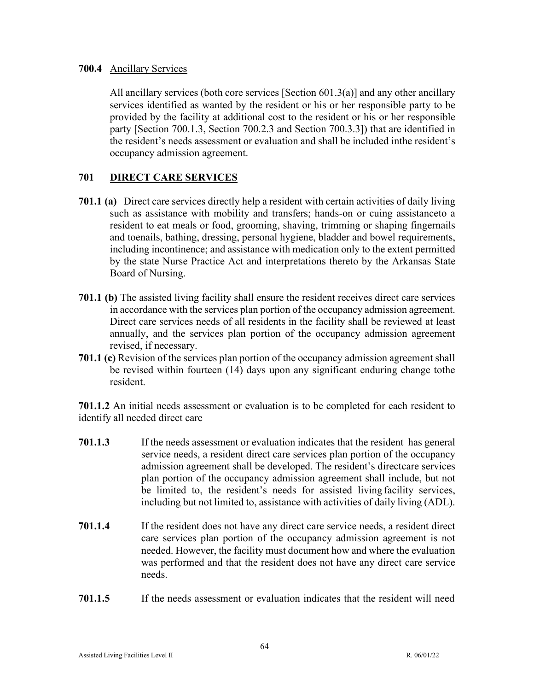### **700.4** Ancillary Services

All ancillary services (both core services [Section 601.3(a)] and any other ancillary services identified as wanted by the resident or his or her responsible party to be provided by the facility at additional cost to the resident or his or her responsible party [Section 700.1.3, Section 700.2.3 and Section 700.3.3]) that are identified in the resident's needs assessment or evaluation and shall be included in the resident's occupancy admission agreement.

# **701 DIRECT CARE SERVICES**

- **701.1 (a)** Direct care services directly help a resident with certain activities of daily living such as assistance with mobility and transfers; hands-on or cuing assistanceto a resident to eat meals or food, grooming, shaving, trimming or shaping fingernails and toenails, bathing, dressing, personal hygiene, bladder and bowel requirements, including incontinence; and assistance with medication only to the extent permitted by the state Nurse Practice Act and interpretations thereto by the Arkansas State Board of Nursing.
- **701.1 (b)** The assisted living facility shall ensure the resident receives direct care services in accordance with the services plan portion of the occupancy admission agreement. Direct care services needs of all residents in the facility shall be reviewed at least annually, and the services plan portion of the occupancy admission agreement revised, if necessary.
- **701.1 (c)** Revision of the services plan portion of the occupancy admission agreement shall be revised within fourteen (14) days upon any significant enduring change tothe resident.

**701.1.2** An initial needs assessment or evaluation is to be completed for each resident to identify all needed direct care

- **701.1.3** If the needs assessment or evaluation indicates that the resident has general service needs, a resident direct care services plan portion of the occupancy admission agreement shall be developed. The resident's directcare services plan portion of the occupancy admission agreement shall include, but not be limited to, the resident's needs for assisted living facility services, including but not limited to, assistance with activities of daily living (ADL).
- **701.1.4** If the resident does not have any direct care service needs, a resident direct care services plan portion of the occupancy admission agreement is not needed. However, the facility must document how and where the evaluation was performed and that the resident does not have any direct care service needs.
- **701.1.5** If the needs assessment or evaluation indicates that the resident will need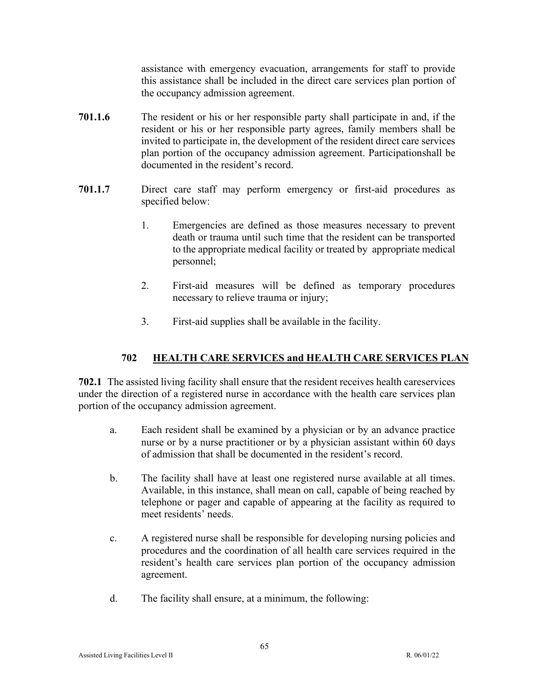assistance with emergency evacuation, arrangements for staff to provide this assistance shall be included in the direct care services plan portion of the occupancy admission agreement.

- **701.1.6** The resident or his or her responsible party shall participate in and, if the resident or his or her responsible party agrees, family members shall be invited to participate in, the development of the resident direct care services plan portion of the occupancy admission agreement. Participationshall be documented in the resident's record.
- **701.1.7** Direct care staff may perform emergency or first-aid procedures as specified below:
	- 1. Emergencies are defined as those measures necessary to prevent death or trauma until such time that the resident can be transported to the appropriate medical facility or treated by appropriate medical personnel;
	- 2. First-aid measures will be defined as temporary procedures necessary to relieve trauma or injury;
	- 3. First-aid supplies shall be available in the facility.

# **702 HEALTH CARE SERVICES and HEALTH CARE SERVICES PLAN**

**702.1** The assisted living facility shall ensure that the resident receives health careservices under the direction of a registered nurse in accordance with the health care services plan portion of the occupancy admission agreement.

- a. Each resident shall be examined by a physician or by an advance practice nurse or by a nurse practitioner or by a physician assistant within 60 days of admission that shall be documented in the resident's record.
- b. The facility shall have at least one registered nurse available at all times. Available, in this instance, shall mean on call, capable of being reached by telephone or pager and capable of appearing at the facility as required to meet residents' needs.
- c. A registered nurse shall be responsible for developing nursing policies and procedures and the coordination of all health care services required in the resident's health care services plan portion of the occupancy admission agreement.
- d. The facility shall ensure, at a minimum, the following: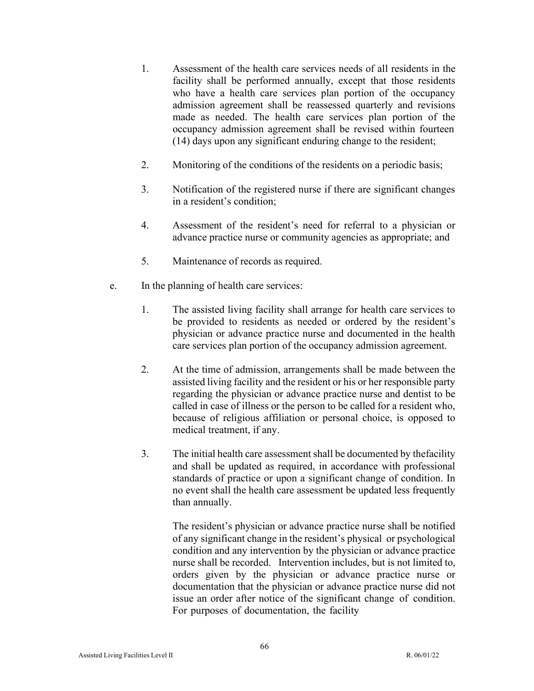- 1. Assessment of the health care services needs of all residents in the facility shall be performed annually, except that those residents who have a health care services plan portion of the occupancy admission agreement shall be reassessed quarterly and revisions made as needed. The health care services plan portion of the occupancy admission agreement shall be revised within fourteen (14) days upon any significant enduring change to the resident;
- 2. Monitoring of the conditions of the residents on a periodic basis;
- 3. Notification of the registered nurse if there are significant changes in a resident's condition;
- 4. Assessment of the resident's need for referral to a physician or advance practice nurse or community agencies as appropriate; and
- 5. Maintenance of records as required.
- e. In the planning of health care services:
	- 1. The assisted living facility shall arrange for health care services to be provided to residents as needed or ordered by the resident's physician or advance practice nurse and documented in the health care services plan portion of the occupancy admission agreement.
	- 2. At the time of admission, arrangements shall be made between the assisted living facility and the resident or his or her responsible party regarding the physician or advance practice nurse and dentist to be called in case of illness or the person to be called for a resident who, because of religious affiliation or personal choice, is opposed to medical treatment, if any.
	- 3. The initial health care assessment shall be documented by thefacility and shall be updated as required, in accordance with professional standards of practice or upon a significant change of condition. In no event shall the health care assessment be updated less frequently than annually.

The resident's physician or advance practice nurse shall be notified of any significant change in the resident's physical or psychological condition and any intervention by the physician or advance practice nurse shall be recorded. Intervention includes, but is not limited to, orders given by the physician or advance practice nurse or documentation that the physician or advance practice nurse did not issue an order after notice of the significant change of condition. For purposes of documentation, the facility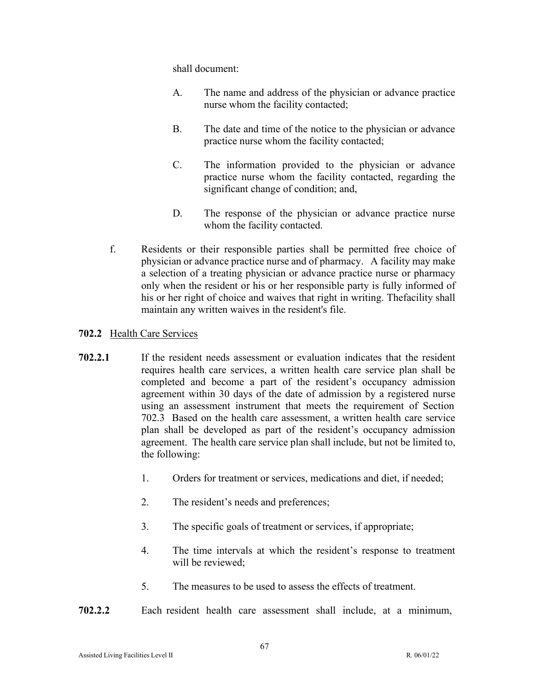shall document:

- A. The name and address of the physician or advance practice nurse whom the facility contacted;
- B. The date and time of the notice to the physician or advance practice nurse whom the facility contacted;
- C. The information provided to the physician or advance practice nurse whom the facility contacted, regarding the significant change of condition; and,
- D. The response of the physician or advance practice nurse whom the facility contacted.
- f. Residents or their responsible parties shall be permitted free choice of physician or advance practice nurse and of pharmacy. A facility may make a selection of a treating physician or advance practice nurse or pharmacy only when the resident or his or her responsible party is fully informed of his or her right of choice and waives that right in writing. Thefacility shall maintain any written waives in the resident's file.

# **702.2** Health Care Services

- **702.2.1** If the resident needs assessment or evaluation indicates that the resident requires health care services, a written health care service plan shall be completed and become a part of the resident's occupancy admission agreement within 30 days of the date of admission by a registered nurse using an assessment instrument that meets the requirement of Section 702.3 Based on the health care assessment, a written health care service plan shall be developed as part of the resident's occupancy admission agreement. The health care service plan shall include, but not be limited to, the following:
	- 1. Orders for treatment or services, medications and diet, if needed;
	- 2. The resident's needs and preferences;
	- 3. The specific goals of treatment or services, if appropriate;
	- 4. The time intervals at which the resident's response to treatment will be reviewed;
	- 5. The measures to be used to assess the effects of treatment.
- **702.2.2** Each resident health care assessment shall include, at a minimum,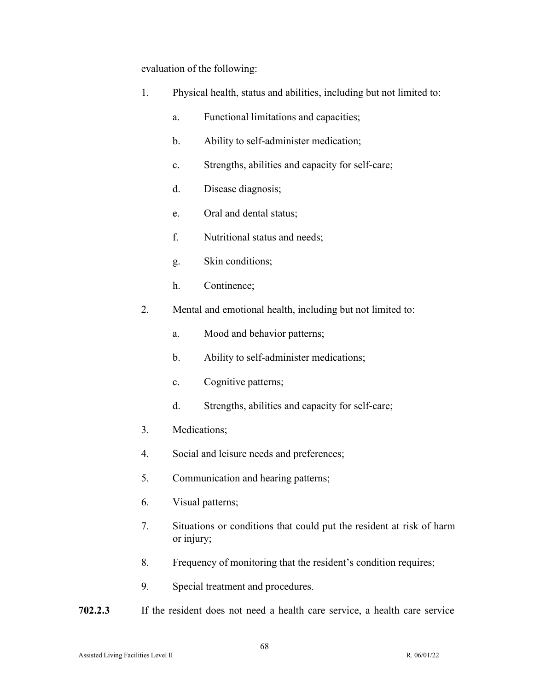evaluation of the following:

| 1. | Physical health, status and abilities, including but not limited to: |                                                  |
|----|----------------------------------------------------------------------|--------------------------------------------------|
|    | a.                                                                   | Functional limitations and capacities;           |
|    | b.                                                                   | Ability to self-administer medication;           |
|    | c.                                                                   | Strengths, abilities and capacity for self-care; |
|    | d.                                                                   | Disease diagnosis;                               |
|    | e.                                                                   | Oral and dental status;                          |
|    | f.                                                                   | Nutritional status and needs;                    |
|    | g.                                                                   | Skin conditions;                                 |
|    | h.                                                                   | Continence;                                      |
| 2. | Mental and emotional health, including but not limited to:           |                                                  |
|    | a.                                                                   | Mood and behavior patterns;                      |
|    | b.                                                                   | Ability to self-administer medications;          |
|    | c.                                                                   | Cognitive patterns;                              |
|    | d.                                                                   | Strengths, abilities and capacity for self-care; |
| 3. | Medications;                                                         |                                                  |
| 4. | Social and leisure needs and preferences;                            |                                                  |
| 5. | Communication and hearing patterns;                                  |                                                  |
|    |                                                                      |                                                  |

- 6. Visual patterns;
- 7. Situations or conditions that could put the resident at risk of harm or injury;
- 8. Frequency of monitoring that the resident's condition requires;
- 9. Special treatment and procedures.
- **702.2.3** If the resident does not need a health care service, a health care service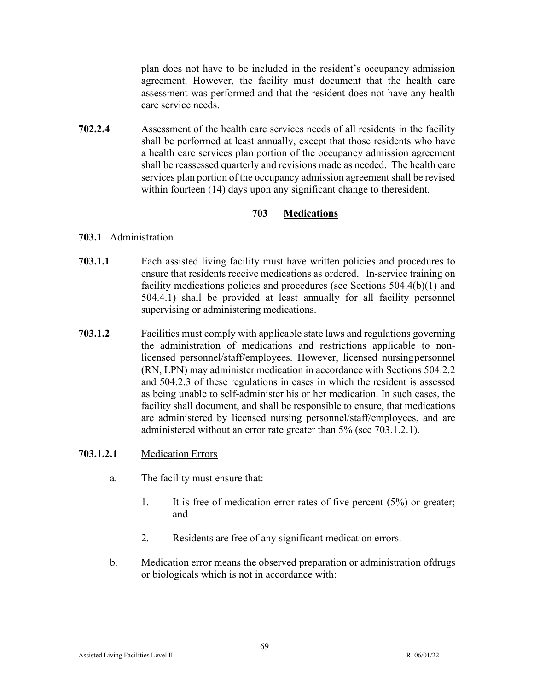plan does not have to be included in the resident's occupancy admission agreement. However, the facility must document that the health care assessment was performed and that the resident does not have any health care service needs.

**702.2.4** Assessment of the health care services needs of all residents in the facility shall be performed at least annually, except that those residents who have a health care services plan portion of the occupancy admission agreement shall be reassessed quarterly and revisions made as needed. The health care services plan portion of the occupancy admission agreement shall be revised within fourteen (14) days upon any significant change to the resident.

## **703 Medications**

### **703.1** Administration

- **703.1.1** Each assisted living facility must have written policies and procedures to ensure that residents receive medications as ordered. In-service training on facility medications policies and procedures (see Sections 504.4(b)(1) and 504.4.1) shall be provided at least annually for all facility personnel supervising or administering medications.
- **703.1.2** Facilities must comply with applicable state laws and regulations governing the administration of medications and restrictions applicable to nonlicensed personnel/staff/employees. However, licensed nursing personnel (RN, LPN) may administer medication in accordance with Sections 504.2.2 and 504.2.3 of these regulations in cases in which the resident is assessed as being unable to self-administer his or her medication. In such cases, the facility shall document, and shall be responsible to ensure, that medications are administered by licensed nursing personnel/staff/employees, and are administered without an error rate greater than 5% (see 703.1.2.1).

# **703.1.2.1** Medication Errors

- a. The facility must ensure that:
	- 1. It is free of medication error rates of five percent (5%) or greater; and
	- 2. Residents are free of any significant medication errors.
- b. Medication error means the observed preparation or administration of drugs or biologicals which is not in accordance with: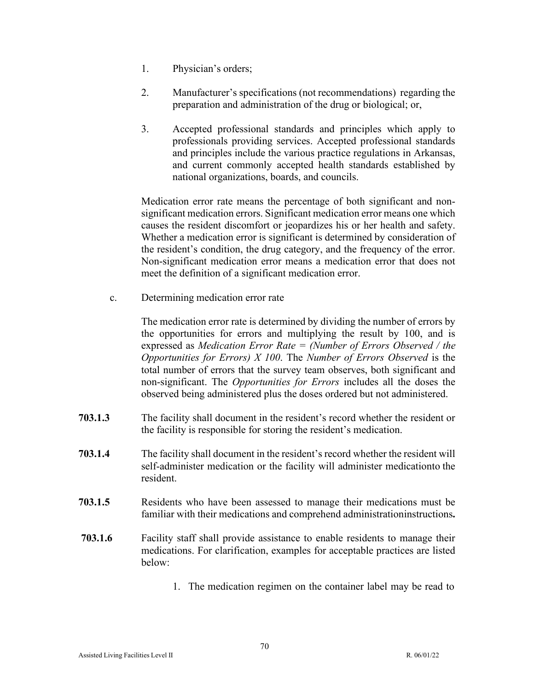- 1. Physician's orders;
- 2. Manufacturer's specifications (not recommendations) regarding the preparation and administration of the drug or biological; or,
- 3. Accepted professional standards and principles which apply to professionals providing services. Accepted professional standards and principles include the various practice regulations in Arkansas, and current commonly accepted health standards established by national organizations, boards, and councils.

Medication error rate means the percentage of both significant and nonsignificant medication errors. Significant medication error means one which causes the resident discomfort or jeopardizes his or her health and safety. Whether a medication error is significant is determined by consideration of the resident's condition, the drug category, and the frequency of the error. Non-significant medication error means a medication error that does not meet the definition of a significant medication error.

c. Determining medication error rate

The medication error rate is determined by dividing the number of errors by the opportunities for errors and multiplying the result by 100, and is expressed as *Medication Error Rate = (Number of Errors Observed / the Opportunities for Errors) X 100*. The *Number of Errors Observed* is the total number of errors that the survey team observes, both significant and non-significant. The *Opportunities for Errors* includes all the doses the observed being administered plus the doses ordered but not administered.

- **703.1.3** The facility shall document in the resident's record whether the resident or the facility is responsible for storing the resident's medication.
- **703.1.4** The facility shall document in the resident's record whether the resident will self-administer medication or the facility will administer medicationto the resident.
- **703.1.5** Residents who have been assessed to manage their medications must be familiar with their medications and comprehend administrationinstructions**.**
- **703.1.6** Facility staff shall provide assistance to enable residents to manage their medications. For clarification, examples for acceptable practices are listed below:
	- 1. The medication regimen on the container label may be read to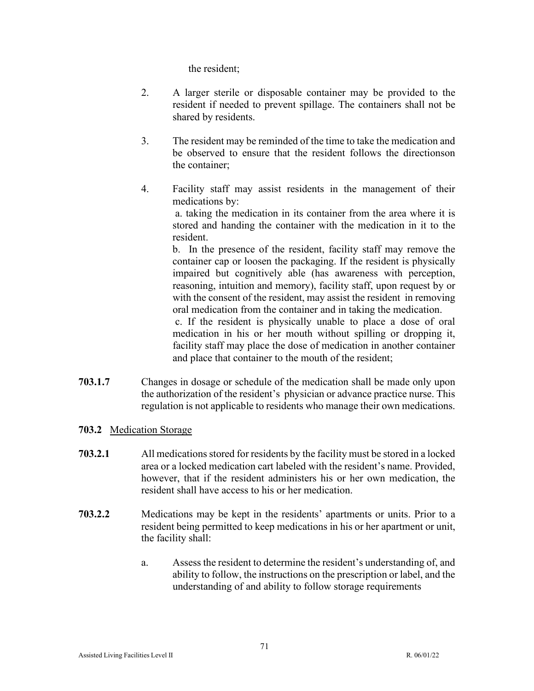the resident;

- 2. A larger sterile or disposable container may be provided to the resident if needed to prevent spillage. The containers shall not be shared by residents.
- 3. The resident may be reminded of the time to take the medication and be observed to ensure that the resident follows the directions on the container;
- 4. Facility staff may assist residents in the management of their medications by:

a. taking the medication in its container from the area where it is stored and handing the container with the medication in it to the resident.

b. In the presence of the resident, facility staff may remove the container cap or loosen the packaging. If the resident is physically impaired but cognitively able (has awareness with perception, reasoning, intuition and memory), facility staff, upon request by or with the consent of the resident, may assist the resident in removing oral medication from the container and in taking the medication.

c. If the resident is physically unable to place a dose of oral medication in his or her mouth without spilling or dropping it, facility staff may place the dose of medication in another container and place that container to the mouth of the resident;

- **703.1.7** Changes in dosage or schedule of the medication shall be made only upon the authorization of the resident's physician or advance practice nurse. This regulation is not applicable to residents who manage their own medications.
- **703.2** Medication Storage
- **703.2.1** All medications stored for residents by the facility must be stored in a locked area or a locked medication cart labeled with the resident's name. Provided, however, that if the resident administers his or her own medication, the resident shall have access to his or her medication.
- **703.2.2** Medications may be kept in the residents' apartments or units. Prior to a resident being permitted to keep medications in his or her apartment or unit, the facility shall:
	- a. Assess the resident to determine the resident's understanding of, and ability to follow, the instructions on the prescription or label, and the understanding of and ability to follow storage requirements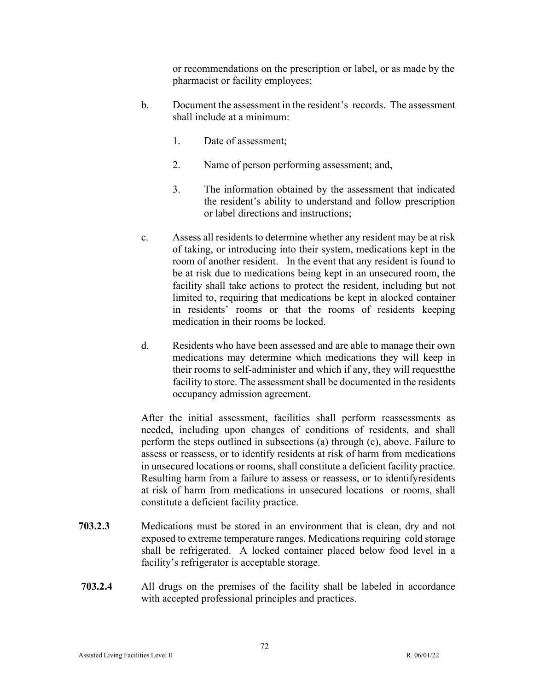or recommendations on the prescription or label, or as made by the pharmacist or facility employees;

- b. Document the assessment in the resident's records. The assessment shall include at a minimum:
	- 1. Date of assessment;
	- 2. Name of person performing assessment; and,
	- 3. The information obtained by the assessment that indicated the resident's ability to understand and follow prescription or label directions and instructions;
- c. Assess all residents to determine whether any resident may be at risk of taking, or introducing into their system, medications kept in the room of another resident. In the event that any resident is found to be at risk due to medications being kept in an unsecured room, the facility shall take actions to protect the resident, including but not limited to, requiring that medications be kept in alocked container in residents' rooms or that the rooms of residents keeping medication in their rooms be locked.
- d. Residents who have been assessed and are able to manage their own medications may determine which medications they will keep in their rooms to self-administer and which if any, they will requestthe facility to store. The assessment shall be documented in the residents occupancy admission agreement.

After the initial assessment, facilities shall perform reassessments as needed, including upon changes of conditions of residents, and shall perform the steps outlined in subsections (a) through (c), above. Failure to assess or reassess, or to identify residents at risk of harm from medications in unsecured locations or rooms, shall constitute a deficient facility practice. Resulting harm from a failure to assess or reassess, or to identifyresidents at risk of harm from medications in unsecured locations or rooms, shall constitute a deficient facility practice.

- **703.2.3** Medications must be stored in an environment that is clean, dry and not exposed to extreme temperature ranges. Medications requiring cold storage shall be refrigerated. A locked container placed below food level in a facility's refrigerator is acceptable storage.
- **703.2.4** All drugs on the premises of the facility shall be labeled in accordance with accepted professional principles and practices.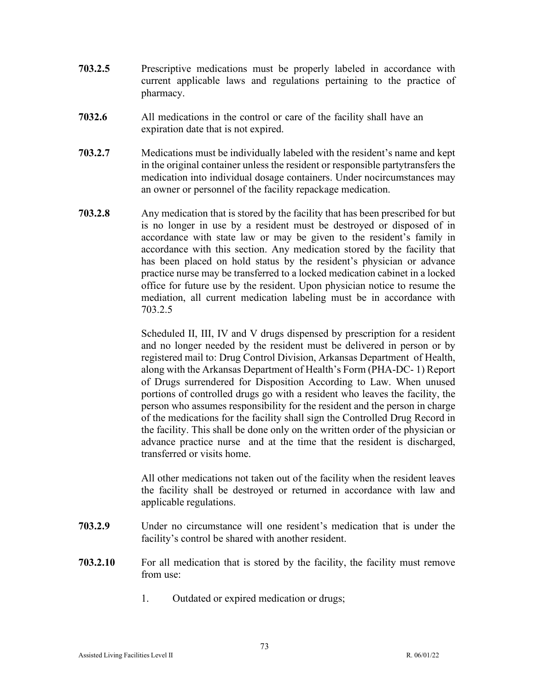- **703.2.5** Prescriptive medications must be properly labeled in accordance with current applicable laws and regulations pertaining to the practice of pharmacy.
- **7032.6** All medications in the control or care of the facility shall have an expiration date that is not expired.
- **703.2.7** Medications must be individually labeled with the resident's name and kept in the original container unless the resident or responsible partytransfers the medication into individual dosage containers. Under nocircumstances may an owner or personnel of the facility repackage medication.
- **703.2.8** Any medication that is stored by the facility that has been prescribed for but is no longer in use by a resident must be destroyed or disposed of in accordance with state law or may be given to the resident's family in accordance with this section. Any medication stored by the facility that has been placed on hold status by the resident's physician or advance practice nurse may be transferred to a locked medication cabinet in a locked office for future use by the resident. Upon physician notice to resume the mediation, all current medication labeling must be in accordance with 703.2.5

Scheduled II, III, IV and V drugs dispensed by prescription for a resident and no longer needed by the resident must be delivered in person or by registered mail to: Drug Control Division, Arkansas Department of Health, along with the Arkansas Department of Health's Form (PHA-DC- 1) Report of Drugs surrendered for Disposition According to Law. When unused portions of controlled drugs go with a resident who leaves the facility, the person who assumes responsibility for the resident and the person in charge of the medications for the facility shall sign the Controlled Drug Record in the facility. This shall be done only on the written order of the physician or advance practice nurse and at the time that the resident is discharged, transferred or visits home.

All other medications not taken out of the facility when the resident leaves the facility shall be destroyed or returned in accordance with law and applicable regulations.

- **703.2.9** Under no circumstance will one resident's medication that is under the facility's control be shared with another resident.
- **703.2.10** For all medication that is stored by the facility, the facility must remove from use:
	- 1. Outdated or expired medication or drugs;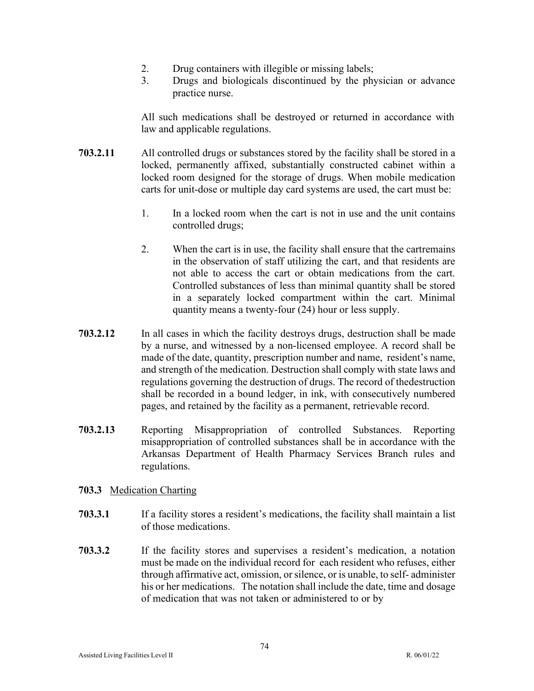- 2. Drug containers with illegible or missing labels;
- 3. Drugs and biologicals discontinued by the physician or advance practice nurse.

All such medications shall be destroyed or returned in accordance with law and applicable regulations.

- **703.2.11** All controlled drugs or substances stored by the facility shall be stored in a locked, permanently affixed, substantially constructed cabinet within a locked room designed for the storage of drugs. When mobile medication carts for unit-dose or multiple day card systems are used, the cart must be:
	- 1. In a locked room when the cart is not in use and the unit contains controlled drugs;
	- 2. When the cart is in use, the facility shall ensure that the cartremains in the observation of staff utilizing the cart, and that residents are not able to access the cart or obtain medications from the cart. Controlled substances of less than minimal quantity shall be stored in a separately locked compartment within the cart. Minimal quantity means a twenty-four (24) hour or less supply.
- **703.2.12** In all cases in which the facility destroys drugs, destruction shall be made by a nurse, and witnessed by a non-licensed employee. A record shall be made of the date, quantity, prescription number and name, resident's name, and strength of the medication. Destruction shall comply with state laws and regulations governing the destruction of drugs. The record of the destruction shall be recorded in a bound ledger, in ink, with consecutively numbered pages, and retained by the facility as a permanent, retrievable record.
- **703.2.13** Reporting Misappropriation of controlled Substances. Reporting misappropriation of controlled substances shall be in accordance with the Arkansas Department of Health Pharmacy Services Branch rules and regulations.
- **703.3** Medication Charting
- **703.3.1** If a facility stores a resident's medications, the facility shall maintain a list of those medications.
- **703.3.2** If the facility stores and supervises a resident's medication, a notation must be made on the individual record for each resident who refuses, either through affirmative act, omission, or silence, or is unable, to self- administer his or her medications. The notation shall include the date, time and dosage of medication that was not taken or administered to or by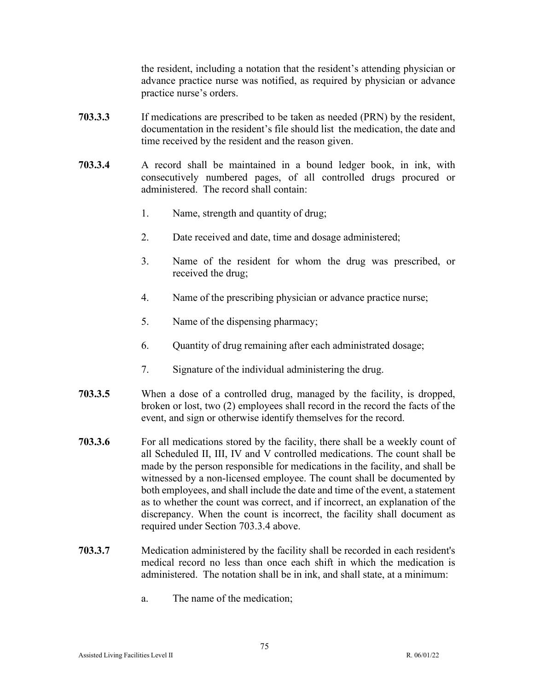the resident, including a notation that the resident's attending physician or advance practice nurse was notified, as required by physician or advance practice nurse's orders.

- **703.3.3** If medications are prescribed to be taken as needed (PRN) by the resident, documentation in the resident's file should list the medication, the date and time received by the resident and the reason given.
- **703.3.4** A record shall be maintained in a bound ledger book, in ink, with consecutively numbered pages, of all controlled drugs procured or administered. The record shall contain:
	- 1. Name, strength and quantity of drug;
	- 2. Date received and date, time and dosage administered;
	- 3. Name of the resident for whom the drug was prescribed, or received the drug;
	- 4. Name of the prescribing physician or advance practice nurse;
	- 5. Name of the dispensing pharmacy;
	- 6. Quantity of drug remaining after each administrated dosage;
	- 7. Signature of the individual administering the drug.
- **703.3.5** When a dose of a controlled drug, managed by the facility, is dropped, broken or lost, two (2) employees shall record in the record the facts of the event, and sign or otherwise identify themselves for the record.
- **703.3.6** For all medications stored by the facility, there shall be a weekly count of all Scheduled II, III, IV and V controlled medications. The count shall be made by the person responsible for medications in the facility, and shall be witnessed by a non-licensed employee. The count shall be documented by both employees, and shall include the date and time of the event, a statement as to whether the count was correct, and if incorrect, an explanation of the discrepancy. When the count is incorrect, the facility shall document as required under Section 703.3.4 above.
- **703.3.7** Medication administered by the facility shall be recorded in each resident's medical record no less than once each shift in which the medication is administered. The notation shall be in ink, and shall state, at a minimum:
	- a. The name of the medication;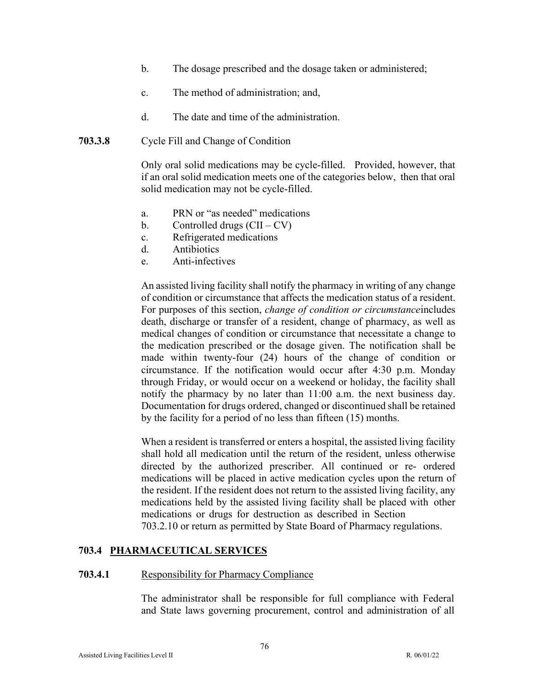- b. The dosage prescribed and the dosage taken or administered;
- c. The method of administration; and,
- d. The date and time of the administration.
- **703.3.8** Cycle Fill and Change of Condition

Only oral solid medications may be cycle-filled. Provided, however, that if an oral solid medication meets one of the categories below, then that oral solid medication may not be cycle-filled.

- a. PRN or "as needed" medications
- b. Controlled drugs  $(CII CV)$
- c. Refrigerated medications
- d. Antibiotics
- e. Anti-infectives

An assisted living facility shall notify the pharmacy in writing of any change of condition or circumstance that affects the medication status of a resident. For purposes of this section, *change of condition or circumstance*includes death, discharge or transfer of a resident, change of pharmacy, as well as medical changes of condition or circumstance that necessitate a change to the medication prescribed or the dosage given. The notification shall be made within twenty-four (24) hours of the change of condition or circumstance. If the notification would occur after 4:30 p.m. Monday through Friday, or would occur on a weekend or holiday, the facility shall notify the pharmacy by no later than 11:00 a.m. the next business day. Documentation for drugs ordered, changed or discontinued shall be retained by the facility for a period of no less than fifteen (15) months.

When a resident is transferred or enters a hospital, the assisted living facility shall hold all medication until the return of the resident, unless otherwise directed by the authorized prescriber. All continued or re- ordered medications will be placed in active medication cycles upon the return of the resident. If the resident does not return to the assisted living facility, any medications held by the assisted living facility shall be placed with other medications or drugs for destruction as described in Section 703.2.10 or return as permitted by State Board of Pharmacy regulations.

# **703.4 PHARMACEUTICAL SERVICES**

#### **703.4.1** Responsibility for Pharmacy Compliance

The administrator shall be responsible for full compliance with Federal and State laws governing procurement, control and administration of all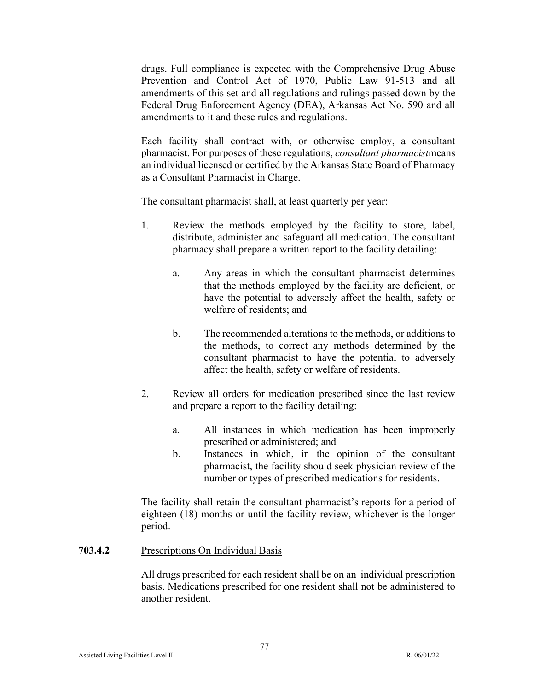drugs. Full compliance is expected with the Comprehensive Drug Abuse Prevention and Control Act of 1970, Public Law 91-513 and all amendments of this set and all regulations and rulings passed down by the Federal Drug Enforcement Agency (DEA), Arkansas Act No. 590 and all amendments to it and these rules and regulations.

Each facility shall contract with, or otherwise employ, a consultant pharmacist. For purposes of these regulations, *consultant pharmacist* means an individual licensed or certified by the Arkansas State Board of Pharmacy as a Consultant Pharmacist in Charge.

The consultant pharmacist shall, at least quarterly per year:

- 1. Review the methods employed by the facility to store, label, distribute, administer and safeguard all medication. The consultant pharmacy shall prepare a written report to the facility detailing:
	- a. Any areas in which the consultant pharmacist determines that the methods employed by the facility are deficient, or have the potential to adversely affect the health, safety or welfare of residents; and
	- b. The recommended alterations to the methods, or additions to the methods, to correct any methods determined by the consultant pharmacist to have the potential to adversely affect the health, safety or welfare of residents.
- 2. Review all orders for medication prescribed since the last review and prepare a report to the facility detailing:
	- a. All instances in which medication has been improperly prescribed or administered; and
	- b. Instances in which, in the opinion of the consultant pharmacist, the facility should seek physician review of the number or types of prescribed medications for residents.

The facility shall retain the consultant pharmacist's reports for a period of eighteen (18) months or until the facility review, whichever is the longer period.

703.4.2 Prescriptions On Individual Basis

All drugs prescribed for each resident shall be on an individual prescription basis. Medications prescribed for one resident shall not be administered to another resident.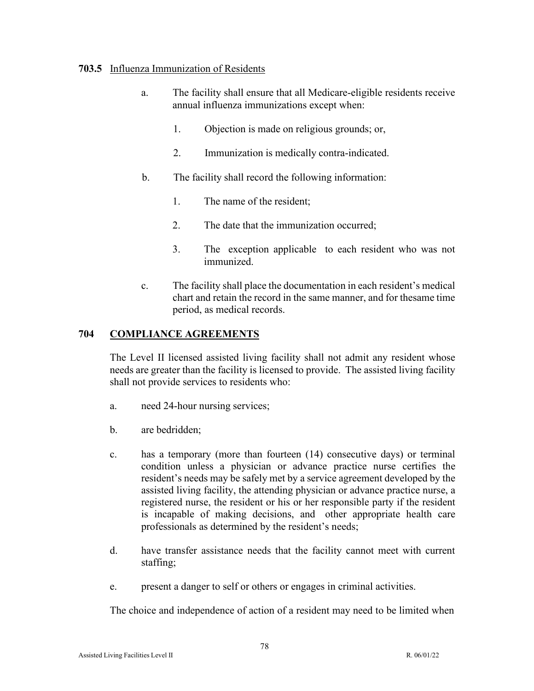#### **703.5** Influenza Immunization of Residents

- a. The facility shall ensure that all Medicare-eligible residents receive annual influenza immunizations except when:
	- 1. Objection is made on religious grounds; or,
	- 2. Immunization is medically contra-indicated.
- b. The facility shall record the following information:
	- 1. The name of the resident;
	- 2. The date that the immunization occurred;
	- 3. The exception applicable to each resident who was not immunized.
- c. The facility shall place the documentation in each resident's medical chart and retain the record in the same manner, and for thesame time period, as medical records.

# **704 COMPLIANCE AGREEMENTS**

The Level II licensed assisted living facility shall not admit any resident whose needs are greater than the facility is licensed to provide. The assisted living facility shall not provide services to residents who:

- a. need 24-hour nursing services;
- b. are bedridden;
- c. has a temporary (more than fourteen (14) consecutive days) or terminal condition unless a physician or advance practice nurse certifies the resident's needs may be safely met by a service agreement developed by the assisted living facility, the attending physician or advance practice nurse, a registered nurse, the resident or his or her responsible party if the resident is incapable of making decisions, and other appropriate health care professionals as determined by the resident's needs;
- d. have transfer assistance needs that the facility cannot meet with current staffing;
- e. present a danger to self or others or engages in criminal activities.

The choice and independence of action of a resident may need to be limited when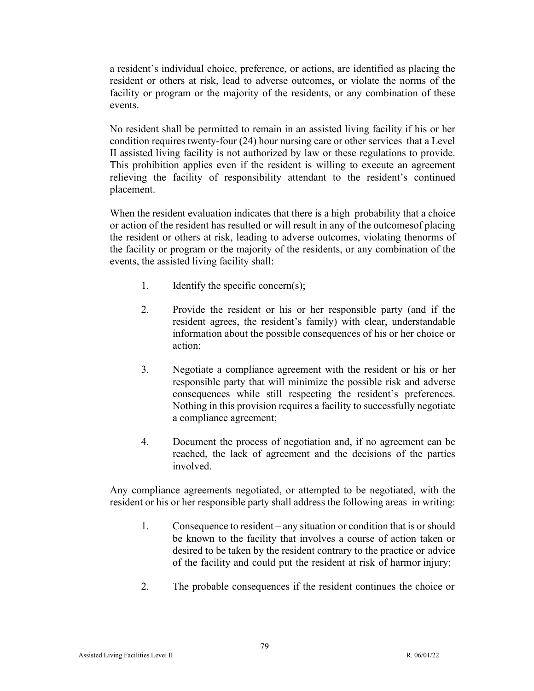a resident's individual choice, preference, or actions, are identified as placing the resident or others at risk, lead to adverse outcomes, or violate the norms of the facility or program or the majority of the residents, or any combination of these events.

No resident shall be permitted to remain in an assisted living facility if his or her condition requires twenty-four (24) hour nursing care or other services that a Level II assisted living facility is not authorized by law or these regulations to provide. This prohibition applies even if the resident is willing to execute an agreement relieving the facility of responsibility attendant to the resident's continued placement.

When the resident evaluation indicates that there is a high probability that a choice or action of the resident has resulted or will result in any of the outcomesof placing the resident or others at risk, leading to adverse outcomes, violating thenorms of the facility or program or the majority of the residents, or any combination of the events, the assisted living facility shall:

- 1. Identify the specific concern(s);
- 2. Provide the resident or his or her responsible party (and if the resident agrees, the resident's family) with clear, understandable information about the possible consequences of his or her choice or action;
- 3. Negotiate a compliance agreement with the resident or his or her responsible party that will minimize the possible risk and adverse consequences while still respecting the resident's preferences. Nothing in this provision requires a facility to successfully negotiate a compliance agreement;
- 4. Document the process of negotiation and, if no agreement can be reached, the lack of agreement and the decisions of the parties involved.

Any compliance agreements negotiated, or attempted to be negotiated, with the resident or his or her responsible party shall address the following areas in writing:

- 1. Consequence to resident any situation or condition that is orshould be known to the facility that involves a course of action taken or desired to be taken by the resident contrary to the practice or advice of the facility and could put the resident at risk of harmor injury;
- 2. The probable consequences if the resident continues the choice or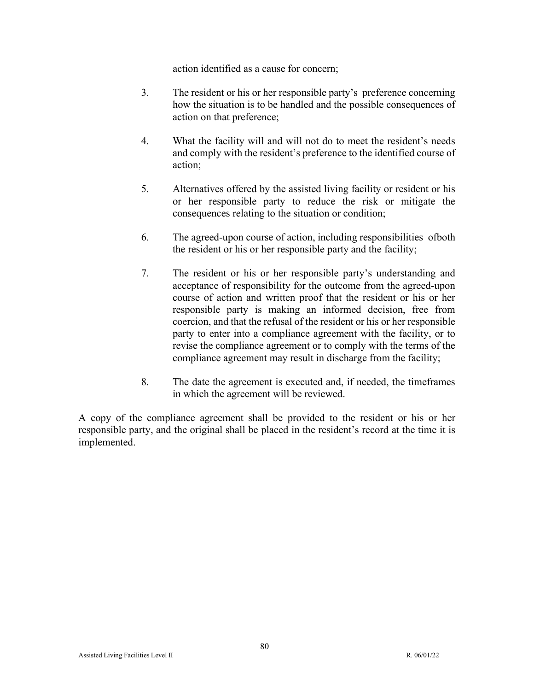action identified as a cause for concern;

- 3. The resident or his or her responsible party's preference concerning how the situation is to be handled and the possible consequences of action on that preference;
- 4. What the facility will and will not do to meet the resident's needs and comply with the resident's preference to the identified course of action;
- 5. Alternatives offered by the assisted living facility or resident or his or her responsible party to reduce the risk or mitigate the consequences relating to the situation or condition;
- 6. The agreed-upon course of action, including responsibilities ofboth the resident or his or her responsible party and the facility;
- 7. The resident or his or her responsible party's understanding and acceptance of responsibility for the outcome from the agreed-upon course of action and written proof that the resident or his or her responsible party is making an informed decision, free from coercion, and that the refusal of the resident or his or her responsible party to enter into a compliance agreement with the facility, or to revise the compliance agreement or to comply with the terms of the compliance agreement may result in discharge from the facility;
- 8. The date the agreement is executed and, if needed, the timeframes in which the agreement will be reviewed.

A copy of the compliance agreement shall be provided to the resident or his or her responsible party, and the original shall be placed in the resident's record at the time it is implemented.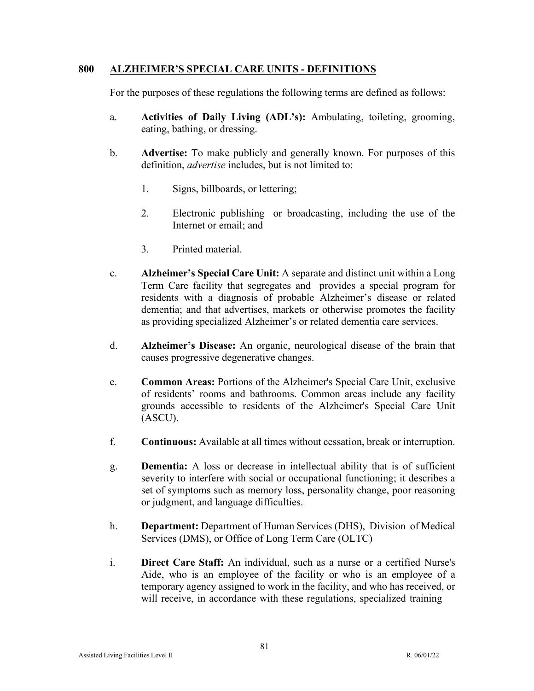#### **800 ALZHEIMER'S SPECIAL CARE UNITS - DEFINITIONS**

For the purposes of these regulations the following terms are defined as follows:

- a. **Activities of Daily Living (ADL's):** Ambulating, toileting, grooming, eating, bathing, or dressing.
- b. **Advertise:** To make publicly and generally known. For purposes of this definition, *advertise* includes, but is not limited to:
	- 1. Signs, billboards, or lettering;
	- 2. Electronic publishing or broadcasting, including the use of the Internet or email; and
	- 3. Printed material.
- c. **Alzheimer's Special Care Unit:** A separate and distinct unit within a Long Term Care facility that segregates and provides a special program for residents with a diagnosis of probable Alzheimer's disease or related dementia; and that advertises, markets or otherwise promotes the facility as providing specialized Alzheimer's or related dementia care services.
- d. **Alzheimer's Disease:** An organic, neurological disease of the brain that causes progressive degenerative changes.
- e. **Common Areas:** Portions of the Alzheimer's Special Care Unit, exclusive of residents' rooms and bathrooms. Common areas include any facility grounds accessible to residents of the Alzheimer's Special Care Unit (ASCU).
- f. **Continuous:** Available at all times without cessation, break or interruption.
- g. **Dementia:** A loss or decrease in intellectual ability that is of sufficient severity to interfere with social or occupational functioning; it describes a set of symptoms such as memory loss, personality change, poor reasoning or judgment, and language difficulties.
- h. **Department:** Department of Human Services (DHS), Division of Medical Services (DMS), or Office of Long Term Care (OLTC)
- i. **Direct Care Staff:** An individual, such as a nurse or a certified Nurse's Aide, who is an employee of the facility or who is an employee of a temporary agency assigned to work in the facility, and who has received, or will receive, in accordance with these regulations, specialized training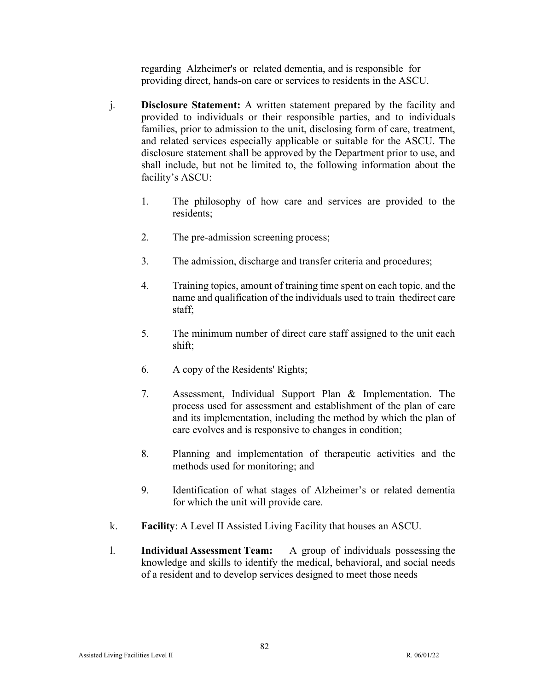regarding Alzheimer's or related dementia, and is responsible for providing direct, hands-on care or services to residents in the ASCU.

- j. **Disclosure Statement:** A written statement prepared by the facility and provided to individuals or their responsible parties, and to individuals families, prior to admission to the unit, disclosing form of care, treatment, and related services especially applicable or suitable for the ASCU. The disclosure statement shall be approved by the Department prior to use, and shall include, but not be limited to, the following information about the facility's ASCU:
	- 1. The philosophy of how care and services are provided to the residents;
	- 2. The pre-admission screening process;
	- 3. The admission, discharge and transfer criteria and procedures;
	- 4. Training topics, amount of training time spent on each topic, and the name and qualification of the individuals used to train thedirect care staff;
	- 5. The minimum number of direct care staff assigned to the unit each shift;
	- 6. A copy of the Residents' Rights;
	- 7. Assessment, Individual Support Plan & Implementation. The process used for assessment and establishment of the plan of care and its implementation, including the method by which the plan of care evolves and is responsive to changes in condition;
	- 8. Planning and implementation of therapeutic activities and the methods used for monitoring; and
	- 9. Identification of what stages of Alzheimer's or related dementia for which the unit will provide care.
- k. **Facility**: A Level II Assisted Living Facility that houses an ASCU.
- l. **Individual Assessment Team:** A group of individuals possessing the knowledge and skills to identify the medical, behavioral, and social needs of a resident and to develop services designed to meet those needs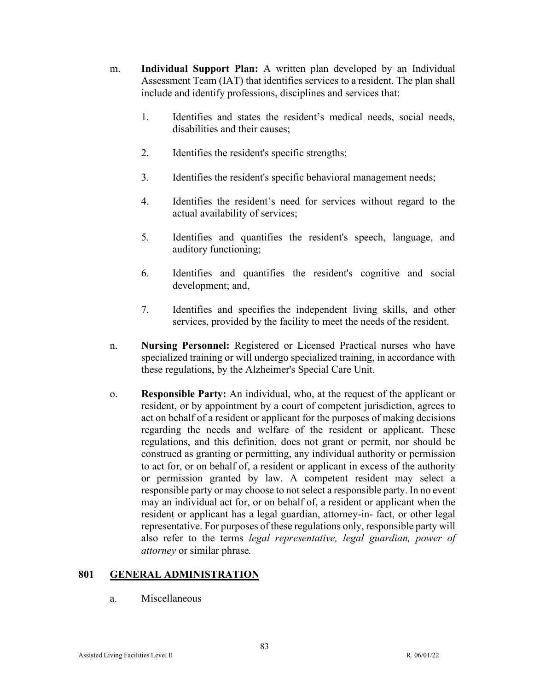- m. **Individual Support Plan:** A written plan developed by an Individual Assessment Team (IAT) that identifies services to a resident. The plan shall include and identify professions, disciplines and services that:
	- 1. Identifies and states the resident's medical needs, social needs, disabilities and their causes;
	- 2. Identifies the resident's specific strengths;
	- 3. Identifies the resident's specific behavioral management needs;
	- 4. Identifies the resident's need for services without regard to the actual availability of services;
	- 5. Identifies and quantifies the resident's speech, language, and auditory functioning;
	- 6. Identifies and quantifies the resident's cognitive and social development; and,
	- 7. Identifies and specifies the independent living skills, and other services, provided by the facility to meet the needs of the resident.
- n. **Nursing Personnel:** Registered or Licensed Practical nurses who have specialized training or will undergo specialized training, in accordance with these regulations, by the Alzheimer's Special Care Unit.
- o. **Responsible Party:** An individual, who, at the request of the applicant or resident, or by appointment by a court of competent jurisdiction, agrees to act on behalf of a resident or applicant for the purposes of making decisions regarding the needs and welfare of the resident or applicant. These regulations, and this definition, does not grant or permit, nor should be construed as granting or permitting, any individual authority or permission to act for, or on behalf of, a resident or applicant in excess of the authority or permission granted by law. A competent resident may select a responsible party or may choose to not select a responsible party. In no event may an individual act for, or on behalf of, a resident or applicant when the resident or applicant has a legal guardian, attorney-in- fact, or other legal representative. For purposes of these regulations only, responsible party will also refer to the terms *legal representative, legal guardian, power of attorney* or similar phrase*.*

# **801 GENERAL ADMINISTRATION**

a. Miscellaneous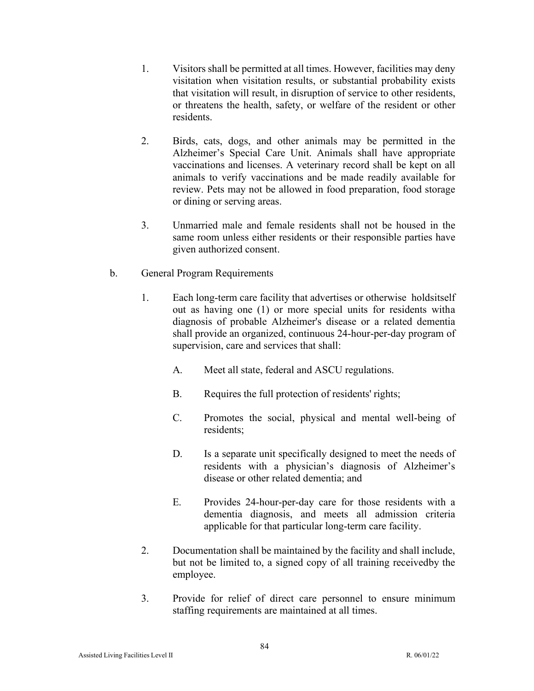- 1. Visitors shall be permitted at all times. However, facilities may deny visitation when visitation results, or substantial probability exists that visitation will result, in disruption of service to other residents, or threatens the health, safety, or welfare of the resident or other residents.
- 2. Birds, cats, dogs, and other animals may be permitted in the Alzheimer's Special Care Unit. Animals shall have appropriate vaccinations and licenses. A veterinary record shall be kept on all animals to verify vaccinations and be made readily available for review. Pets may not be allowed in food preparation, food storage or dining or serving areas.
- 3. Unmarried male and female residents shall not be housed in the same room unless either residents or their responsible parties have given authorized consent.
- b. General Program Requirements
	- 1. Each long-term care facility that advertises or otherwise holdsitself out as having one (1) or more special units for residents witha diagnosis of probable Alzheimer's disease or a related dementia shall provide an organized, continuous 24-hour-per-day program of supervision, care and services that shall:
		- A. Meet all state, federal and ASCU regulations.
		- B. Requires the full protection of residents' rights;
		- C. Promotes the social, physical and mental well-being of residents;
		- D. Is a separate unit specifically designed to meet the needs of residents with a physician's diagnosis of Alzheimer's disease or other related dementia; and
		- E. Provides 24-hour-per-day care for those residents with a dementia diagnosis, and meets all admission criteria applicable for that particular long-term care facility.
	- 2. Documentation shall be maintained by the facility and shall include, but not be limited to, a signed copy of all training receivedby the employee.
	- 3. Provide for relief of direct care personnel to ensure minimum staffing requirements are maintained at all times.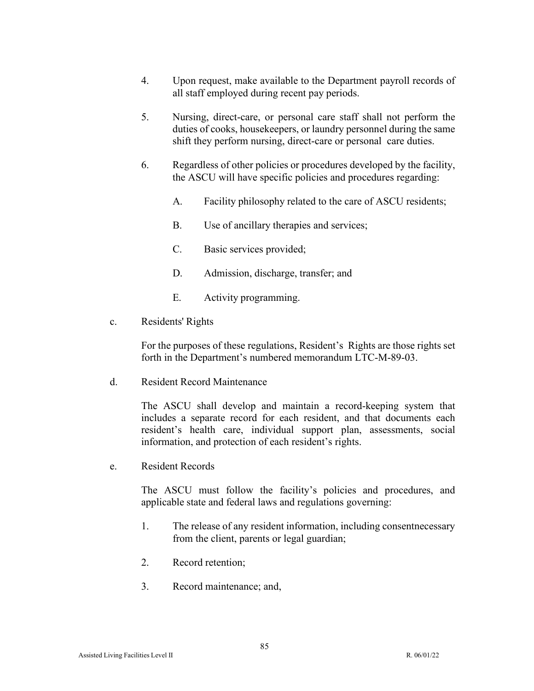- 4. Upon request, make available to the Department payroll records of all staff employed during recent pay periods.
- 5. Nursing, direct-care, or personal care staff shall not perform the duties of cooks, housekeepers, or laundry personnel during the same shift they perform nursing, direct-care or personal care duties.
- 6. Regardless of other policies or procedures developed by the facility, the ASCU will have specific policies and procedures regarding:
	- A. Facility philosophy related to the care of ASCU residents;
	- B. Use of ancillary therapies and services;
	- C. Basic services provided;
	- D. Admission, discharge, transfer; and
	- E. Activity programming.
- c. Residents' Rights

For the purposes of these regulations, Resident's Rights are those rights set forth in the Department's numbered memorandum LTC-M-89-03.

d. Resident Record Maintenance

The ASCU shall develop and maintain a record-keeping system that includes a separate record for each resident, and that documents each resident's health care, individual support plan, assessments, social information, and protection of each resident's rights.

e. Resident Records

The ASCU must follow the facility's policies and procedures, and applicable state and federal laws and regulations governing:

- 1. The release of any resident information, including consentnecessary from the client, parents or legal guardian;
- 2. Record retention;
- 3. Record maintenance; and,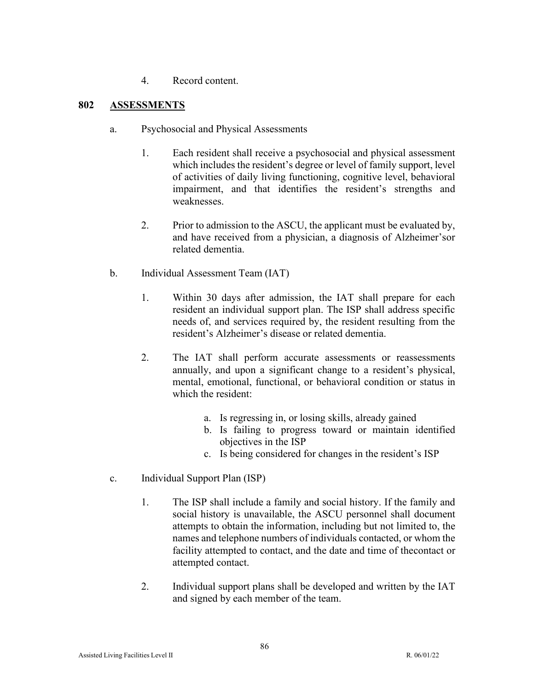4. Record content.

# **802 ASSESSMENTS**

- a. Psychosocial and Physical Assessments
	- 1. Each resident shall receive a psychosocial and physical assessment which includes the resident's degree or level of family support, level of activities of daily living functioning, cognitive level, behavioral impairment, and that identifies the resident's strengths and weaknesses.
	- 2. Prior to admission to the ASCU, the applicant must be evaluated by, and have received from a physician, a diagnosis of Alzheimer'sor related dementia.
- b. Individual Assessment Team (IAT)
	- 1. Within 30 days after admission, the IAT shall prepare for each resident an individual support plan. The ISP shall address specific needs of, and services required by, the resident resulting from the resident's Alzheimer's disease or related dementia.
	- 2. The IAT shall perform accurate assessments or reassessments annually, and upon a significant change to a resident's physical, mental, emotional, functional, or behavioral condition or status in which the resident:
		- a. Is regressing in, or losing skills, already gained
		- b. Is failing to progress toward or maintain identified objectives in the ISP
		- c. Is being considered for changes in the resident's ISP
- c. Individual Support Plan (ISP)
	- 1. The ISP shall include a family and social history. If the family and social history is unavailable, the ASCU personnel shall document attempts to obtain the information, including but not limited to, the names and telephone numbers of individuals contacted, or whom the facility attempted to contact, and the date and time of the contact or attempted contact.
	- 2. Individual support plans shall be developed and written by the IAT and signed by each member of the team.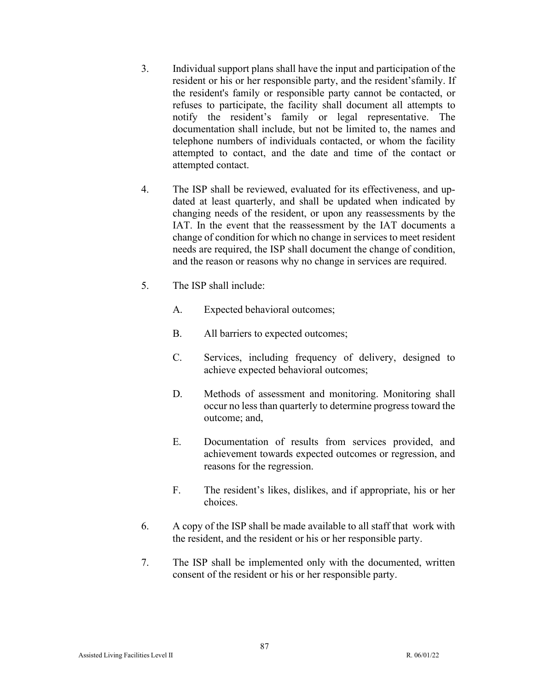- 3. Individual support plans shall have the input and participation of the resident or his or her responsible party, and the resident'sfamily. If the resident's family or responsible party cannot be contacted, or refuses to participate, the facility shall document all attempts to notify the resident's family or legal representative. The documentation shall include, but not be limited to, the names and telephone numbers of individuals contacted, or whom the facility attempted to contact, and the date and time of the contact or attempted contact.
- 4. The ISP shall be reviewed, evaluated for its effectiveness, and updated at least quarterly, and shall be updated when indicated by changing needs of the resident, or upon any reassessments by the IAT. In the event that the reassessment by the IAT documents a change of condition for which no change in services to meet resident needs are required, the ISP shall document the change of condition, and the reason or reasons why no change in services are required.
- 5. The ISP shall include:
	- A. Expected behavioral outcomes;
	- B. All barriers to expected outcomes;
	- C. Services, including frequency of delivery, designed to achieve expected behavioral outcomes;
	- D. Methods of assessment and monitoring. Monitoring shall occur no less than quarterly to determine progress toward the outcome; and,
	- E. Documentation of results from services provided, and achievement towards expected outcomes or regression, and reasons for the regression.
	- F. The resident's likes, dislikes, and if appropriate, his or her choices.
- 6. A copy of the ISP shall be made available to all staff that work with the resident, and the resident or his or her responsible party.
- 7. The ISP shall be implemented only with the documented, written consent of the resident or his or her responsible party.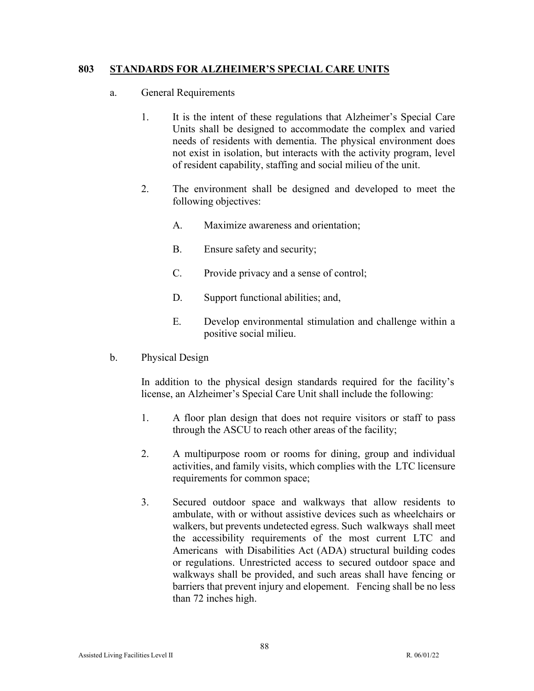#### **803 STANDARDS FOR ALZHEIMER'S SPECIAL CARE UNITS**

- a. General Requirements
	- 1. It is the intent of these regulations that Alzheimer's Special Care Units shall be designed to accommodate the complex and varied needs of residents with dementia. The physical environment does not exist in isolation, but interacts with the activity program, level of resident capability, staffing and social milieu of the unit.
	- 2. The environment shall be designed and developed to meet the following objectives:
		- A. Maximize awareness and orientation;
		- B. Ensure safety and security;
		- C. Provide privacy and a sense of control;
		- D. Support functional abilities; and,
		- E. Develop environmental stimulation and challenge within a positive social milieu.
- b. Physical Design

In addition to the physical design standards required for the facility's license, an Alzheimer's Special Care Unit shall include the following:

- 1. A floor plan design that does not require visitors or staff to pass through the ASCU to reach other areas of the facility;
- 2. A multipurpose room or rooms for dining, group and individual activities, and family visits, which complies with the LTC licensure requirements for common space;
- 3. Secured outdoor space and walkways that allow residents to ambulate, with or without assistive devices such as wheelchairs or walkers, but prevents undetected egress. Such walkways shall meet the accessibility requirements of the most current LTC and Americans with Disabilities Act (ADA) structural building codes or regulations. Unrestricted access to secured outdoor space and walkways shall be provided, and such areas shall have fencing or barriers that prevent injury and elopement. Fencing shall be no less than 72 inches high.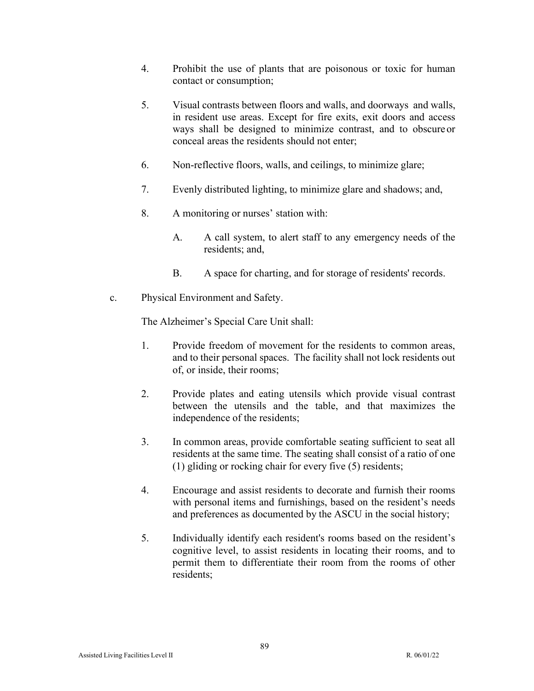- 4. Prohibit the use of plants that are poisonous or toxic for human contact or consumption;
- 5. Visual contrasts between floors and walls, and doorways and walls, in resident use areas. Except for fire exits, exit doors and access ways shall be designed to minimize contrast, and to obscure or conceal areas the residents should not enter;
- 6. Non-reflective floors, walls, and ceilings, to minimize glare;
- 7. Evenly distributed lighting, to minimize glare and shadows; and,
- 8. A monitoring or nurses' station with:
	- A. A call system, to alert staff to any emergency needs of the residents; and,
	- B. A space for charting, and for storage of residents' records.
- c. Physical Environment and Safety.

The Alzheimer's Special Care Unit shall:

- 1. Provide freedom of movement for the residents to common areas, and to their personal spaces. The facility shall not lock residents out of, or inside, their rooms;
- 2. Provide plates and eating utensils which provide visual contrast between the utensils and the table, and that maximizes the independence of the residents;
- 3. In common areas, provide comfortable seating sufficient to seat all residents at the same time. The seating shall consist of a ratio of one (1) gliding or rocking chair for every five (5) residents;
- 4. Encourage and assist residents to decorate and furnish their rooms with personal items and furnishings, based on the resident's needs and preferences as documented by the ASCU in the social history;
- 5. Individually identify each resident's rooms based on the resident's cognitive level, to assist residents in locating their rooms, and to permit them to differentiate their room from the rooms of other residents;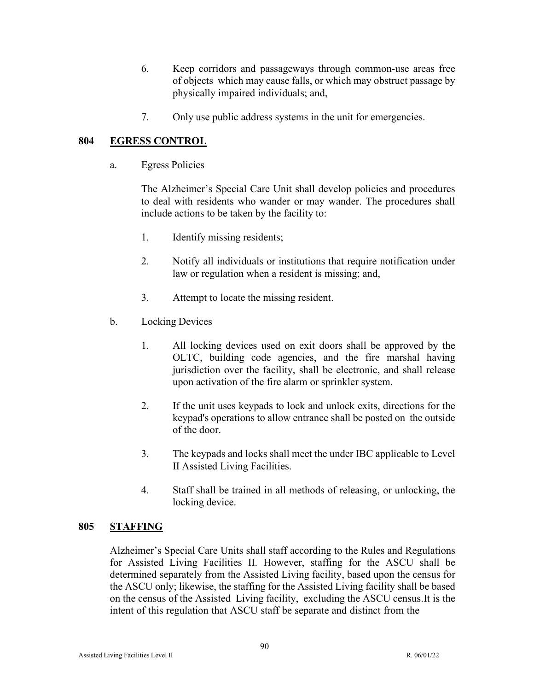- 6. Keep corridors and passageways through common-use areas free of objects which may cause falls, or which may obstruct passage by physically impaired individuals; and,
- 7. Only use public address systems in the unit for emergencies.

## **804 EGRESS CONTROL**

a. Egress Policies

The Alzheimer's Special Care Unit shall develop policies and procedures to deal with residents who wander or may wander. The procedures shall include actions to be taken by the facility to:

- 1. Identify missing residents;
- 2. Notify all individuals or institutions that require notification under law or regulation when a resident is missing; and,
- 3. Attempt to locate the missing resident.
- b. Locking Devices
	- 1. All locking devices used on exit doors shall be approved by the OLTC, building code agencies, and the fire marshal having jurisdiction over the facility, shall be electronic, and shall release upon activation of the fire alarm or sprinkler system.
	- 2. If the unit uses keypads to lock and unlock exits, directions for the keypad's operations to allow entrance shall be posted on the outside of the door.
	- 3. The keypads and locks shall meet the under IBC applicable to Level II Assisted Living Facilities.
	- 4. Staff shall be trained in all methods of releasing, or unlocking, the locking device.

#### **805 STAFFING**

Alzheimer's Special Care Units shall staff according to the Rules and Regulations for Assisted Living Facilities II. However, staffing for the ASCU shall be determined separately from the Assisted Living facility, based upon the census for the ASCU only; likewise, the staffing for the Assisted Living facility shall be based on the census of the Assisted Living facility, excluding the ASCU census.It is the intent of this regulation that ASCU staff be separate and distinct from the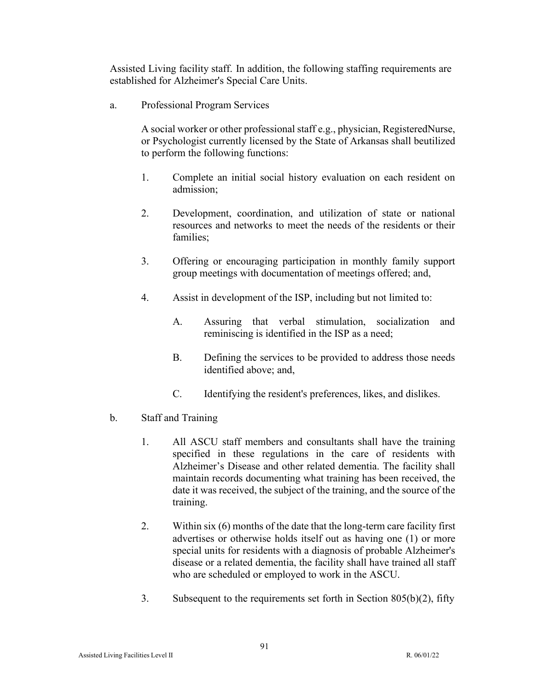Assisted Living facility staff. In addition, the following staffing requirements are established for Alzheimer's Special Care Units.

a. Professional Program Services

A social worker or other professional staff e.g., physician, RegisteredNurse, or Psychologist currently licensed by the State of Arkansas shall beutilized to perform the following functions:

- 1. Complete an initial social history evaluation on each resident on admission;
- 2. Development, coordination, and utilization of state or national resources and networks to meet the needs of the residents or their families;
- 3. Offering or encouraging participation in monthly family support group meetings with documentation of meetings offered; and,
- 4. Assist in development of the ISP, including but not limited to:
	- A. Assuring that verbal stimulation, socialization and reminiscing is identified in the ISP as a need;
	- B. Defining the services to be provided to address those needs identified above; and,
	- C. Identifying the resident's preferences, likes, and dislikes.
- b. Staff and Training
	- 1. All ASCU staff members and consultants shall have the training specified in these regulations in the care of residents with Alzheimer's Disease and other related dementia. The facility shall maintain records documenting what training has been received, the date it was received, the subject of the training, and the source of the training.
	- 2. Within six (6) months of the date that the long-term care facility first advertises or otherwise holds itself out as having one (1) or more special units for residents with a diagnosis of probable Alzheimer's disease or a related dementia, the facility shall have trained all staff who are scheduled or employed to work in the ASCU.
	- 3. Subsequent to the requirements set forth in Section 805(b)(2), fifty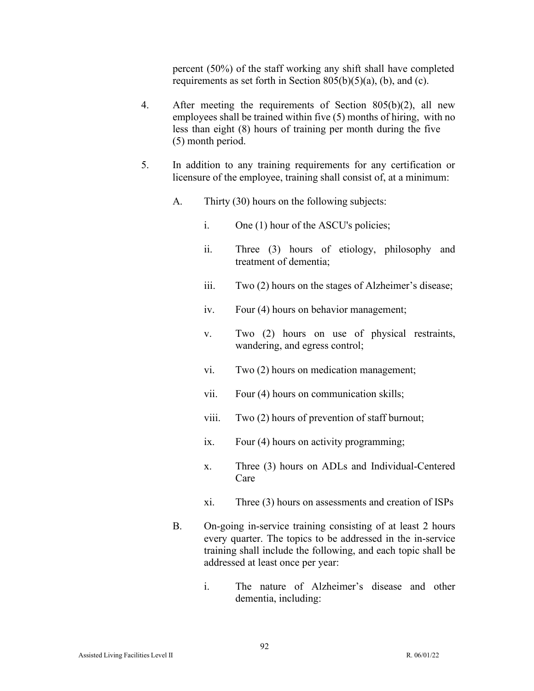percent (50%) of the staff working any shift shall have completed requirements as set forth in Section  $805(b)(5)(a)$ , (b), and (c).

- 4. After meeting the requirements of Section 805(b)(2), all new employees shall be trained within five (5) months of hiring, with no less than eight (8) hours of training per month during the five (5) month period.
- 5. In addition to any training requirements for any certification or licensure of the employee, training shall consist of, at a minimum:
	- A. Thirty (30) hours on the following subjects:
		- i. One (1) hour of the ASCU's policies;
		- ii. Three (3) hours of etiology, philosophy and treatment of dementia;
		- iii. Two (2) hours on the stages of Alzheimer's disease;
		- iv. Four (4) hours on behavior management;
		- v. Two (2) hours on use of physical restraints, wandering, and egress control;
		- vi. Two (2) hours on medication management;
		- vii. Four (4) hours on communication skills;
		- viii. Two (2) hours of prevention of staff burnout;
		- ix. Four (4) hours on activity programming;
		- x. Three (3) hours on ADLs and Individual-Centered Care
		- xi. Three (3) hours on assessments and creation of ISPs
	- B. On-going in-service training consisting of at least 2 hours every quarter. The topics to be addressed in the in-service training shall include the following, and each topic shall be addressed at least once per year:
		- i. The nature of Alzheimer's disease and other dementia, including: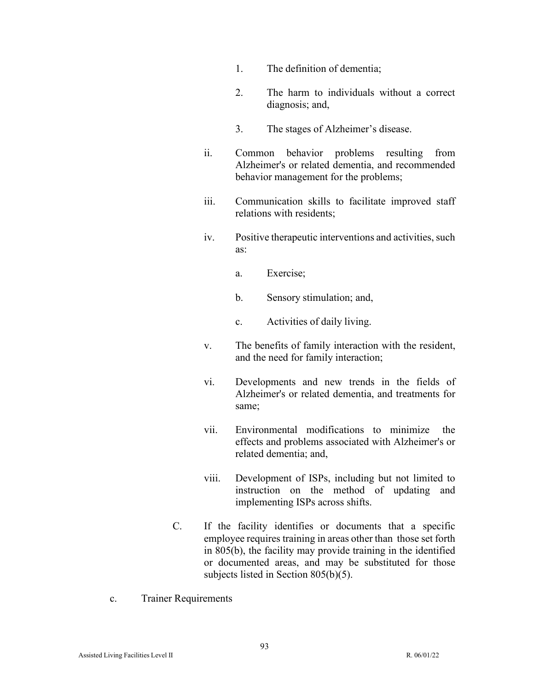- 1. The definition of dementia;
- 2. The harm to individuals without a correct diagnosis; and,
- 3. The stages of Alzheimer's disease.
- ii. Common behavior problems resulting from Alzheimer's or related dementia, and recommended behavior management for the problems;
- iii. Communication skills to facilitate improved staff relations with residents;
- iv. Positive therapeutic interventions and activities, such as:
	- a. Exercise;
	- b. Sensory stimulation; and,
	- c. Activities of daily living.
- v. The benefits of family interaction with the resident, and the need for family interaction;
- vi. Developments and new trends in the fields of Alzheimer's or related dementia, and treatments for same;
- vii. Environmental modifications to minimize the effects and problems associated with Alzheimer's or related dementia; and,
- viii. Development of ISPs, including but not limited to instruction on the method of updating and implementing ISPs across shifts.
- C. If the facility identifies or documents that a specific employee requires training in areas other than those set forth in 805(b), the facility may provide training in the identified or documented areas, and may be substituted for those subjects listed in Section 805(b)(5).
- c. Trainer Requirements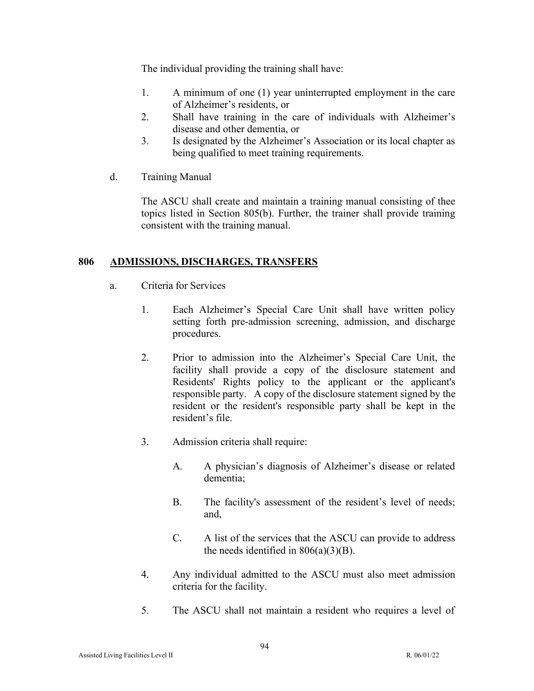The individual providing the training shall have:

- 1. A minimum of one (1) year uninterrupted employment in the care of Alzheimer's residents, or
- 2. Shall have training in the care of individuals with Alzheimer's disease and other dementia, or
- 3. Is designated by the Alzheimer's Association or its local chapter as being qualified to meet training requirements.
- d. Training Manual

The ASCU shall create and maintain a training manual consisting of thee topics listed in Section 805(b). Further, the trainer shall provide training consistent with the training manual.

# **806 ADMISSIONS, DISCHARGES, TRANSFERS**

- a. Criteria for Services
	- 1. Each Alzheimer's Special Care Unit shall have written policy setting forth pre-admission screening, admission, and discharge procedures.
	- 2. Prior to admission into the Alzheimer's Special Care Unit, the facility shall provide a copy of the disclosure statement and Residents' Rights policy to the applicant or the applicant's responsible party. A copy of the disclosure statement signed by the resident or the resident's responsible party shall be kept in the resident's file.
	- 3. Admission criteria shall require:
		- A. A physician's diagnosis of Alzheimer's disease or related dementia;
		- B. The facility's assessment of the resident's level of needs; and,
		- C. A list of the services that the ASCU can provide to address the needs identified in  $806(a)(3)(B)$ .
	- 4. Any individual admitted to the ASCU must also meet admission criteria for the facility.
	- 5. The ASCU shall not maintain a resident who requires a level of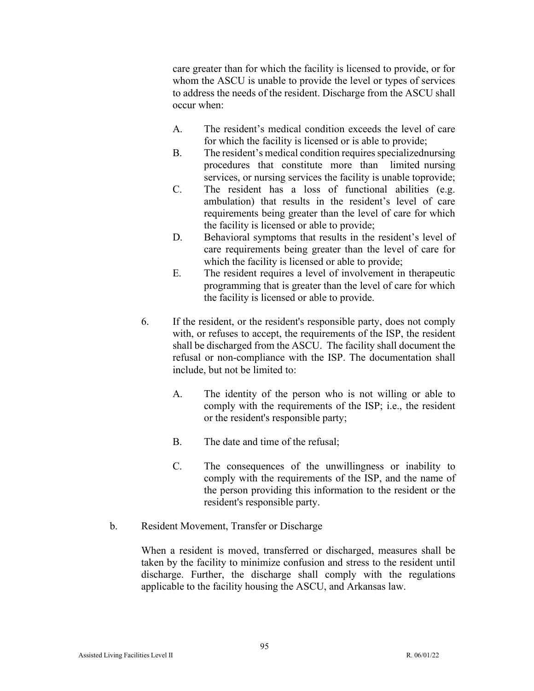care greater than for which the facility is licensed to provide, or for whom the ASCU is unable to provide the level or types of services to address the needs of the resident. Discharge from the ASCU shall occur when:

- A. The resident's medical condition exceeds the level of care for which the facility is licensed or is able to provide;
- B. The resident's medical condition requires specializednursing procedures that constitute more than limited nursing services, or nursing services the facility is unable toprovide;
- C. The resident has a loss of functional abilities (e.g. ambulation) that results in the resident's level of care requirements being greater than the level of care for which the facility is licensed or able to provide;
- D. Behavioral symptoms that results in the resident's level of care requirements being greater than the level of care for which the facility is licensed or able to provide;
- E. The resident requires a level of involvement in therapeutic programming that is greater than the level of care for which the facility is licensed or able to provide.
- 6. If the resident, or the resident's responsible party, does not comply with, or refuses to accept, the requirements of the ISP, the resident shall be discharged from the ASCU. The facility shall document the refusal or non-compliance with the ISP. The documentation shall include, but not be limited to:
	- A. The identity of the person who is not willing or able to comply with the requirements of the ISP; i.e., the resident or the resident's responsible party;
	- B. The date and time of the refusal;
	- C. The consequences of the unwillingness or inability to comply with the requirements of the ISP, and the name of the person providing this information to the resident or the resident's responsible party.
- b. Resident Movement, Transfer or Discharge

When a resident is moved, transferred or discharged, measures shall be taken by the facility to minimize confusion and stress to the resident until discharge. Further, the discharge shall comply with the regulations applicable to the facility housing the ASCU, and Arkansas law.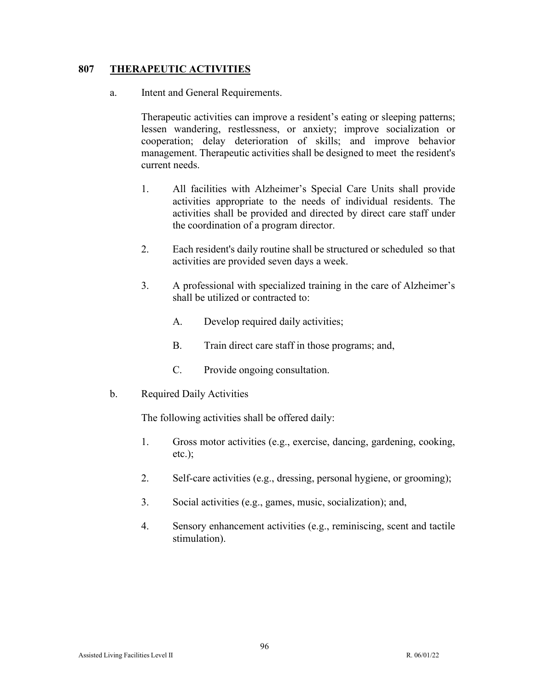## **807 THERAPEUTIC ACTIVITIES**

a. Intent and General Requirements.

Therapeutic activities can improve a resident's eating or sleeping patterns; lessen wandering, restlessness, or anxiety; improve socialization or cooperation; delay deterioration of skills; and improve behavior management. Therapeutic activities shall be designed to meet the resident's current needs.

- 1. All facilities with Alzheimer's Special Care Units shall provide activities appropriate to the needs of individual residents. The activities shall be provided and directed by direct care staff under the coordination of a program director.
- 2. Each resident's daily routine shall be structured or scheduled so that activities are provided seven days a week.
- 3. A professional with specialized training in the care of Alzheimer's shall be utilized or contracted to:
	- A. Develop required daily activities;
	- B. Train direct care staff in those programs; and,
	- C. Provide ongoing consultation.
- b. Required Daily Activities

The following activities shall be offered daily:

- 1. Gross motor activities (e.g., exercise, dancing, gardening, cooking, etc.);
- 2. Self-care activities (e.g., dressing, personal hygiene, or grooming);
- 3. Social activities (e.g., games, music, socialization); and,
- 4. Sensory enhancement activities (e.g., reminiscing, scent and tactile stimulation).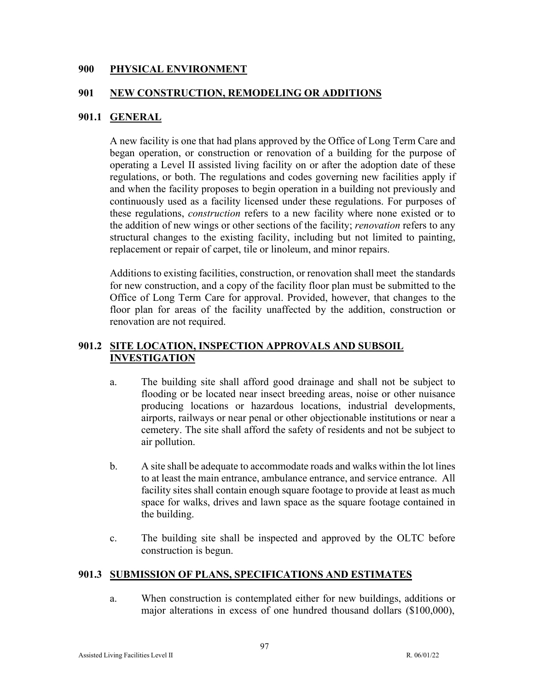#### **900 PHYSICAL ENVIRONMENT**

#### **901 NEW CONSTRUCTION, REMODELING OR ADDITIONS**

## **901.1 GENERAL**

A new facility is one that had plans approved by the Office of Long Term Care and began operation, or construction or renovation of a building for the purpose of operating a Level II assisted living facility on or after the adoption date of these regulations, or both. The regulations and codes governing new facilities apply if and when the facility proposes to begin operation in a building not previously and continuously used as a facility licensed under these regulations. For purposes of these regulations, *construction* refers to a new facility where none existed or to the addition of new wings or other sections of the facility; *renovation* refers to any structural changes to the existing facility, including but not limited to painting, replacement or repair of carpet, tile or linoleum, and minor repairs.

Additions to existing facilities, construction, or renovation shall meet the standards for new construction, and a copy of the facility floor plan must be submitted to the Office of Long Term Care for approval. Provided, however, that changes to the floor plan for areas of the facility unaffected by the addition, construction or renovation are not required.

## **901.2 SITE LOCATION, INSPECTION APPROVALS AND SUBSOIL INVESTIGATION**

- a. The building site shall afford good drainage and shall not be subject to flooding or be located near insect breeding areas, noise or other nuisance producing locations or hazardous locations, industrial developments, airports, railways or near penal or other objectionable institutions or near a cemetery. The site shall afford the safety of residents and not be subject to air pollution.
- b. A site shall be adequate to accommodate roads and walks within the lot lines to at least the main entrance, ambulance entrance, and service entrance. All facility sites shall contain enough square footage to provide at least as much space for walks, drives and lawn space as the square footage contained in the building.
- c. The building site shall be inspected and approved by the OLTC before construction is begun.

#### **901.3 SUBMISSION OF PLANS, SPECIFICATIONS AND ESTIMATES**

a. When construction is contemplated either for new buildings, additions or major alterations in excess of one hundred thousand dollars (\$100,000),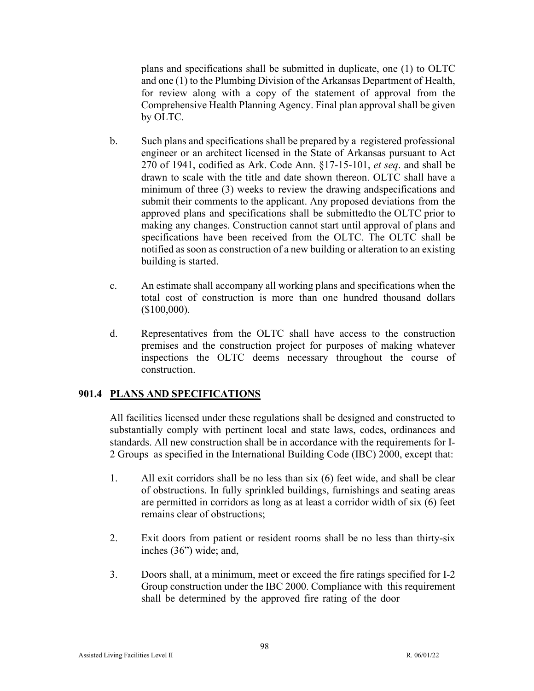plans and specifications shall be submitted in duplicate, one (1) to OLTC and one (1) to the Plumbing Division of the Arkansas Department of Health, for review along with a copy of the statement of approval from the Comprehensive Health Planning Agency. Final plan approval shall be given by OLTC.

- b. Such plans and specifications shall be prepared by a registered professional engineer or an architect licensed in the State of Arkansas pursuant to Act 270 of 1941, codified as Ark. Code Ann. §17-15-101, *et seq*. and shall be drawn to scale with the title and date shown thereon. OLTC shall have a minimum of three (3) weeks to review the drawing andspecifications and submit their comments to the applicant. Any proposed deviations from the approved plans and specifications shall be submitted to the OLTC prior to making any changes. Construction cannot start until approval of plans and specifications have been received from the OLTC. The OLTC shall be notified as soon as construction of a new building or alteration to an existing building is started.
- c. An estimate shall accompany all working plans and specifications when the total cost of construction is more than one hundred thousand dollars (\$100,000).
- d. Representatives from the OLTC shall have access to the construction premises and the construction project for purposes of making whatever inspections the OLTC deems necessary throughout the course of construction.

# **901.4 PLANS AND SPECIFICATIONS**

All facilities licensed under these regulations shall be designed and constructed to substantially comply with pertinent local and state laws, codes, ordinances and standards. All new construction shall be in accordance with the requirements for I-2 Groups as specified in the International Building Code (IBC) 2000, except that:

- 1. All exit corridors shall be no less than six (6) feet wide, and shall be clear of obstructions. In fully sprinkled buildings, furnishings and seating areas are permitted in corridors as long as at least a corridor width of six (6) feet remains clear of obstructions;
- 2. Exit doors from patient or resident rooms shall be no less than thirty-six inches (36") wide; and,
- 3. Doors shall, at a minimum, meet or exceed the fire ratings specified for I-2 Group construction under the IBC 2000. Compliance with this requirement shall be determined by the approved fire rating of the door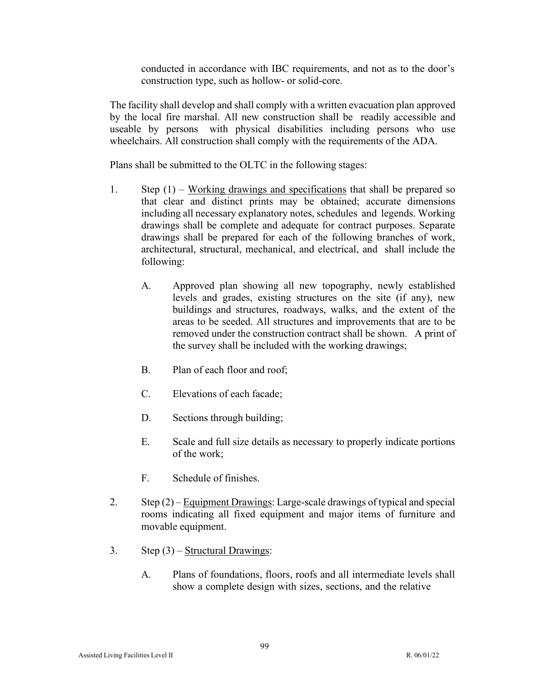conducted in accordance with IBC requirements, and not as to the door's construction type, such as hollow- or solid-core.

The facility shall develop and shall comply with a written evacuation plan approved by the local fire marshal. All new construction shall be readily accessible and useable by persons with physical disabilities including persons who use wheelchairs. All construction shall comply with the requirements of the ADA.

Plans shall be submitted to the OLTC in the following stages:

- 1. Step (1) Working drawings and specifications that shall be prepared so that clear and distinct prints may be obtained; accurate dimensions including all necessary explanatory notes, schedules and legends. Working drawings shall be complete and adequate for contract purposes. Separate drawings shall be prepared for each of the following branches of work, architectural, structural, mechanical, and electrical, and shall include the following:
	- A. Approved plan showing all new topography, newly established levels and grades, existing structures on the site (if any), new buildings and structures, roadways, walks, and the extent of the areas to be seeded. All structures and improvements that are to be removed under the construction contract shall be shown. A print of the survey shall be included with the working drawings;
	- B. Plan of each floor and roof;
	- C. Elevations of each facade;
	- D. Sections through building;
	- E. Scale and full size details as necessary to properly indicate portions of the work;
	- F. Schedule of finishes.
- 2. Step  $(2)$  Equipment Drawings: Large-scale drawings of typical and special rooms indicating all fixed equipment and major items of furniture and movable equipment.
- 3. Step  $(3)$  Structural Drawings:
	- A. Plans of foundations, floors, roofs and all intermediate levels shall show a complete design with sizes, sections, and the relative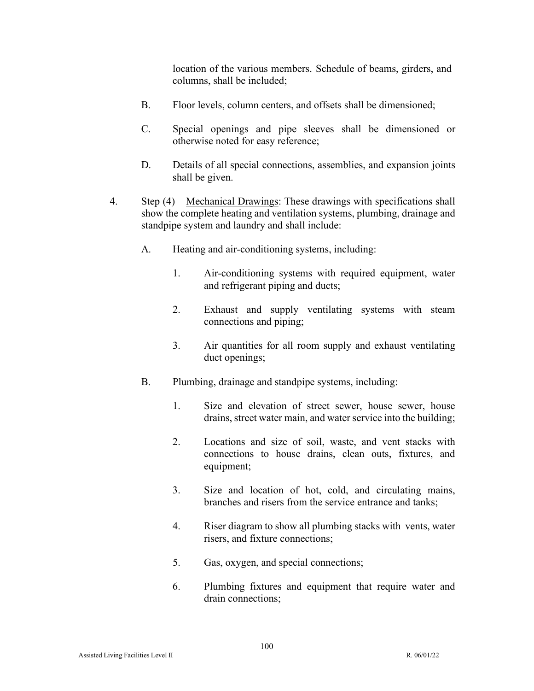location of the various members. Schedule of beams, girders, and columns, shall be included;

- B. Floor levels, column centers, and offsets shall be dimensioned;
- C. Special openings and pipe sleeves shall be dimensioned or otherwise noted for easy reference;
- D. Details of all special connections, assemblies, and expansion joints shall be given.
- 4. Step (4) Mechanical Drawings: These drawings with specifications shall show the complete heating and ventilation systems, plumbing, drainage and standpipe system and laundry and shall include:
	- A. Heating and air-conditioning systems, including:
		- 1. Air-conditioning systems with required equipment, water and refrigerant piping and ducts;
		- 2. Exhaust and supply ventilating systems with steam connections and piping;
		- 3. Air quantities for all room supply and exhaust ventilating duct openings;
	- B. Plumbing, drainage and standpipe systems, including:
		- 1. Size and elevation of street sewer, house sewer, house drains, street water main, and water service into the building;
		- 2. Locations and size of soil, waste, and vent stacks with connections to house drains, clean outs, fixtures, and equipment;
		- 3. Size and location of hot, cold, and circulating mains, branches and risers from the service entrance and tanks;
		- 4. Riser diagram to show all plumbing stacks with vents, water risers, and fixture connections;
		- 5. Gas, oxygen, and special connections;
		- 6. Plumbing fixtures and equipment that require water and drain connections;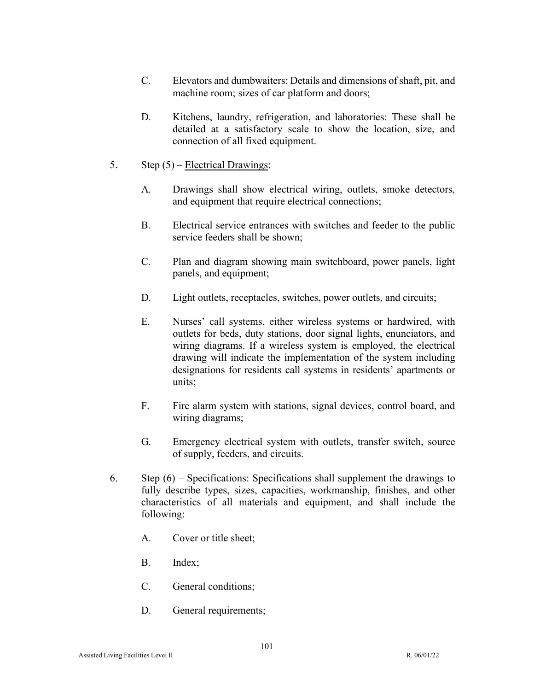- C. Elevators and dumbwaiters: Details and dimensions of shaft, pit, and machine room; sizes of car platform and doors;
- D. Kitchens, laundry, refrigeration, and laboratories: These shall be detailed at a satisfactory scale to show the location, size, and connection of all fixed equipment.
- 5. Step (5) Electrical Drawings:
	- A. Drawings shall show electrical wiring, outlets, smoke detectors, and equipment that require electrical connections;
	- B. Electrical service entrances with switches and feeder to the public service feeders shall be shown;
	- C. Plan and diagram showing main switchboard, power panels, light panels, and equipment;
	- D. Light outlets, receptacles, switches, power outlets, and circuits;
	- E. Nurses' call systems, either wireless systems or hardwired, with outlets for beds, duty stations, door signal lights, enunciators, and wiring diagrams. If a wireless system is employed, the electrical drawing will indicate the implementation of the system including designations for residents call systems in residents' apartments or units;
	- F. Fire alarm system with stations, signal devices, control board, and wiring diagrams;
	- G. Emergency electrical system with outlets, transfer switch, source of supply, feeders, and circuits.
- 6. Step  $(6)$  Specifications: Specifications shall supplement the drawings to fully describe types, sizes, capacities, workmanship, finishes, and other characteristics of all materials and equipment, and shall include the following:
	- A. Cover or title sheet;
	- B. Index;
	- C. General conditions;
	- D. General requirements;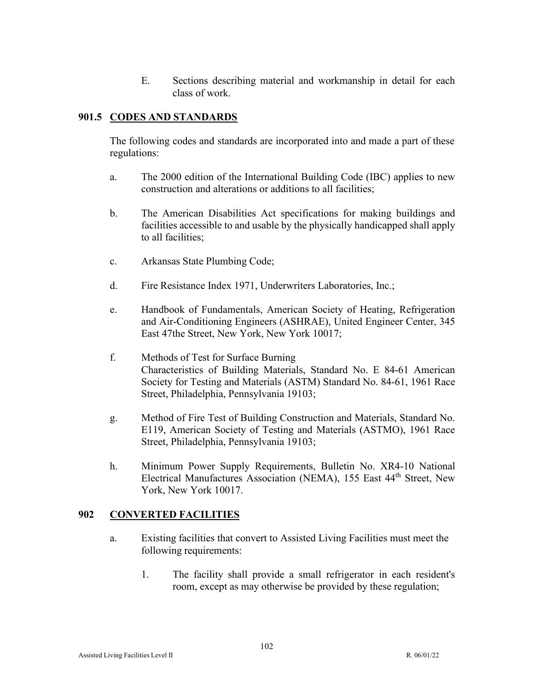E. Sections describing material and workmanship in detail for each class of work.

# **901.5 CODES AND STANDARDS**

The following codes and standards are incorporated into and made a part of these regulations:

- a. The 2000 edition of the International Building Code (IBC) applies to new construction and alterations or additions to all facilities;
- b. The American Disabilities Act specifications for making buildings and facilities accessible to and usable by the physically handicapped shall apply to all facilities;
- c. Arkansas State Plumbing Code;
- d. Fire Resistance Index 1971, Underwriters Laboratories, Inc.;
- e. Handbook of Fundamentals, American Society of Heating, Refrigeration and Air-Conditioning Engineers (ASHRAE), United Engineer Center, 345 East 47the Street, New York, New York 10017;
- f. Methods of Test for Surface Burning Characteristics of Building Materials, Standard No. E 84-61 American Society for Testing and Materials (ASTM) Standard No. 84-61, 1961 Race Street, Philadelphia, Pennsylvania 19103;
- g. Method of Fire Test of Building Construction and Materials, Standard No. E119, American Society of Testing and Materials (ASTMO), 1961 Race Street, Philadelphia, Pennsylvania 19103;
- h. Minimum Power Supply Requirements, Bulletin No. XR4-10 National Electrical Manufactures Association (NEMA), 155 East 44<sup>th</sup> Street, New York, New York 10017.

# **902 CONVERTED FACILITIES**

- a. Existing facilities that convert to Assisted Living Facilities must meet the following requirements:
	- 1. The facility shall provide a small refrigerator in each resident's room, except as may otherwise be provided by these regulation;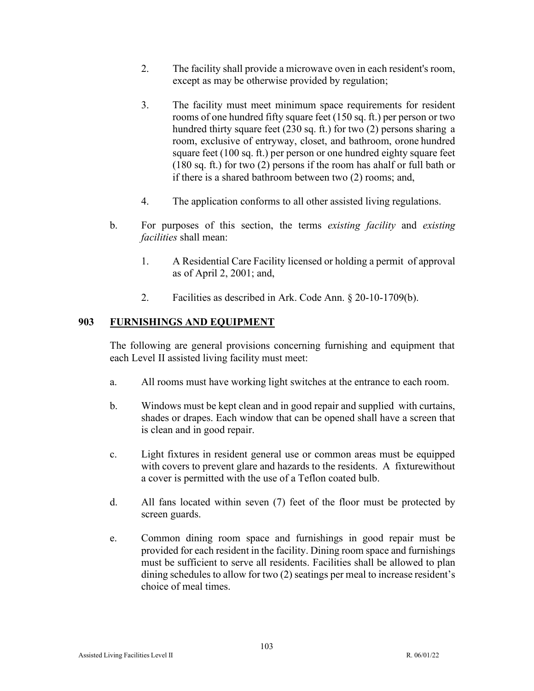- 2. The facility shall provide a microwave oven in each resident's room, except as may be otherwise provided by regulation;
- 3. The facility must meet minimum space requirements for resident rooms of one hundred fifty square feet (150 sq. ft.) per person or two hundred thirty square feet (230 sq. ft.) for two (2) persons sharing a room, exclusive of entryway, closet, and bathroom, or one hundred square feet (100 sq. ft.) per person or one hundred eighty square feet (180 sq. ft.) for two (2) persons if the room has ahalf or full bath or if there is a shared bathroom between two (2) rooms; and,
- 4. The application conforms to all other assisted living regulations.
- b. For purposes of this section, the terms *existing facility* and *existing facilities* shall mean:
	- 1. A Residential Care Facility licensed or holding a permit of approval as of April 2, 2001; and,
	- 2. Facilities as described in Ark. Code Ann. § 20-10-1709(b).

# **903 FURNISHINGS AND EQUIPMENT**

The following are general provisions concerning furnishing and equipment that each Level II assisted living facility must meet:

- a. All rooms must have working light switches at the entrance to each room.
- b. Windows must be kept clean and in good repair and supplied with curtains, shades or drapes. Each window that can be opened shall have a screen that is clean and in good repair.
- c. Light fixtures in resident general use or common areas must be equipped with covers to prevent glare and hazards to the residents. A fixture without a cover is permitted with the use of a Teflon coated bulb.
- d. All fans located within seven (7) feet of the floor must be protected by screen guards.
- e. Common dining room space and furnishings in good repair must be provided for each resident in the facility. Dining room space and furnishings must be sufficient to serve all residents. Facilities shall be allowed to plan dining schedules to allow for two (2) seatings per meal to increase resident's choice of meal times.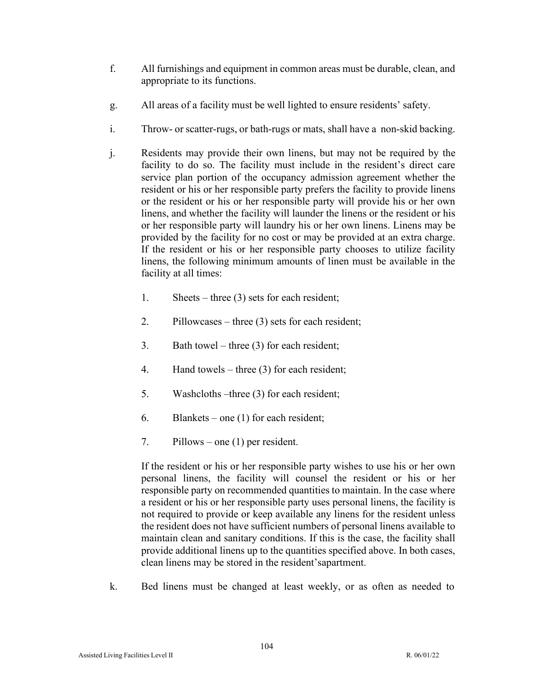- f. All furnishings and equipment in common areas must be durable, clean, and appropriate to its functions.
- g. All areas of a facility must be well lighted to ensure residents' safety.
- i. Throw- or scatter-rugs, or bath-rugs or mats, shall have a non-skid backing.
- j. Residents may provide their own linens, but may not be required by the facility to do so. The facility must include in the resident's direct care service plan portion of the occupancy admission agreement whether the resident or his or her responsible party prefers the facility to provide linens or the resident or his or her responsible party will provide his or her own linens, and whether the facility will launder the linens or the resident or his or her responsible party will laundry his or her own linens. Linens may be provided by the facility for no cost or may be provided at an extra charge. If the resident or his or her responsible party chooses to utilize facility linens, the following minimum amounts of linen must be available in the facility at all times:
	- 1. Sheets three (3) sets for each resident;
	- 2. Pillowcases three (3) sets for each resident;
	- 3. Bath towel three (3) for each resident;
	- 4. Hand towels three (3) for each resident;
	- 5. Washcloths –three (3) for each resident;
	- 6. Blankets one (1) for each resident;
	- 7. Pillows one (1) per resident.

If the resident or his or her responsible party wishes to use his or her own personal linens, the facility will counsel the resident or his or her responsible party on recommended quantities to maintain. In the case where a resident or his or her responsible party uses personal linens, the facility is not required to provide or keep available any linens for the resident unless the resident does not have sufficient numbers of personal linens available to maintain clean and sanitary conditions. If this is the case, the facility shall provide additional linens up to the quantities specified above. In both cases, clean linens may be stored in the resident'sapartment.

k. Bed linens must be changed at least weekly, or as often as needed to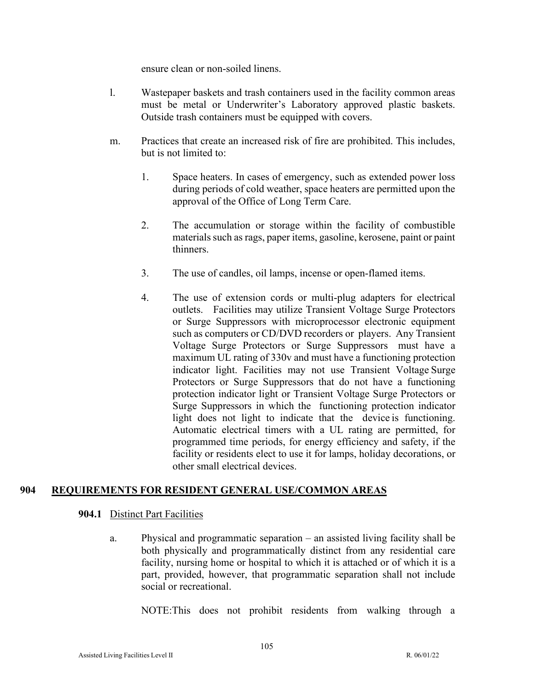ensure clean or non-soiled linens.

- l. Wastepaper baskets and trash containers used in the facility common areas must be metal or Underwriter's Laboratory approved plastic baskets. Outside trash containers must be equipped with covers.
- m. Practices that create an increased risk of fire are prohibited. This includes, but is not limited to:
	- 1. Space heaters. In cases of emergency, such as extended power loss during periods of cold weather, space heaters are permitted upon the approval of the Office of Long Term Care.
	- 2. The accumulation or storage within the facility of combustible materials such as rags, paper items, gasoline, kerosene, paint or paint thinners.
	- 3. The use of candles, oil lamps, incense or open-flamed items.
	- 4. The use of extension cords or multi-plug adapters for electrical outlets. Facilities may utilize Transient Voltage Surge Protectors or Surge Suppressors with microprocessor electronic equipment such as computers or CD/DVD recorders or players. Any Transient Voltage Surge Protectors or Surge Suppressors must have a maximum UL rating of 330v and must have a functioning protection indicator light. Facilities may not use Transient Voltage Surge Protectors or Surge Suppressors that do not have a functioning protection indicator light or Transient Voltage Surge Protectors or Surge Suppressors in which the functioning protection indicator light does not light to indicate that the device is functioning. Automatic electrical timers with a UL rating are permitted, for programmed time periods, for energy efficiency and safety, if the facility or residents elect to use it for lamps, holiday decorations, or other small electrical devices.

# **904 REQUIREMENTS FOR RESIDENT GENERAL USE/COMMON AREAS**

#### **904.1** Distinct Part Facilities

a. Physical and programmatic separation – an assisted living facility shall be both physically and programmatically distinct from any residential care facility, nursing home or hospital to which it is attached or of which it is a part, provided, however, that programmatic separation shall not include social or recreational.

NOTE:This does not prohibit residents from walking through a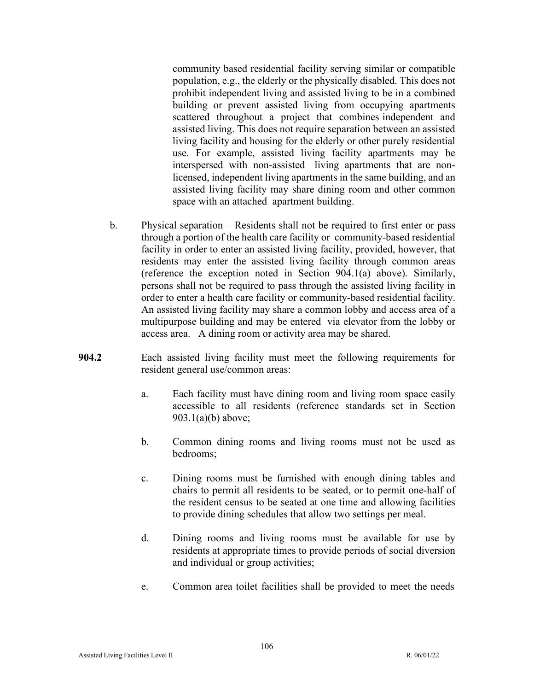community based residential facility serving similar or compatible population, e.g., the elderly or the physically disabled. This does not prohibit independent living and assisted living to be in a combined building or prevent assisted living from occupying apartments scattered throughout a project that combines independent and assisted living. This does not require separation between an assisted living facility and housing for the elderly or other purely residential use. For example, assisted living facility apartments may be interspersed with non-assisted living apartments that are nonlicensed, independent living apartments in the same building, and an assisted living facility may share dining room and other common space with an attached apartment building.

- b. Physical separation Residents shall not be required to first enter or pass through a portion of the health care facility or community-based residential facility in order to enter an assisted living facility, provided, however, that residents may enter the assisted living facility through common areas (reference the exception noted in Section 904.1(a) above). Similarly, persons shall not be required to pass through the assisted living facility in order to enter a health care facility or community-based residential facility. An assisted living facility may share a common lobby and access area of a multipurpose building and may be entered via elevator from the lobby or access area. A dining room or activity area may be shared.
- **904.2** Each assisted living facility must meet the following requirements for resident general use/common areas:
	- a. Each facility must have dining room and living room space easily accessible to all residents (reference standards set in Section 903.1(a)(b) above;
	- b. Common dining rooms and living rooms must not be used as bedrooms;
	- c. Dining rooms must be furnished with enough dining tables and chairs to permit all residents to be seated, or to permit one-half of the resident census to be seated at one time and allowing facilities to provide dining schedules that allow two settings per meal.
	- d. Dining rooms and living rooms must be available for use by residents at appropriate times to provide periods of social diversion and individual or group activities;
	- e. Common area toilet facilities shall be provided to meet the needs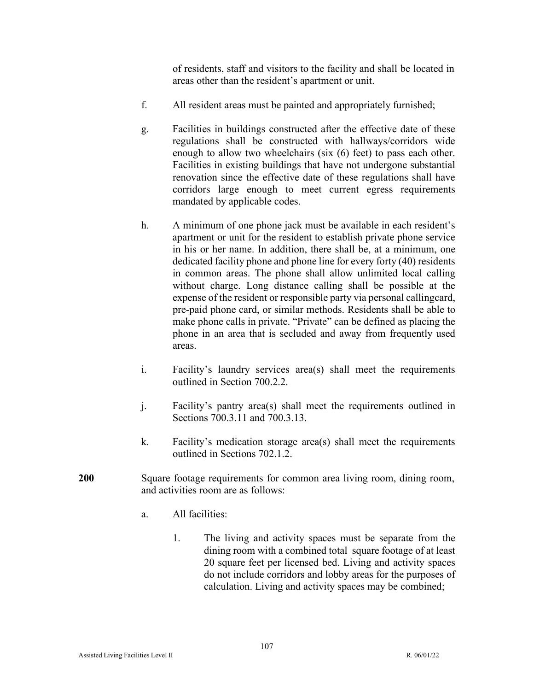of residents, staff and visitors to the facility and shall be located in areas other than the resident's apartment or unit.

- f. All resident areas must be painted and appropriately furnished;
- g. Facilities in buildings constructed after the effective date of these regulations shall be constructed with hallways/corridors wide enough to allow two wheelchairs (six (6) feet) to pass each other. Facilities in existing buildings that have not undergone substantial renovation since the effective date of these regulations shall have corridors large enough to meet current egress requirements mandated by applicable codes.
- h. A minimum of one phone jack must be available in each resident's apartment or unit for the resident to establish private phone service in his or her name. In addition, there shall be, at a minimum, one dedicated facility phone and phone line for every forty (40) residents in common areas. The phone shall allow unlimited local calling without charge. Long distance calling shall be possible at the expense of the resident or responsible party via personal callingcard, pre-paid phone card, or similar methods. Residents shall be able to make phone calls in private. "Private" can be defined as placing the phone in an area that is secluded and away from frequently used areas.
- i. Facility's laundry services area(s) shall meet the requirements outlined in Section 700.2.2.
- j. Facility's pantry area(s) shall meet the requirements outlined in Sections 700.3.11 and 700.3.13.
- k. Facility's medication storage area(s) shall meet the requirements outlined in Sections 702.1.2.
- **200** Square footage requirements for common area living room, dining room, and activities room are as follows:
	- a. All facilities:
		- 1. The living and activity spaces must be separate from the dining room with a combined total square footage of at least 20 square feet per licensed bed. Living and activity spaces do not include corridors and lobby areas for the purposes of calculation. Living and activity spaces may be combined;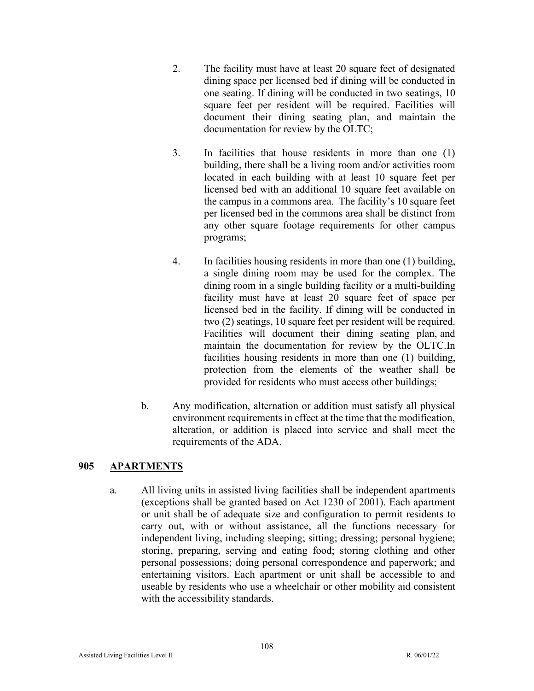- 2. The facility must have at least 20 square feet of designated dining space per licensed bed if dining will be conducted in one seating. If dining will be conducted in two seatings, 10 square feet per resident will be required. Facilities will document their dining seating plan, and maintain the documentation for review by the OLTC;
- 3. In facilities that house residents in more than one (1) building, there shall be a living room and/or activities room located in each building with at least 10 square feet per licensed bed with an additional 10 square feet available on the campus in a commons area. The facility's 10 square feet per licensed bed in the commons area shall be distinct from any other square footage requirements for other campus programs;
- 4. In facilities housing residents in more than one (1) building, a single dining room may be used for the complex. The dining room in a single building facility or a multi-building facility must have at least 20 square feet of space per licensed bed in the facility. If dining will be conducted in two (2) seatings, 10 square feet per resident will be required. Facilities will document their dining seating plan, and maintain the documentation for review by the OLTC.In facilities housing residents in more than one (1) building, protection from the elements of the weather shall be provided for residents who must access other buildings;
- b. Any modification, alternation or addition must satisfy all physical environment requirements in effect at the time that the modification, alteration, or addition is placed into service and shall meet the requirements of the ADA.

# **905 APARTMENTS**

a. All living units in assisted living facilities shall be independent apartments (exceptions shall be granted based on Act 1230 of 2001). Each apartment or unit shall be of adequate size and configuration to permit residents to carry out, with or without assistance, all the functions necessary for independent living, including sleeping; sitting; dressing; personal hygiene; storing, preparing, serving and eating food; storing clothing and other personal possessions; doing personal correspondence and paperwork; and entertaining visitors. Each apartment or unit shall be accessible to and useable by residents who use a wheelchair or other mobility aid consistent with the accessibility standards.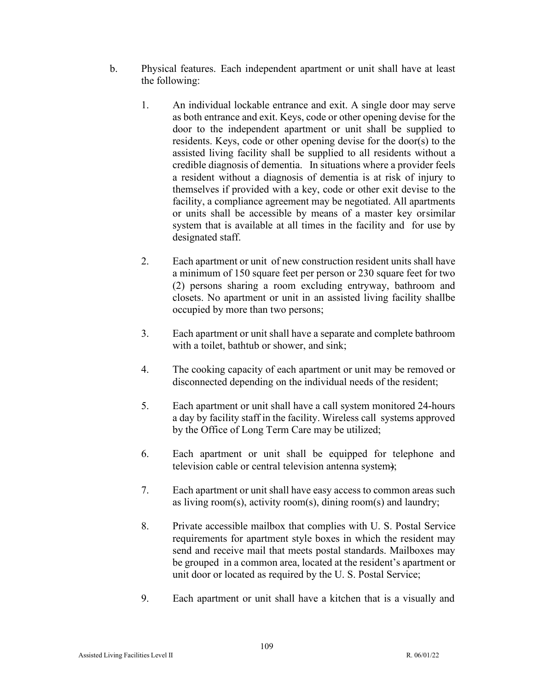- b. Physical features. Each independent apartment or unit shall have at least the following:
	- 1. An individual lockable entrance and exit. A single door may serve as both entrance and exit. Keys, code or other opening devise for the door to the independent apartment or unit shall be supplied to residents. Keys, code or other opening devise for the door(s) to the assisted living facility shall be supplied to all residents without a credible diagnosis of dementia. In situations where a provider feels a resident without a diagnosis of dementia is at risk of injury to themselves if provided with a key, code or other exit devise to the facility, a compliance agreement may be negotiated. All apartments or units shall be accessible by means of a master key orsimilar system that is available at all times in the facility and for use by designated staff.
	- 2. Each apartment or unit of new construction resident units shall have a minimum of 150 square feet per person or 230 square feet for two (2) persons sharing a room excluding entryway, bathroom and closets. No apartment or unit in an assisted living facility shallbe occupied by more than two persons;
	- 3. Each apartment or unit shall have a separate and complete bathroom with a toilet, bathtub or shower, and sink;
	- 4. The cooking capacity of each apartment or unit may be removed or disconnected depending on the individual needs of the resident;
	- 5. Each apartment or unit shall have a call system monitored 24-hours a day by facility staff in the facility. Wireless call systems approved by the Office of Long Term Care may be utilized;
	- 6. Each apartment or unit shall be equipped for telephone and television cable or central television antenna system);
	- 7. Each apartment or unit shall have easy access to common areas such as living room(s), activity room(s), dining room(s) and laundry;
	- 8. Private accessible mailbox that complies with U. S. Postal Service requirements for apartment style boxes in which the resident may send and receive mail that meets postal standards. Mailboxes may be grouped in a common area, located at the resident's apartment or unit door or located as required by the U. S. Postal Service;
	- 9. Each apartment or unit shall have a kitchen that is a visually and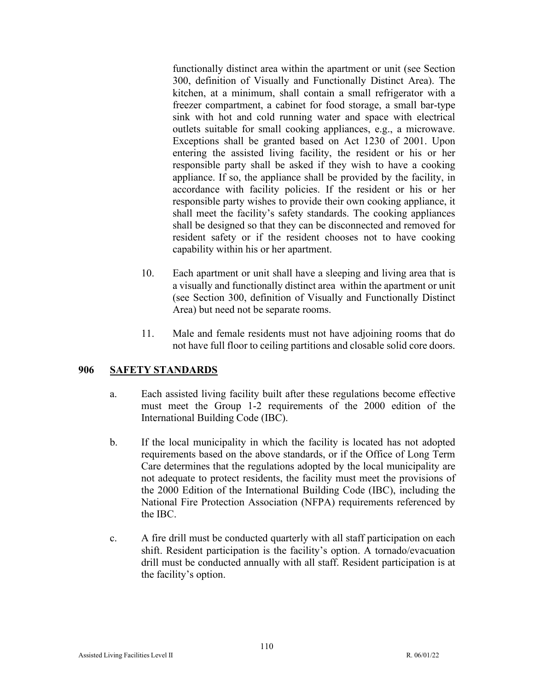functionally distinct area within the apartment or unit (see Section 300, definition of Visually and Functionally Distinct Area). The kitchen, at a minimum, shall contain a small refrigerator with a freezer compartment, a cabinet for food storage, a small bar-type sink with hot and cold running water and space with electrical outlets suitable for small cooking appliances, e.g., a microwave. Exceptions shall be granted based on Act 1230 of 2001. Upon entering the assisted living facility, the resident or his or her responsible party shall be asked if they wish to have a cooking appliance. If so, the appliance shall be provided by the facility, in accordance with facility policies. If the resident or his or her responsible party wishes to provide their own cooking appliance, it shall meet the facility's safety standards. The cooking appliances shall be designed so that they can be disconnected and removed for resident safety or if the resident chooses not to have cooking capability within his or her apartment.

- 10. Each apartment or unit shall have a sleeping and living area that is a visually and functionally distinct area within the apartment or unit (see Section 300, definition of Visually and Functionally Distinct Area) but need not be separate rooms.
- 11. Male and female residents must not have adjoining rooms that do not have full floor to ceiling partitions and closable solid core doors.

# **906 SAFETY STANDARDS**

- a. Each assisted living facility built after these regulations become effective must meet the Group 1-2 requirements of the 2000 edition of the International Building Code (IBC).
- b. If the local municipality in which the facility is located has not adopted requirements based on the above standards, or if the Office of Long Term Care determines that the regulations adopted by the local municipality are not adequate to protect residents, the facility must meet the provisions of the 2000 Edition of the International Building Code (IBC), including the National Fire Protection Association (NFPA) requirements referenced by the IBC.
- c. A fire drill must be conducted quarterly with all staff participation on each shift. Resident participation is the facility's option. A tornado/evacuation drill must be conducted annually with all staff. Resident participation is at the facility's option.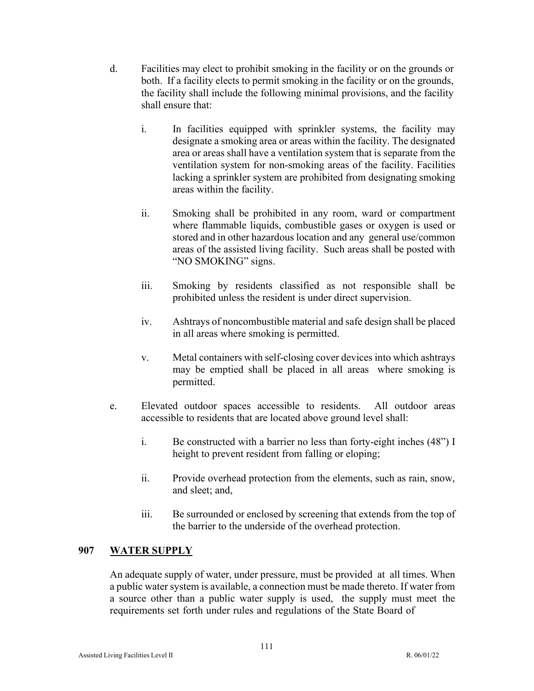- d. Facilities may elect to prohibit smoking in the facility or on the grounds or both. If a facility elects to permit smoking in the facility or on the grounds, the facility shall include the following minimal provisions, and the facility shall ensure that:
	- i. In facilities equipped with sprinkler systems, the facility may designate a smoking area or areas within the facility. The designated area or areas shall have a ventilation system that is separate from the ventilation system for non-smoking areas of the facility. Facilities lacking a sprinkler system are prohibited from designating smoking areas within the facility.
	- ii. Smoking shall be prohibited in any room, ward or compartment where flammable liquids, combustible gases or oxygen is used or stored and in other hazardous location and any general use/common areas of the assisted living facility. Such areas shall be posted with "NO SMOKING" signs.
	- iii. Smoking by residents classified as not responsible shall be prohibited unless the resident is under direct supervision.
	- iv. Ashtrays of noncombustible material and safe design shall be placed in all areas where smoking is permitted.
	- v. Metal containers with self-closing cover devices into which ashtrays may be emptied shall be placed in all areas where smoking is permitted.
- e. Elevated outdoor spaces accessible to residents. All outdoor areas accessible to residents that are located above ground level shall:
	- i. Be constructed with a barrier no less than forty-eight inches (48") I height to prevent resident from falling or eloping;
	- ii. Provide overhead protection from the elements, such as rain, snow, and sleet; and,
	- iii. Be surrounded or enclosed by screening that extends from the top of the barrier to the underside of the overhead protection.

# **907 WATER SUPPLY**

An adequate supply of water, under pressure, must be provided at all times. When a public water system is available, a connection must be made thereto. If water from a source other than a public water supply is used, the supply must meet the requirements set forth under rules and regulations of the State Board of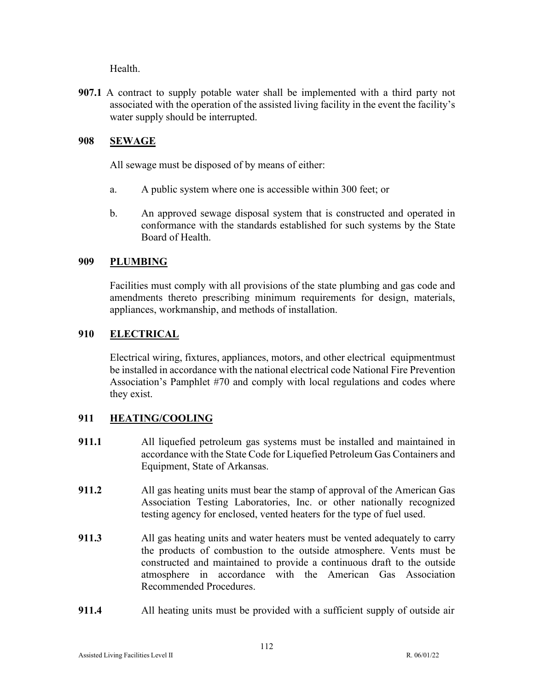Health.

**907.1** A contract to supply potable water shall be implemented with a third party not associated with the operation of the assisted living facility in the event the facility's water supply should be interrupted.

# **908 SEWAGE**

All sewage must be disposed of by means of either:

- a. A public system where one is accessible within 300 feet; or
- b. An approved sewage disposal system that is constructed and operated in conformance with the standards established for such systems by the State Board of Health.

# **909 PLUMBING**

Facilities must comply with all provisions of the state plumbing and gas code and amendments thereto prescribing minimum requirements for design, materials, appliances, workmanship, and methods of installation.

# **910 ELECTRICAL**

Electrical wiring, fixtures, appliances, motors, and other electrical equipment must be installed in accordance with the national electrical code National Fire Prevention Association's Pamphlet #70 and comply with local regulations and codes where they exist.

# **911 HEATING/COOLING**

- **911.1** All liquefied petroleum gas systems must be installed and maintained in accordance with the State Code for Liquefied Petroleum Gas Containers and Equipment, State of Arkansas.
- **911.2** All gas heating units must bear the stamp of approval of the American Gas Association Testing Laboratories, Inc. or other nationally recognized testing agency for enclosed, vented heaters for the type of fuel used.
- **911.3** All gas heating units and water heaters must be vented adequately to carry the products of combustion to the outside atmosphere. Vents must be constructed and maintained to provide a continuous draft to the outside atmosphere in accordance with the American Gas Association Recommended Procedures.
- **911.4** All heating units must be provided with a sufficient supply of outside air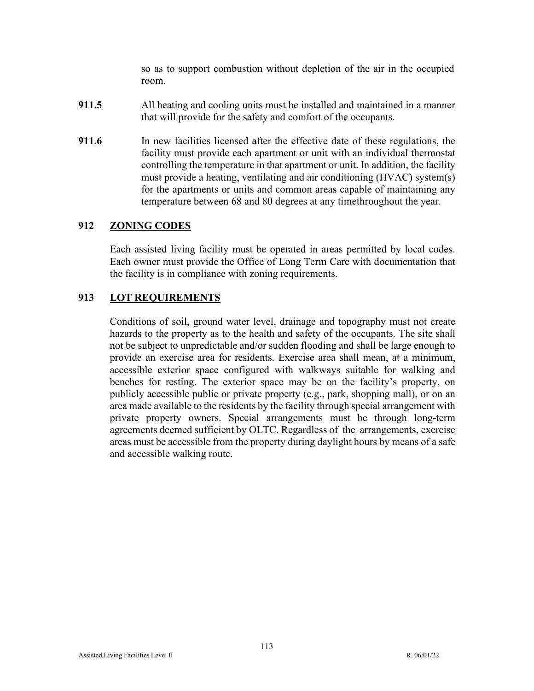so as to support combustion without depletion of the air in the occupied room.

- **911.5** All heating and cooling units must be installed and maintained in a manner that will provide for the safety and comfort of the occupants.
- **911.6** In new facilities licensed after the effective date of these regulations, the facility must provide each apartment or unit with an individual thermostat controlling the temperature in that apartment or unit. In addition, the facility must provide a heating, ventilating and air conditioning (HVAC) system(s) for the apartments or units and common areas capable of maintaining any temperature between 68 and 80 degrees at any time throughout the year.

# **912 ZONING CODES**

Each assisted living facility must be operated in areas permitted by local codes. Each owner must provide the Office of Long Term Care with documentation that the facility is in compliance with zoning requirements.

### **913 LOT REQUIREMENTS**

Conditions of soil, ground water level, drainage and topography must not create hazards to the property as to the health and safety of the occupants. The site shall not be subject to unpredictable and/or sudden flooding and shall be large enough to provide an exercise area for residents. Exercise area shall mean, at a minimum, accessible exterior space configured with walkways suitable for walking and benches for resting. The exterior space may be on the facility's property, on publicly accessible public or private property (e.g., park, shopping mall), or on an area made available to the residents by the facility through special arrangement with private property owners. Special arrangements must be through long-term agreements deemed sufficient by OLTC. Regardless of the arrangements, exercise areas must be accessible from the property during daylight hours by means of a safe and accessible walking route.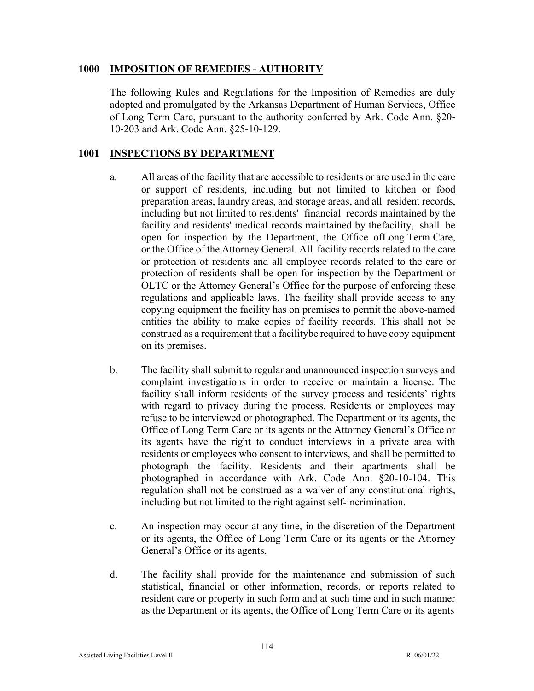#### **1000 IMPOSITION OF REMEDIES - AUTHORITY**

The following Rules and Regulations for the Imposition of Remedies are duly adopted and promulgated by the Arkansas Department of Human Services, Office of Long Term Care, pursuant to the authority conferred by Ark. Code Ann. §20- 10-203 and Ark. Code Ann. §25-10-129.

### **1001 INSPECTIONS BY DEPARTMENT**

- a. All areas of the facility that are accessible to residents or are used in the care or support of residents, including but not limited to kitchen or food preparation areas, laundry areas, and storage areas, and all resident records, including but not limited to residents' financial records maintained by the facility and residents' medical records maintained by thefacility, shall be open for inspection by the Department, the Office of Long Term Care, or the Office of the Attorney General. All facility records related to the care or protection of residents and all employee records related to the care or protection of residents shall be open for inspection by the Department or OLTC or the Attorney General's Office for the purpose of enforcing these regulations and applicable laws. The facility shall provide access to any copying equipment the facility has on premises to permit the above-named entities the ability to make copies of facility records. This shall not be construed as a requirement that a facility be required to have copy equipment on its premises.
- b. The facility shall submit to regular and unannounced inspection surveys and complaint investigations in order to receive or maintain a license. The facility shall inform residents of the survey process and residents' rights with regard to privacy during the process. Residents or employees may refuse to be interviewed or photographed. The Department or its agents, the Office of Long Term Care or its agents or the Attorney General's Office or its agents have the right to conduct interviews in a private area with residents or employees who consent to interviews, and shall be permitted to photograph the facility. Residents and their apartments shall be photographed in accordance with Ark. Code Ann. §20-10-104. This regulation shall not be construed as a waiver of any constitutional rights, including but not limited to the right against self-incrimination.
- c. An inspection may occur at any time, in the discretion of the Department or its agents, the Office of Long Term Care or its agents or the Attorney General's Office or its agents.
- d. The facility shall provide for the maintenance and submission of such statistical, financial or other information, records, or reports related to resident care or property in such form and at such time and in such manner as the Department or its agents, the Office of Long Term Care or its agents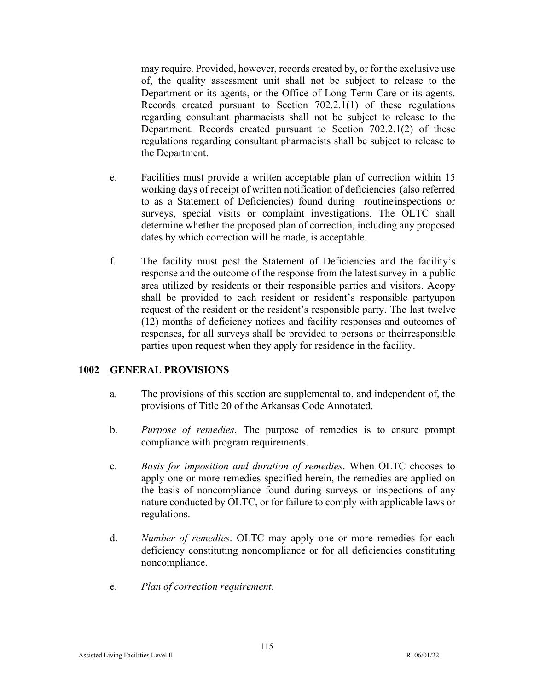may require. Provided, however, records created by, or for the exclusive use of, the quality assessment unit shall not be subject to release to the Department or its agents, or the Office of Long Term Care or its agents. Records created pursuant to Section 702.2.1(1) of these regulations regarding consultant pharmacists shall not be subject to release to the Department. Records created pursuant to Section 702.2.1(2) of these regulations regarding consultant pharmacists shall be subject to release to the Department.

- e. Facilities must provide a written acceptable plan of correction within 15 working days of receipt of written notification of deficiencies (also referred to as a Statement of Deficiencies) found during routine inspections or surveys, special visits or complaint investigations. The OLTC shall determine whether the proposed plan of correction, including any proposed dates by which correction will be made, is acceptable.
- f. The facility must post the Statement of Deficiencies and the facility's response and the outcome of the response from the latest survey in a public area utilized by residents or their responsible parties and visitors. A copy shall be provided to each resident or resident's responsible party upon request of the resident or the resident's responsible party. The last twelve (12) months of deficiency notices and facility responses and outcomes of responses, for all surveys shall be provided to persons or their responsible parties upon request when they apply for residence in the facility.

### **1002 GENERAL PROVISIONS**

- a. The provisions of this section are supplemental to, and independent of, the provisions of Title 20 of the Arkansas Code Annotated.
- b. *Purpose of remedies*. The purpose of remedies is to ensure prompt compliance with program requirements.
- c. *Basis for imposition and duration of remedies*. When OLTC chooses to apply one or more remedies specified herein, the remedies are applied on the basis of noncompliance found during surveys or inspections of any nature conducted by OLTC, or for failure to comply with applicable laws or regulations.
- d. *Number of remedies*. OLTC may apply one or more remedies for each deficiency constituting noncompliance or for all deficiencies constituting noncompliance.
- e. *Plan of correction requirement*.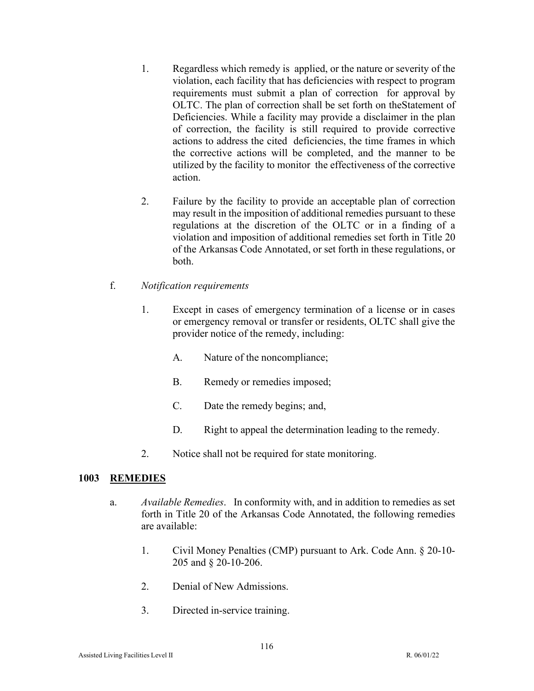- 1. Regardless which remedy is applied, or the nature or severity of the violation, each facility that has deficiencies with respect to program requirements must submit a plan of correction for approval by OLTC. The plan of correction shall be set forth on theStatement of Deficiencies. While a facility may provide a disclaimer in the plan of correction, the facility is still required to provide corrective actions to address the cited deficiencies, the time frames in which the corrective actions will be completed, and the manner to be utilized by the facility to monitor the effectiveness of the corrective action.
- 2. Failure by the facility to provide an acceptable plan of correction may result in the imposition of additional remedies pursuant to these regulations at the discretion of the OLTC or in a finding of a violation and imposition of additional remedies set forth in Title 20 of the Arkansas Code Annotated, or set forth in these regulations, or both.
- f. *Notification requirements*
	- 1. Except in cases of emergency termination of a license or in cases or emergency removal or transfer or residents, OLTC shall give the provider notice of the remedy, including:
		- A. Nature of the noncompliance;
		- B. Remedy or remedies imposed;
		- C. Date the remedy begins; and,
		- D. Right to appeal the determination leading to the remedy.
	- 2. Notice shall not be required for state monitoring.

# **1003 REMEDIES**

- a. *Available Remedies*. In conformity with, and in addition to remedies as set forth in Title 20 of the Arkansas Code Annotated, the following remedies are available:
	- 1. Civil Money Penalties (CMP) pursuant to Ark. Code Ann. § 20-10- 205 and § 20-10-206.
	- 2. Denial of New Admissions.
	- 3. Directed in-service training.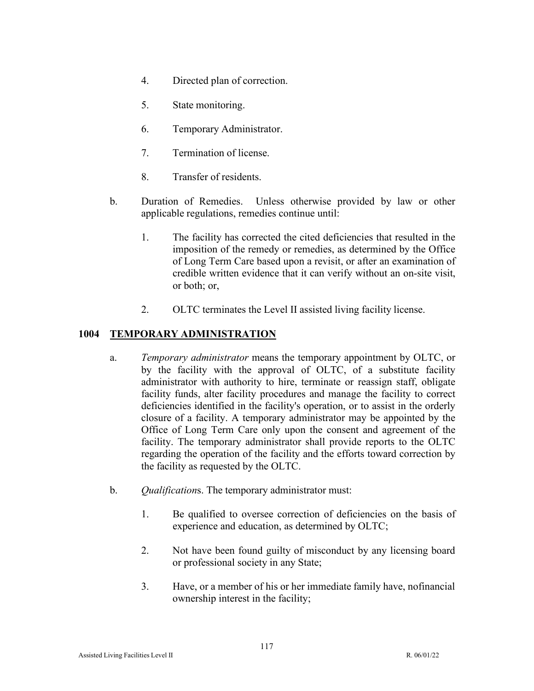- 4. Directed plan of correction.
- 5. State monitoring.
- 6. Temporary Administrator.
- 7. Termination of license.
- 8. Transfer of residents.
- b. Duration of Remedies. Unless otherwise provided by law or other applicable regulations, remedies continue until:
	- 1. The facility has corrected the cited deficiencies that resulted in the imposition of the remedy or remedies, as determined by the Office of Long Term Care based upon a revisit, or after an examination of credible written evidence that it can verify without an on-site visit, or both; or,
	- 2. OLTC terminates the Level II assisted living facility license.

# **1004 TEMPORARY ADMINISTRATION**

- a. *Temporary administrator* means the temporary appointment by OLTC, or by the facility with the approval of OLTC, of a substitute facility administrator with authority to hire, terminate or reassign staff, obligate facility funds, alter facility procedures and manage the facility to correct deficiencies identified in the facility's operation, or to assist in the orderly closure of a facility. A temporary administrator may be appointed by the Office of Long Term Care only upon the consent and agreement of the facility. The temporary administrator shall provide reports to the OLTC regarding the operation of the facility and the efforts toward correction by the facility as requested by the OLTC.
- b. *Qualification*s. The temporary administrator must:
	- 1. Be qualified to oversee correction of deficiencies on the basis of experience and education, as determined by OLTC;
	- 2. Not have been found guilty of misconduct by any licensing board or professional society in any State;
	- 3. Have, or a member of his or her immediate family have, no financial ownership interest in the facility;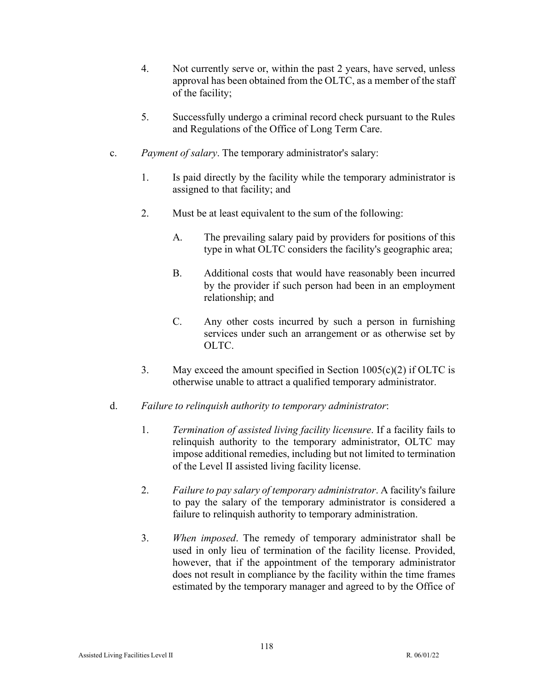- 4. Not currently serve or, within the past 2 years, have served, unless approval has been obtained from the OLTC, as a member of the staff of the facility;
- 5. Successfully undergo a criminal record check pursuant to the Rules and Regulations of the Office of Long Term Care.
- c. *Payment of salary*. The temporary administrator's salary:
	- 1. Is paid directly by the facility while the temporary administrator is assigned to that facility; and
	- 2. Must be at least equivalent to the sum of the following:
		- A. The prevailing salary paid by providers for positions of this type in what OLTC considers the facility's geographic area;
		- B. Additional costs that would have reasonably been incurred by the provider if such person had been in an employment relationship; and
		- C. Any other costs incurred by such a person in furnishing services under such an arrangement or as otherwise set by OLTC.
	- 3. May exceed the amount specified in Section  $1005(c)(2)$  if OLTC is otherwise unable to attract a qualified temporary administrator.
- d. *Failure to relinquish authority to temporary administrator*:
	- 1. *Termination of assisted living facility licensure*. If a facility fails to relinquish authority to the temporary administrator, OLTC may impose additional remedies, including but not limited to termination of the Level II assisted living facility license.
	- 2. *Failure to pay salary of temporary administrator*. A facility's failure to pay the salary of the temporary administrator is considered a failure to relinquish authority to temporary administration.
	- 3. *When imposed*. The remedy of temporary administrator shall be used in only lieu of termination of the facility license. Provided, however, that if the appointment of the temporary administrator does not result in compliance by the facility within the time frames estimated by the temporary manager and agreed to by the Office of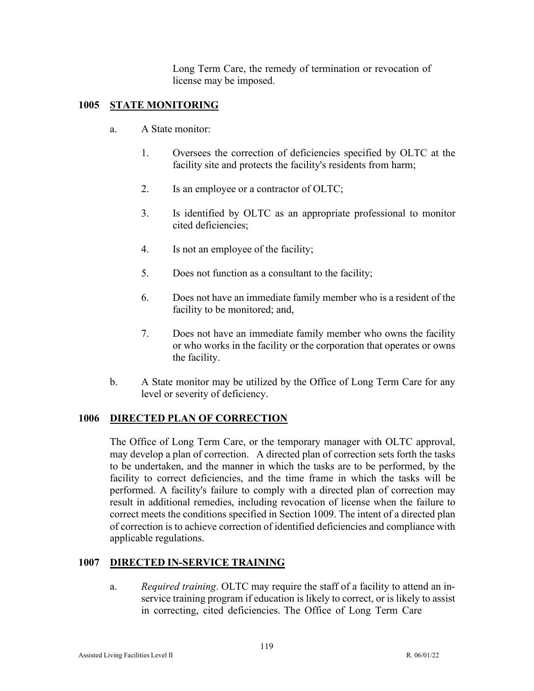Long Term Care, the remedy of termination or revocation of license may be imposed.

# **1005 STATE MONITORING**

- a. A State monitor:
	- 1. Oversees the correction of deficiencies specified by OLTC at the facility site and protects the facility's residents from harm;
	- 2. Is an employee or a contractor of OLTC;
	- 3. Is identified by OLTC as an appropriate professional to monitor cited deficiencies;
	- 4. Is not an employee of the facility;
	- 5. Does not function as a consultant to the facility;
	- 6. Does not have an immediate family member who is a resident of the facility to be monitored; and,
	- 7. Does not have an immediate family member who owns the facility or who works in the facility or the corporation that operates or owns the facility.
- b. A State monitor may be utilized by the Office of Long Term Care for any level or severity of deficiency.

# **1006 DIRECTED PLAN OF CORRECTION**

The Office of Long Term Care, or the temporary manager with OLTC approval, may develop a plan of correction. A directed plan of correction sets forth the tasks to be undertaken, and the manner in which the tasks are to be performed, by the facility to correct deficiencies, and the time frame in which the tasks will be performed. A facility's failure to comply with a directed plan of correction may result in additional remedies, including revocation of license when the failure to correct meets the conditions specified in Section 1009. The intent of a directed plan of correction is to achieve correction of identified deficiencies and compliance with applicable regulations.

# **1007 DIRECTED IN-SERVICE TRAINING**

a. *Required training*. OLTC may require the staff of a facility to attend an inservice training program if education is likely to correct, or is likely to assist in correcting, cited deficiencies. The Office of Long Term Care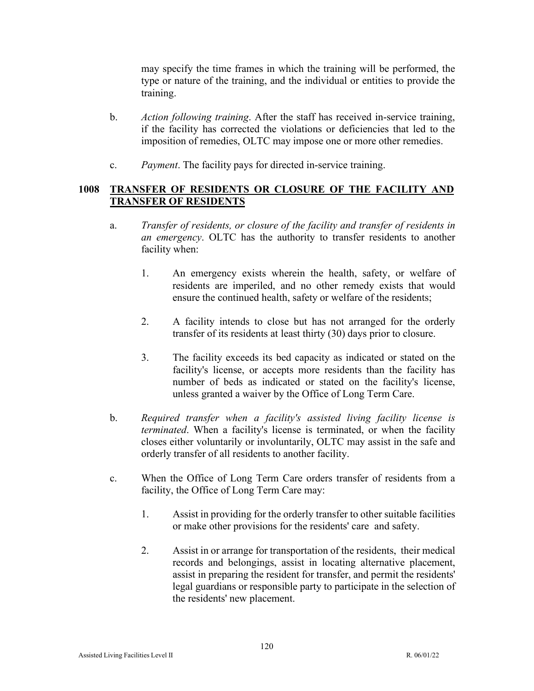may specify the time frames in which the training will be performed, the type or nature of the training, and the individual or entities to provide the training.

- b. *Action following training*. After the staff has received in-service training, if the facility has corrected the violations or deficiencies that led to the imposition of remedies, OLTC may impose one or more other remedies.
- c. *Payment*. The facility pays for directed in-service training.

# **1008 TRANSFER OF RESIDENTS OR CLOSURE OF THE FACILITY AND TRANSFER OF RESIDENTS**

- a. *Transfer of residents, or closure of the facility and transfer of residents in an emergency*. OLTC has the authority to transfer residents to another facility when:
	- 1. An emergency exists wherein the health, safety, or welfare of residents are imperiled, and no other remedy exists that would ensure the continued health, safety or welfare of the residents;
	- 2. A facility intends to close but has not arranged for the orderly transfer of its residents at least thirty (30) days prior to closure.
	- 3. The facility exceeds its bed capacity as indicated or stated on the facility's license, or accepts more residents than the facility has number of beds as indicated or stated on the facility's license, unless granted a waiver by the Office of Long Term Care.
- b. *Required transfer when a facility's assisted living facility license is terminated*. When a facility's license is terminated, or when the facility closes either voluntarily or involuntarily, OLTC may assist in the safe and orderly transfer of all residents to another facility.
- c. When the Office of Long Term Care orders transfer of residents from a facility, the Office of Long Term Care may:
	- 1. Assist in providing for the orderly transfer to other suitable facilities or make other provisions for the residents' care and safety.
	- 2. Assist in or arrange for transportation of the residents, their medical records and belongings, assist in locating alternative placement, assist in preparing the resident for transfer, and permit the residents' legal guardians or responsible party to participate in the selection of the residents' new placement.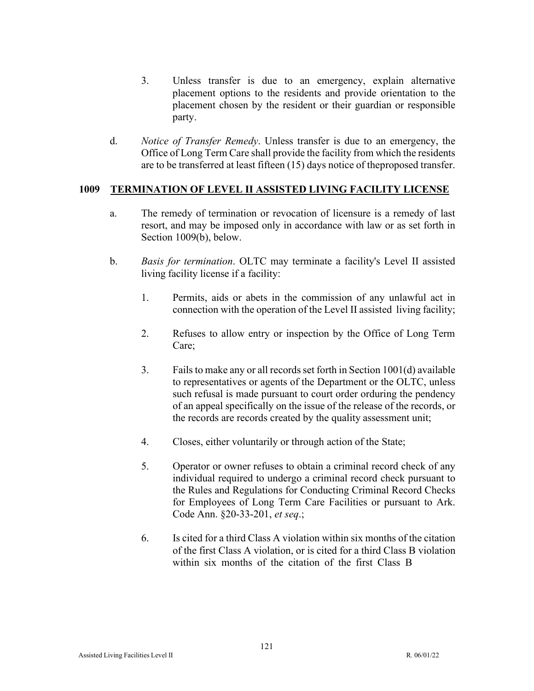- 3. Unless transfer is due to an emergency, explain alternative placement options to the residents and provide orientation to the placement chosen by the resident or their guardian or responsible party.
- d. *Notice of Transfer Remedy*. Unless transfer is due to an emergency, the Office of Long Term Care shall provide the facility from which the residents are to be transferred at least fifteen (15) days notice of the proposed transfer.

### **1009 TERMINATION OF LEVEL II ASSISTED LIVING FACILITY LICENSE**

- a. The remedy of termination or revocation of licensure is a remedy of last resort, and may be imposed only in accordance with law or as set forth in Section 1009(b), below.
- b. *Basis for termination*. OLTC may terminate a facility's Level II assisted living facility license if a facility:
	- 1. Permits, aids or abets in the commission of any unlawful act in connection with the operation of the Level II assisted living facility;
	- 2. Refuses to allow entry or inspection by the Office of Long Term Care;
	- 3. Failsto make any or all records set forth in Section 1001(d) available to representatives or agents of the Department or the OLTC, unless such refusal is made pursuant to court order orduring the pendency of an appeal specifically on the issue of the release of the records, or the records are records created by the quality assessment unit;
	- 4. Closes, either voluntarily or through action of the State;
	- 5. Operator or owner refuses to obtain a criminal record check of any individual required to undergo a criminal record check pursuant to the Rules and Regulations for Conducting Criminal Record Checks for Employees of Long Term Care Facilities or pursuant to Ark. Code Ann. §20-33-201, *et seq*.;
	- 6. Is cited for a third Class A violation within six months of the citation of the first Class A violation, or is cited for a third Class B violation within six months of the citation of the first Class B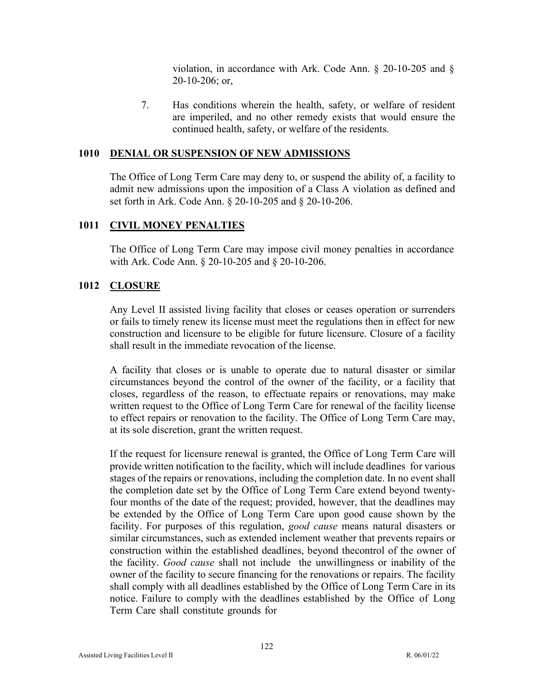violation, in accordance with Ark. Code Ann. § 20-10-205 and § 20-10-206; or,

7. Has conditions wherein the health, safety, or welfare of resident are imperiled, and no other remedy exists that would ensure the continued health, safety, or welfare of the residents.

### **1010 DENIAL OR SUSPENSION OF NEW ADMISSIONS**

The Office of Long Term Care may deny to, or suspend the ability of, a facility to admit new admissions upon the imposition of a Class A violation as defined and set forth in Ark. Code Ann. § 20-10-205 and § 20-10-206.

### **1011 CIVIL MONEY PENALTIES**

The Office of Long Term Care may impose civil money penalties in accordance with Ark. Code Ann. § 20-10-205 and § 20-10-206.

### **1012 CLOSURE**

Any Level II assisted living facility that closes or ceases operation or surrenders or fails to timely renew its license must meet the regulations then in effect for new construction and licensure to be eligible for future licensure. Closure of a facility shall result in the immediate revocation of the license.

A facility that closes or is unable to operate due to natural disaster or similar circumstances beyond the control of the owner of the facility, or a facility that closes, regardless of the reason, to effectuate repairs or renovations, may make written request to the Office of Long Term Care for renewal of the facility license to effect repairs or renovation to the facility. The Office of Long Term Care may, at its sole discretion, grant the written request.

If the request for licensure renewal is granted, the Office of Long Term Care will provide written notification to the facility, which will include deadlines for various stages of the repairs or renovations, including the completion date. In no event shall the completion date set by the Office of Long Term Care extend beyond twentyfour months of the date of the request; provided, however, that the deadlines may be extended by the Office of Long Term Care upon good cause shown by the facility. For purposes of this regulation, *good cause* means natural disasters or similar circumstances, such as extended inclement weather that prevents repairs or construction within the established deadlines, beyond the control of the owner of the facility. *Good cause* shall not include the unwillingness or inability of the owner of the facility to secure financing for the renovations or repairs. The facility shall comply with all deadlines established by the Office of Long Term Care in its notice. Failure to comply with the deadlines established by the Office of Long Term Care shall constitute grounds for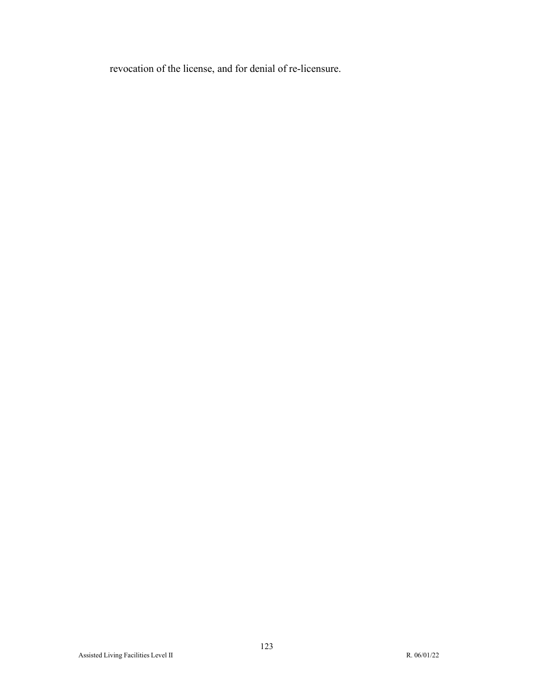revocation of the license, and for denial of re-licensure.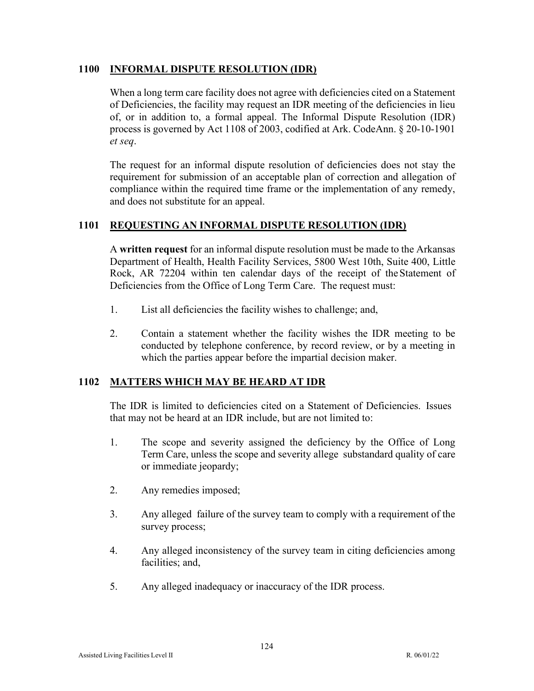### **1100 INFORMAL DISPUTE RESOLUTION (IDR)**

When a long term care facility does not agree with deficiencies cited on a Statement of Deficiencies, the facility may request an IDR meeting of the deficiencies in lieu of, or in addition to, a formal appeal. The Informal Dispute Resolution (IDR) process is governed by Act 1108 of 2003, codified at Ark. CodeAnn. § 20-10-1901 *et seq*.

The request for an informal dispute resolution of deficiencies does not stay the requirement for submission of an acceptable plan of correction and allegation of compliance within the required time frame or the implementation of any remedy, and does not substitute for an appeal.

### **1101 REQUESTING AN INFORMAL DISPUTE RESOLUTION (IDR)**

A **written request** for an informal dispute resolution must be made to the Arkansas Department of Health, Health Facility Services, 5800 West 10th, Suite 400, Little Rock, AR 72204 within ten calendar days of the receipt of the Statement of Deficiencies from the Office of Long Term Care. The request must:

- 1. List all deficiencies the facility wishes to challenge; and,
- 2. Contain a statement whether the facility wishes the IDR meeting to be conducted by telephone conference, by record review, or by a meeting in which the parties appear before the impartial decision maker.

### **1102 MATTERS WHICH MAY BE HEARD AT IDR**

The IDR is limited to deficiencies cited on a Statement of Deficiencies. Issues that may not be heard at an IDR include, but are not limited to:

- 1. The scope and severity assigned the deficiency by the Office of Long Term Care, unless the scope and severity allege substandard quality of care or immediate jeopardy;
- 2. Any remedies imposed;
- 3. Any alleged failure of the survey team to comply with a requirement of the survey process;
- 4. Any alleged inconsistency of the survey team in citing deficiencies among facilities; and,
- 5. Any alleged inadequacy or inaccuracy of the IDR process.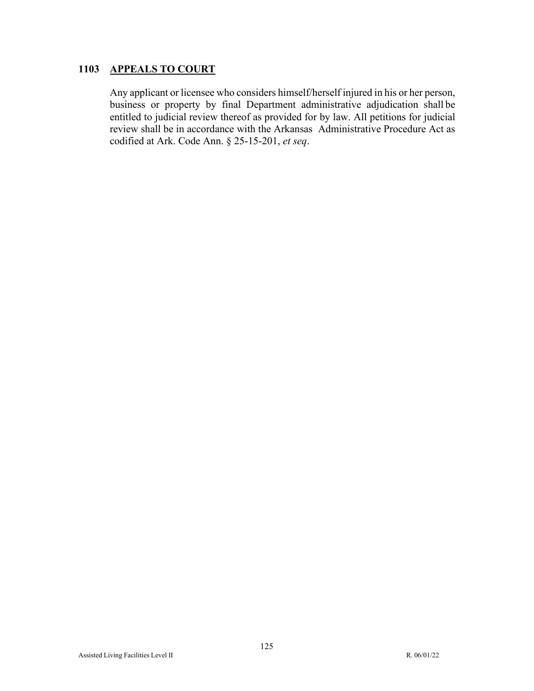# **1103 APPEALS TO COURT**

Any applicant or licensee who considers himself/herself injured in his or her person, business or property by final Department administrative adjudication shall be entitled to judicial review thereof as provided for by law. All petitions for judicial review shall be in accordance with the Arkansas Administrative Procedure Act as codified at Ark. Code Ann. § 25-15-201, *et seq*.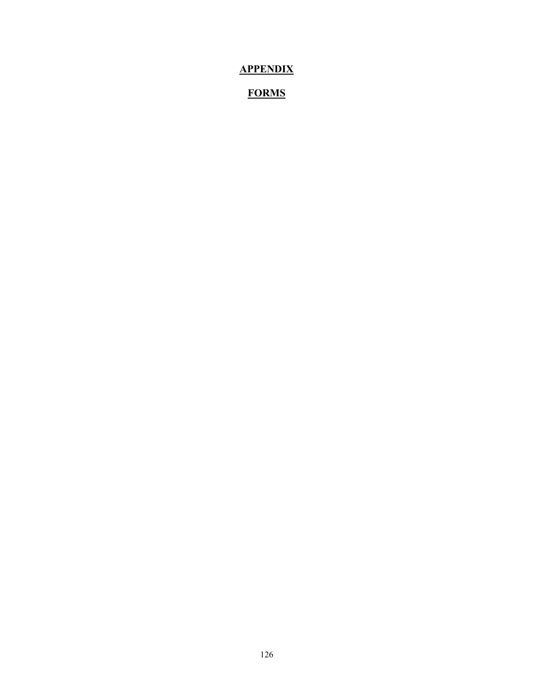# **APPENDIX**

# **FORMS**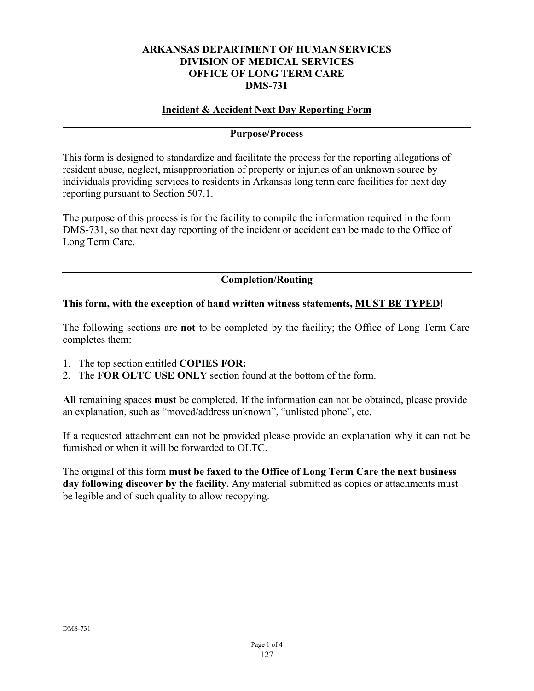### **ARKANSAS DEPARTMENT OF HUMAN SERVICES DIVISION OF MEDICAL SERVICES OFFICE OF LONG TERM CARE DMS-731**

# **Incident & Accident Next Day Reporting Form**

### **Purpose/Process**

This form is designed to standardize and facilitate the process for the reporting allegations of resident abuse, neglect, misappropriation of property or injuries of an unknown source by individuals providing services to residents in Arkansas long term care facilities for next day reporting pursuant to Section 507.1.

The purpose of this process is for the facility to compile the information required in the form DMS-731, so that next day reporting of the incident or accident can be made to the Office of Long Term Care.

# **Completion/Routing**

### **This form, with the exception of hand written witness statements, MUST BE TYPED!**

The following sections are **not** to be completed by the facility; the Office of Long Term Care completes them:

- 1. The top section entitled **COPIES FOR:**
- 2. The **FOR OLTC USE ONLY** section found at the bottom of the form.

**All** remaining spaces **must** be completed. If the information can not be obtained, please provide an explanation, such as "moved/address unknown", "unlisted phone", etc.

If a requested attachment can not be provided please provide an explanation why it can not be furnished or when it will be forwarded to OLTC.

The original of this form **must be faxed to the Office of Long Term Care the next business** day following discover by the facility. Any material submitted as copies or attachments must be legible and of such quality to allow recopying.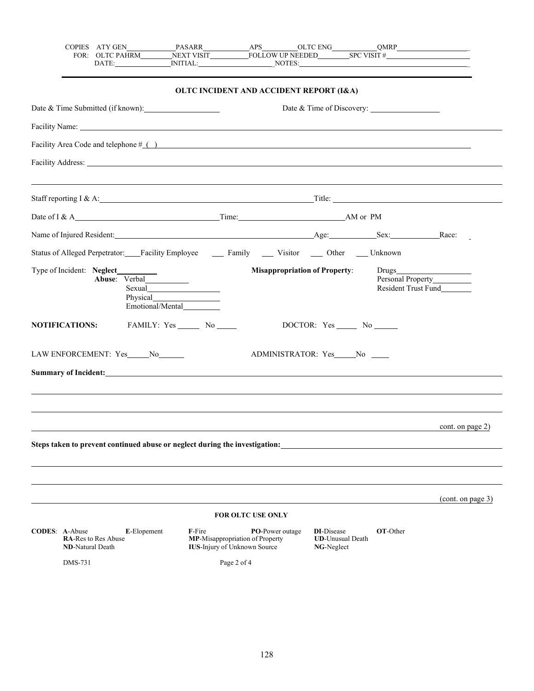|                       |                         |                            |                                    |                   |                                                                        | DATE: NITIAL: NOTES: NOTES:                                                                                                                                                                                                    |                                                            |                 |                                                 |                   |
|-----------------------|-------------------------|----------------------------|------------------------------------|-------------------|------------------------------------------------------------------------|--------------------------------------------------------------------------------------------------------------------------------------------------------------------------------------------------------------------------------|------------------------------------------------------------|-----------------|-------------------------------------------------|-------------------|
|                       |                         |                            |                                    |                   |                                                                        | OLTC INCIDENT AND ACCIDENT REPORT (I&A)                                                                                                                                                                                        |                                                            |                 |                                                 |                   |
|                       |                         |                            | Date & Time Submitted (if known):  |                   |                                                                        |                                                                                                                                                                                                                                | Date & Time of Discovery:                                  |                 |                                                 |                   |
|                       |                         |                            |                                    |                   |                                                                        | Facility Name: Name and Society Assembly 2014 and 2016 and 2017 and 2018 and 2018 and 2018 and 2018 and 2018 and 2018 and 2018 and 2018 and 2018 and 2018 and 2018 and 2018 and 2018 and 2018 and 2018 and 2018 and 2018 and 2 |                                                            |                 |                                                 |                   |
|                       |                         |                            |                                    |                   |                                                                        | Facility Area Code and telephone $\#$ ( )                                                                                                                                                                                      |                                                            |                 |                                                 |                   |
|                       |                         |                            |                                    |                   |                                                                        |                                                                                                                                                                                                                                |                                                            |                 |                                                 |                   |
|                       |                         |                            |                                    |                   |                                                                        |                                                                                                                                                                                                                                |                                                            |                 |                                                 |                   |
|                       |                         |                            |                                    |                   |                                                                        |                                                                                                                                                                                                                                |                                                            |                 |                                                 |                   |
|                       |                         |                            |                                    |                   |                                                                        | Name of Injured Resident: Race: Race: Race: Race: Race: Race:                                                                                                                                                                  |                                                            |                 |                                                 |                   |
|                       |                         |                            |                                    |                   |                                                                        | Status of Alleged Perpetrator: Facility Employee ______ Family ______ Visitor _____ Other _____ Unknown                                                                                                                        |                                                            |                 |                                                 |                   |
|                       |                         | Type of Incident: Neglect_ | Emotional/Mental                   |                   |                                                                        | <b>Misappropriation of Property:</b>                                                                                                                                                                                           |                                                            |                 | Personal Property<br><b>Resident Trust Fund</b> |                   |
|                       | <b>NOTIFICATIONS:</b>   |                            |                                    | FAMILY: Yes No No |                                                                        |                                                                                                                                                                                                                                | DOCTOR: Yes ______ No ______                               |                 |                                                 |                   |
|                       |                         |                            | LAW ENFORCEMENT: Yes_____No_______ |                   |                                                                        | ADMINISTRATOR: Yes No                                                                                                                                                                                                          |                                                            |                 |                                                 |                   |
|                       |                         |                            |                                    |                   |                                                                        | Summary of Incident: Note that the second contract of the second contract of the second contract of the second contract of the second contract of the second contract of the second contract of the second contract of the sec |                                                            |                 |                                                 |                   |
|                       |                         |                            |                                    |                   |                                                                        |                                                                                                                                                                                                                                |                                                            |                 |                                                 |                   |
|                       |                         |                            |                                    |                   |                                                                        |                                                                                                                                                                                                                                |                                                            |                 |                                                 | cont. on page 2)  |
|                       |                         |                            |                                    |                   |                                                                        | Steps taken to prevent continued abuse or neglect during the investigation:                                                                                                                                                    |                                                            |                 |                                                 |                   |
|                       |                         |                            |                                    |                   |                                                                        |                                                                                                                                                                                                                                |                                                            |                 |                                                 |                   |
|                       |                         |                            |                                    |                   |                                                                        |                                                                                                                                                                                                                                |                                                            |                 |                                                 | (cont. on page 3) |
|                       |                         |                            |                                    |                   | <b>FOR OLTC USE ONLY</b>                                               |                                                                                                                                                                                                                                |                                                            |                 |                                                 |                   |
| <b>CODES: A-Abuse</b> | <b>ND-Natural Death</b> | <b>RA-Res to Res Abuse</b> | E-Elopement                        | F-Fire            | MP-Misappropriation of Property<br><b>IUS-Injury of Unknown Source</b> | <b>PO-Power outage</b>                                                                                                                                                                                                         | <b>DI-Disease</b><br><b>UD-Unusual Death</b><br>NG-Neglect | <b>OT-Other</b> |                                                 |                   |
|                       | DMS-731                 |                            |                                    |                   | Page 2 of 4                                                            |                                                                                                                                                                                                                                |                                                            |                 |                                                 |                   |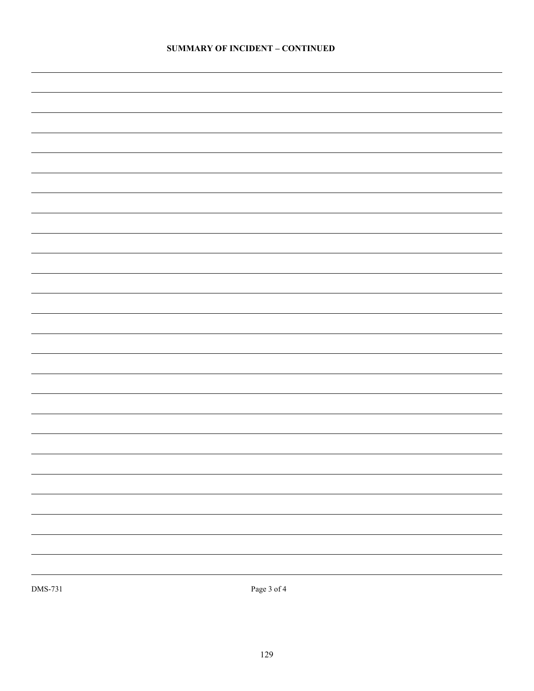| DMS-731 | Page $3$ of $4\,$ |
|---------|-------------------|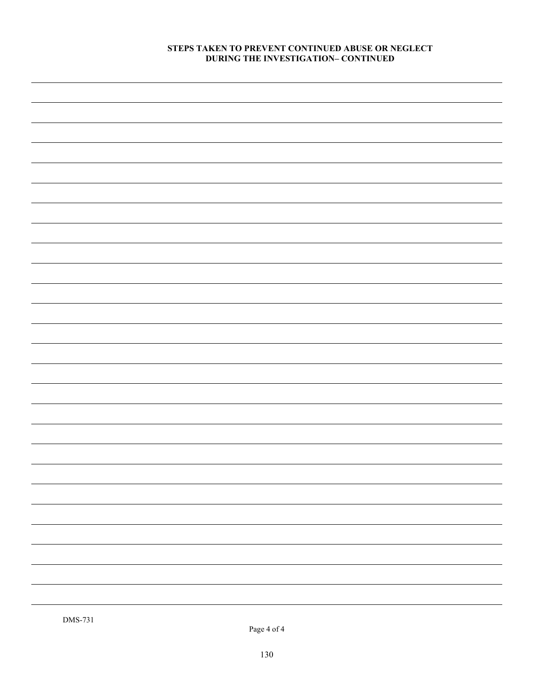#### **STEPS TAKEN TO PREVENT CONTINUED ABUSE OR NEGLECT DURING THE INVESTIGATION– CONTINUED**

Page 4 of 4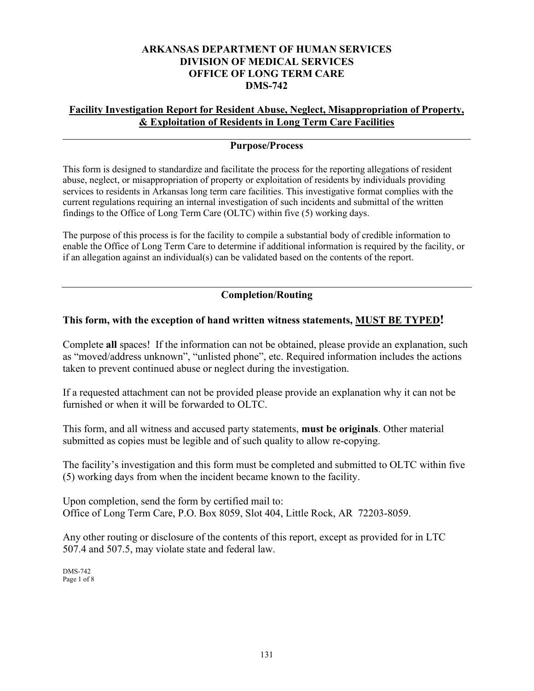### **ARKANSAS DEPARTMENT OF HUMAN SERVICES DIVISION OF MEDICAL SERVICES OFFICE OF LONG TERM CARE DMS-742**

## **Facility Investigation Report for Resident Abuse, Neglect, Misappropriation of Property, & Exploitation of Residents in Long Term Care Facilities**

## **Purpose/Process**

This form is designed to standardize and facilitate the process for the reporting allegations of resident abuse, neglect, or misappropriation of property or exploitation of residents by individuals providing services to residents in Arkansas long term care facilities. This investigative format complies with the current regulations requiring an internal investigation of such incidents and submittal of the written findings to the Office of Long Term Care (OLTC) within five (5) working days.

The purpose of this process is for the facility to compile a substantial body of credible information to enable the Office of Long Term Care to determine if additional information is required by the facility, or if an allegation against an individual(s) can be validated based on the contents of the report.

# **Completion/Routing**

# **This form, with the exception of hand written witness statements, MUST BE TYPED!**

Complete **all** spaces! If the information can not be obtained, please provide an explanation, such as "moved/address unknown", "unlisted phone", etc. Required information includes the actions taken to prevent continued abuse or neglect during the investigation.

If a requested attachment can not be provided please provide an explanation why it can not be furnished or when it will be forwarded to OLTC.

This form, and all witness and accused party statements, **must be originals**. Other material submitted as copies must be legible and of such quality to allow re-copying.

The facility's investigation and this form must be completed and submitted to OLTC within five (5) working days from when the incident became known to the facility.

Upon completion, send the form by certified mail to: Office of Long Term Care, P.O. Box 8059, Slot 404, Little Rock, AR 72203-8059.

Any other routing or disclosure of the contents of this report, except as provided for in LTC 507.4 and 507.5, may violate state and federal law.

DMS-742 Page 1 of 8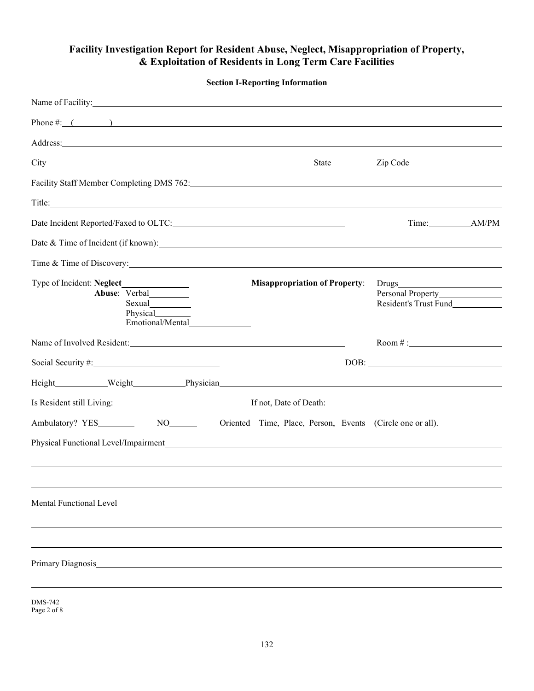# **Facility Investigation Report for Resident Abuse, Neglect, Misappropriation of Property, & Exploitation of Residents in Long Term Care Facilities**

| <b>Section I-Reporting Information</b>                                                                                                                                                                                         |                                            |
|--------------------------------------------------------------------------------------------------------------------------------------------------------------------------------------------------------------------------------|--------------------------------------------|
| Name of Facility: <u>Name of Facility:</u>                                                                                                                                                                                     |                                            |
| Phone #: $($                                                                                                                                                                                                                   |                                            |
| Address: and the contract of the contract of the contract of the contract of the contract of the contract of the contract of the contract of the contract of the contract of the contract of the contract of the contract of t |                                            |
|                                                                                                                                                                                                                                |                                            |
| Facility Staff Member Completing DMS 762: 2008 2020 2021 2022 2022 2023 2024 2022 2023 2024 2022 2023 2021 202                                                                                                                 |                                            |
|                                                                                                                                                                                                                                |                                            |
|                                                                                                                                                                                                                                |                                            |
|                                                                                                                                                                                                                                |                                            |
| Time & Time of Discovery:                                                                                                                                                                                                      |                                            |
| <b>Misappropriation of Property:</b><br>Abuse: Verbal_________<br>Physical<br>Emotional/Mental                                                                                                                                 | Resident's Trust Fund__________            |
| Name of Involved Resident:                                                                                                                                                                                                     | Room #:                                    |
|                                                                                                                                                                                                                                | $\boxed{\text{DOB:}\qquad \qquad \qquad }$ |
|                                                                                                                                                                                                                                |                                            |
|                                                                                                                                                                                                                                |                                            |
|                                                                                                                                                                                                                                |                                            |
| Mental Functional Level example and the set of the set of the set of the set of the set of the set of the set o                                                                                                                |                                            |
|                                                                                                                                                                                                                                |                                            |
|                                                                                                                                                                                                                                |                                            |
|                                                                                                                                                                                                                                |                                            |
|                                                                                                                                                                                                                                |                                            |
|                                                                                                                                                                                                                                |                                            |

DMS-742 Page 2 of 8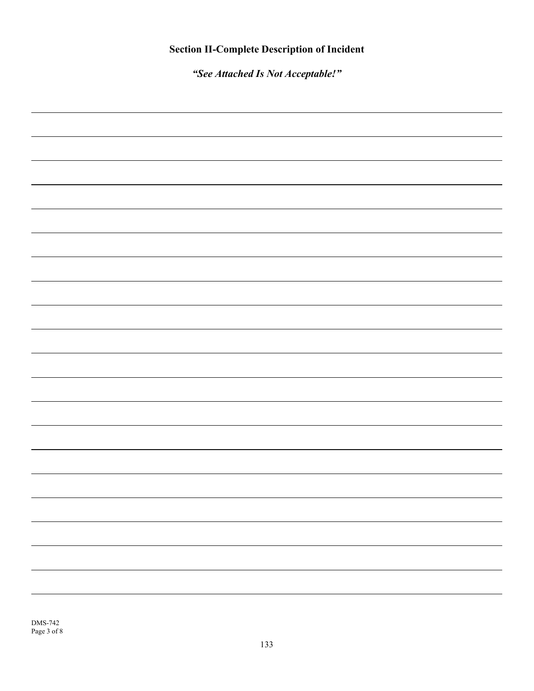*"See Attached Is Not Acceptable!"*

|  | - |
|--|---|
|  |   |
|  |   |
|  |   |
|  |   |
|  |   |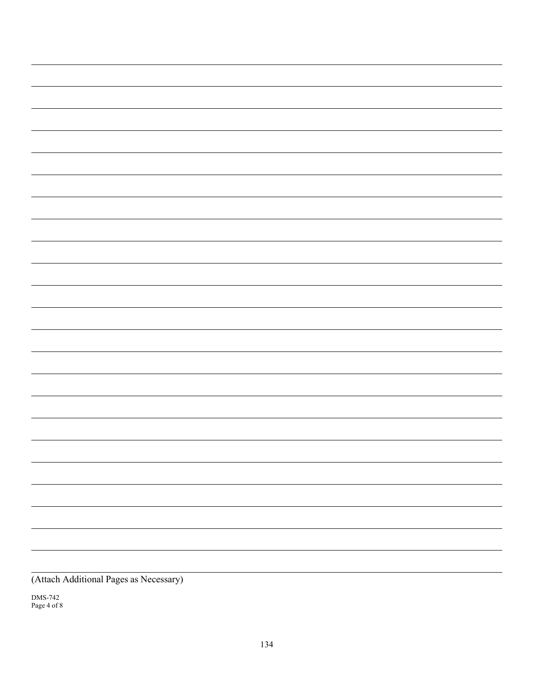DMS-742 Page 4 of 8  $\sim$  10  $\pm$ 

<u> 1999 - John Barnett, f</u>

 $\overline{\phantom{a}}$ 

 $\sim$ 

۰

 $\overline{\phantom{0}}$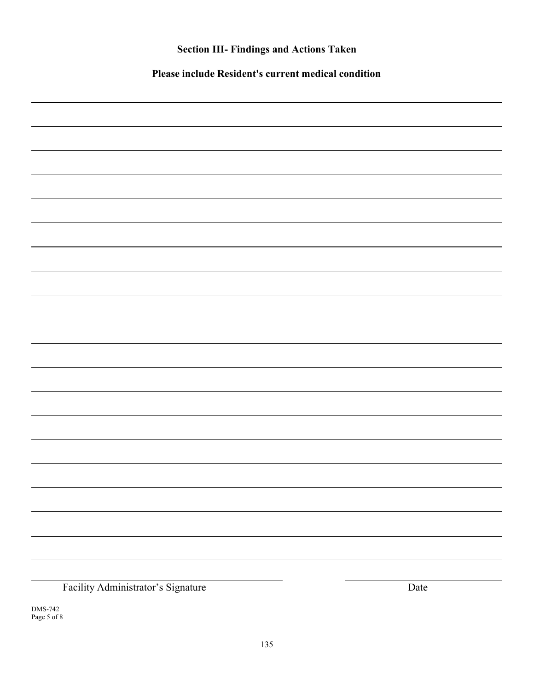| <b>Section III- Findings and Actions Taken</b>      |      |  |  |  |  |
|-----------------------------------------------------|------|--|--|--|--|
| Please include Resident's current medical condition |      |  |  |  |  |
|                                                     |      |  |  |  |  |
|                                                     |      |  |  |  |  |
|                                                     |      |  |  |  |  |
|                                                     |      |  |  |  |  |
|                                                     |      |  |  |  |  |
|                                                     |      |  |  |  |  |
|                                                     |      |  |  |  |  |
|                                                     |      |  |  |  |  |
|                                                     |      |  |  |  |  |
|                                                     |      |  |  |  |  |
|                                                     |      |  |  |  |  |
|                                                     |      |  |  |  |  |
|                                                     |      |  |  |  |  |
|                                                     |      |  |  |  |  |
|                                                     |      |  |  |  |  |
|                                                     |      |  |  |  |  |
|                                                     |      |  |  |  |  |
|                                                     |      |  |  |  |  |
|                                                     |      |  |  |  |  |
|                                                     |      |  |  |  |  |
|                                                     |      |  |  |  |  |
|                                                     |      |  |  |  |  |
| Facility Administrator's Signature                  | Date |  |  |  |  |

DMS-742 Page 5 of 8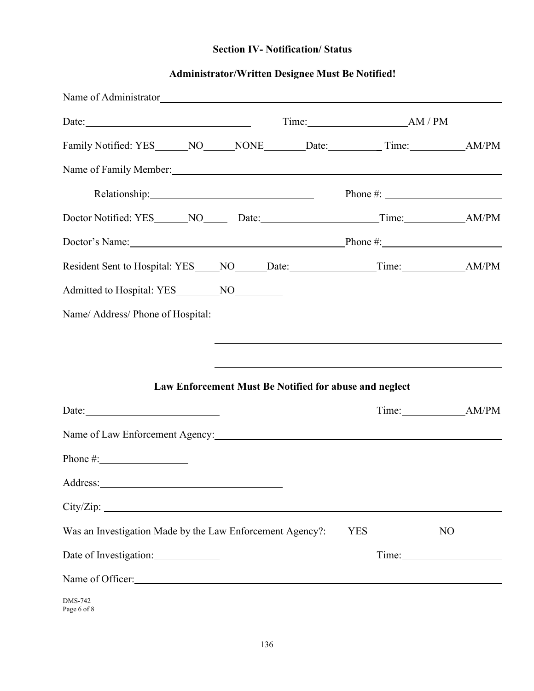# **Section IV- Notification/ Status**

# **Administrator/Written Designee Must Be Notified!**

| Name of Administrator Name of Administrator                                                                                                                                                                                    |  |             |                 |
|--------------------------------------------------------------------------------------------------------------------------------------------------------------------------------------------------------------------------------|--|-------------|-----------------|
|                                                                                                                                                                                                                                |  |             |                 |
|                                                                                                                                                                                                                                |  |             |                 |
| Name of Family Member: 1988 and 1988 and 1988 and 1988 and 1988 and 1988 and 1988 and 1988 and 1988 and 1988 and 1988 and 1988 and 1988 and 1988 and 1988 and 1988 and 1988 and 1988 and 1988 and 1988 and 1988 and 1988 and 1 |  |             |                 |
|                                                                                                                                                                                                                                |  |             |                 |
|                                                                                                                                                                                                                                |  |             |                 |
| Doctor's Name: Phone #:                                                                                                                                                                                                        |  |             |                 |
|                                                                                                                                                                                                                                |  |             |                 |
|                                                                                                                                                                                                                                |  |             |                 |
|                                                                                                                                                                                                                                |  |             |                 |
|                                                                                                                                                                                                                                |  |             |                 |
|                                                                                                                                                                                                                                |  |             |                 |
| Law Enforcement Must Be Notified for abuse and neglect                                                                                                                                                                         |  |             |                 |
| Date: $\qquad \qquad$                                                                                                                                                                                                          |  | Time: AM/PM |                 |
| Name of Law Enforcement Agency: Name of Law Enforcement Agency:                                                                                                                                                                |  |             |                 |
| Phone $\#$ :                                                                                                                                                                                                                   |  |             |                 |
|                                                                                                                                                                                                                                |  |             |                 |
| City/Zip:                                                                                                                                                                                                                      |  |             |                 |
| Was an Investigation Made by the Law Enforcement Agency?:                                                                                                                                                                      |  |             | NO <sub>1</sub> |
| Date of Investigation:                                                                                                                                                                                                         |  |             |                 |
| Name of Officer:                                                                                                                                                                                                               |  |             |                 |
| <b>DMS-742</b><br>Page 6 of 8                                                                                                                                                                                                  |  |             |                 |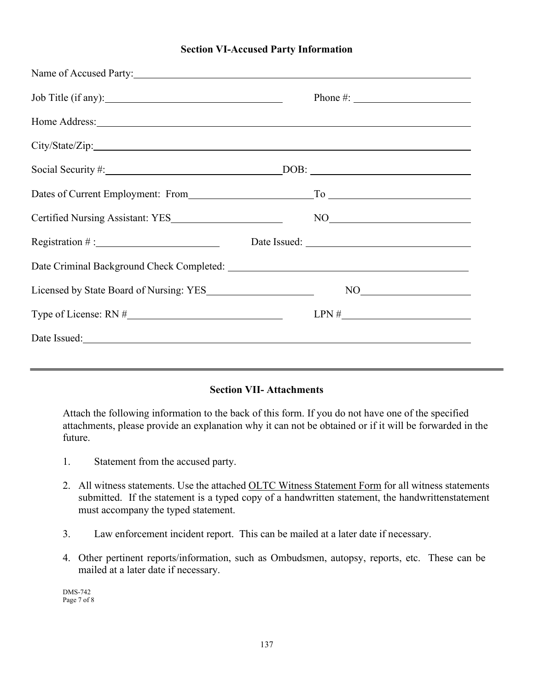### **Section VI-Accused Party Information**

| Name of Accused Party:                                                                                                                                                                                                               |                                                                                                                                                                                                                                                                                                                                                     |
|--------------------------------------------------------------------------------------------------------------------------------------------------------------------------------------------------------------------------------------|-----------------------------------------------------------------------------------------------------------------------------------------------------------------------------------------------------------------------------------------------------------------------------------------------------------------------------------------------------|
| Job Title (if any): 100 Title (if any):                                                                                                                                                                                              |                                                                                                                                                                                                                                                                                                                                                     |
| Home Address: <u>New York: New York: New York: New York: New York: New York: New York: New York: New York: New York: New York: New York: New York: New York: New York: New York: New York: New York: New York: New York: New Yor</u> |                                                                                                                                                                                                                                                                                                                                                     |
|                                                                                                                                                                                                                                      |                                                                                                                                                                                                                                                                                                                                                     |
|                                                                                                                                                                                                                                      |                                                                                                                                                                                                                                                                                                                                                     |
|                                                                                                                                                                                                                                      |                                                                                                                                                                                                                                                                                                                                                     |
|                                                                                                                                                                                                                                      | $NO$ and $N$ and $N$ and $N$ and $N$ and $N$ and $N$ and $N$ and $N$ and $N$ and $N$ and $N$ and $N$ and $N$ and $N$ and $N$ and $N$ and $N$ and $N$ and $N$ and $N$ and $N$ and $N$ and $N$ and $N$ and $N$ and $N$ and $N$ a                                                                                                                      |
| Registration #: Date Issued: Date Issued:                                                                                                                                                                                            |                                                                                                                                                                                                                                                                                                                                                     |
|                                                                                                                                                                                                                                      |                                                                                                                                                                                                                                                                                                                                                     |
| Licensed by State Board of Nursing: YES                                                                                                                                                                                              | $\begin{picture}(150,10) \put(0,0){\line(1,0){10}} \put(15,0){\line(1,0){10}} \put(15,0){\line(1,0){10}} \put(15,0){\line(1,0){10}} \put(15,0){\line(1,0){10}} \put(15,0){\line(1,0){10}} \put(15,0){\line(1,0){10}} \put(15,0){\line(1,0){10}} \put(15,0){\line(1,0){10}} \put(15,0){\line(1,0){10}} \put(15,0){\line(1,0){10}} \put(15,0){\line($ |
|                                                                                                                                                                                                                                      | $LPN \#$                                                                                                                                                                                                                                                                                                                                            |
| Date Issued: New York: New York: New York: New York: New York: New York: New York: New York: New York: New York: New York: New York: New York: New York: New York: New York: New York: New York: New York: New York: New York:       |                                                                                                                                                                                                                                                                                                                                                     |
|                                                                                                                                                                                                                                      |                                                                                                                                                                                                                                                                                                                                                     |

### **Section VII- Attachments**

Attach the following information to the back of this form. If you do not have one of the specified attachments, please provide an explanation why it can not be obtained or if it will be forwarded in the future.

- 1. Statement from the accused party.
- 2. All witness statements. Use the attached OLTC Witness Statement Form for all witness statements submitted. If the statement is a typed copy of a handwritten statement, the handwritten statement must accompany the typed statement.
- 3. Law enforcement incident report. This can be mailed at a later date if necessary.
- 4. Other pertinent reports/information, such as Ombudsmen, autopsy, reports, etc. These can be mailed at a later date if necessary.

DMS-742 Page 7 of 8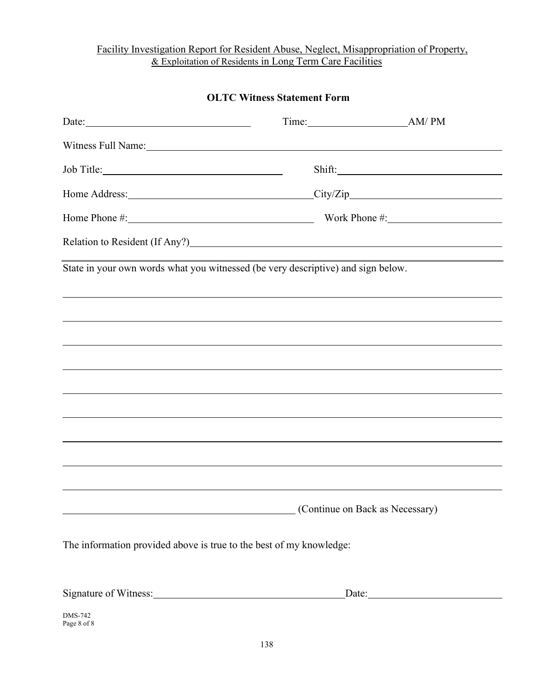## Facility Investigation Report for Resident Abuse, Neglect, Misappropriation of Property, & Exploitation of Residents in Long Term Care Facilities

| <b>OLTC Witness Statement Form</b>                                                                                                                                                                                             |  |                                 |  |  |  |  |  |
|--------------------------------------------------------------------------------------------------------------------------------------------------------------------------------------------------------------------------------|--|---------------------------------|--|--|--|--|--|
|                                                                                                                                                                                                                                |  |                                 |  |  |  |  |  |
| Witness Full Name: Name and Solid School and School and School and School and School and School and School and School and School and School and School and School and School and School and School and School and School and S |  |                                 |  |  |  |  |  |
|                                                                                                                                                                                                                                |  |                                 |  |  |  |  |  |
| Home Address: City/Zip                                                                                                                                                                                                         |  |                                 |  |  |  |  |  |
| Home Phone #: Work Phone #:                                                                                                                                                                                                    |  |                                 |  |  |  |  |  |
| Relation to Resident (If Any?) Manual Manual Annual Manual Manual Manual Manual Manual Manual Manual Manual Ma                                                                                                                 |  |                                 |  |  |  |  |  |
| State in your own words what you witnessed (be very descriptive) and sign below.                                                                                                                                               |  |                                 |  |  |  |  |  |
|                                                                                                                                                                                                                                |  |                                 |  |  |  |  |  |
| ,我们也不会有什么?""我们的人,我们也不会有什么?""我们的人,我们也不会有什么?""我们的人,我们也不会有什么?""我们的人,我们也不会有什么?""我们的人                                                                                                                                               |  |                                 |  |  |  |  |  |
|                                                                                                                                                                                                                                |  |                                 |  |  |  |  |  |
|                                                                                                                                                                                                                                |  |                                 |  |  |  |  |  |
|                                                                                                                                                                                                                                |  |                                 |  |  |  |  |  |
|                                                                                                                                                                                                                                |  |                                 |  |  |  |  |  |
|                                                                                                                                                                                                                                |  |                                 |  |  |  |  |  |
|                                                                                                                                                                                                                                |  |                                 |  |  |  |  |  |
|                                                                                                                                                                                                                                |  |                                 |  |  |  |  |  |
|                                                                                                                                                                                                                                |  | (Continue on Back as Necessary) |  |  |  |  |  |
| The information provided above is true to the best of my knowledge:                                                                                                                                                            |  |                                 |  |  |  |  |  |

| Signature of Witness: |  |  |  |
|-----------------------|--|--|--|
|                       |  |  |  |

DMS-742 Page 8 of 8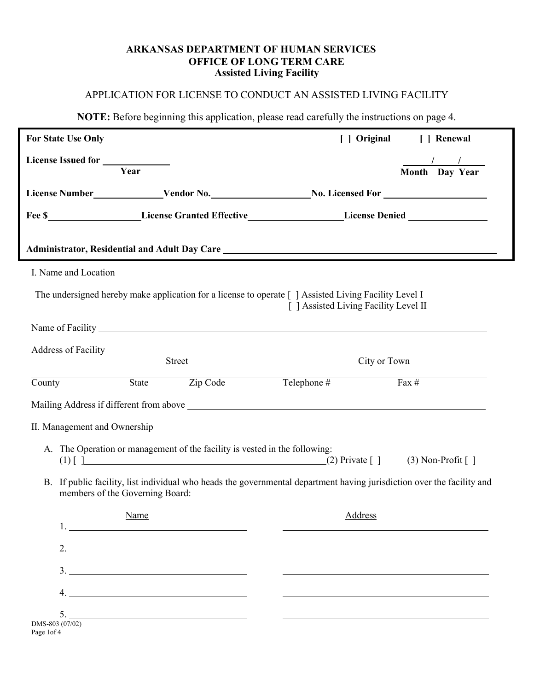### **ARKANSAS DEPARTMENT OF HUMAN SERVICES OFFICE OF LONG TERM CARE Assisted Living Facility**

# APPLICATION FOR LICENSE TO CONDUCT AN ASSISTED LIVING FACILITY

**NOTE:** Before beginning this application, please read carefully the instructions on page 4.

| For State Use Only            |                                         |                                                                                                                           |                                       |              | [ ] Original [ ] Renewal                                                                                               |
|-------------------------------|-----------------------------------------|---------------------------------------------------------------------------------------------------------------------------|---------------------------------------|--------------|------------------------------------------------------------------------------------------------------------------------|
|                               | Year                                    |                                                                                                                           |                                       |              | $\frac{1}{\sqrt{1-\frac{1}{2}}}$                                                                                       |
|                               |                                         |                                                                                                                           |                                       |              | Month Day Year                                                                                                         |
|                               |                                         |                                                                                                                           |                                       |              |                                                                                                                        |
|                               |                                         |                                                                                                                           |                                       |              | Fee \$____________________License Granted Effective__________________License Denied _________________                  |
|                               |                                         |                                                                                                                           |                                       |              |                                                                                                                        |
| I. Name and Location          |                                         |                                                                                                                           |                                       |              |                                                                                                                        |
|                               |                                         | The undersigned hereby make application for a license to operate [ ] Assisted Living Facility Level I                     | [ ] Assisted Living Facility Level II |              |                                                                                                                        |
|                               |                                         | Name of Facility Name of Facility                                                                                         |                                       |              |                                                                                                                        |
|                               |                                         |                                                                                                                           |                                       |              |                                                                                                                        |
|                               |                                         | Street                                                                                                                    |                                       | City or Town |                                                                                                                        |
| County                        |                                         | State Zip Code                                                                                                            | Telephone #                           |              | $\overline{Fax \#}$                                                                                                    |
|                               |                                         |                                                                                                                           |                                       |              |                                                                                                                        |
| II. Management and Ownership  |                                         |                                                                                                                           |                                       |              |                                                                                                                        |
|                               |                                         | A. The Operation or management of the facility is vested in the following:<br>(1) [] $(2)$ Private [] $(3)$ Non-Profit [] |                                       |              |                                                                                                                        |
|                               | members of the Governing Board:         |                                                                                                                           |                                       |              | B. If public facility, list individual who heads the governmental department having jurisdiction over the facility and |
|                               | Name<br>1. <u>_____________________</u> |                                                                                                                           |                                       | Address      |                                                                                                                        |
|                               | 2. $\qquad \qquad$                      |                                                                                                                           |                                       |              |                                                                                                                        |
|                               |                                         | $\frac{3}{2}$                                                                                                             |                                       |              |                                                                                                                        |
| 4.                            |                                         | <u> 1989 - Johann Stoff, amerikansk politiker (d. 1989)</u>                                                               |                                       |              |                                                                                                                        |
| 5.                            |                                         |                                                                                                                           |                                       |              |                                                                                                                        |
| DMS-803 (07/02)<br>Page 1of 4 |                                         |                                                                                                                           |                                       |              |                                                                                                                        |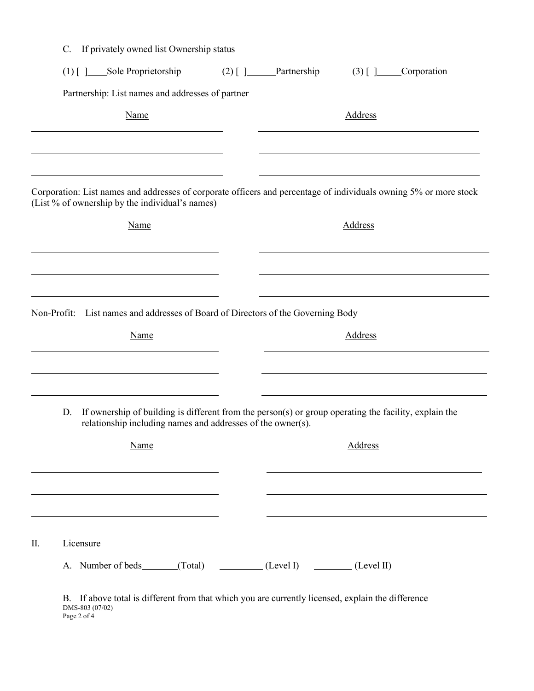|    | $\mathbf{C}$ . | If privately owned list Ownership status         |                                                                            |  |                                                                                                   |                |                                                                                                                   |
|----|----------------|--------------------------------------------------|----------------------------------------------------------------------------|--|---------------------------------------------------------------------------------------------------|----------------|-------------------------------------------------------------------------------------------------------------------|
|    |                | (1) [] _____Sole Proprietorship                  |                                                                            |  | $(2)$ [ ] ______Partnership                                                                       | $(3)$ $\Box$   | Corporation                                                                                                       |
|    |                | Partnership: List names and addresses of partner |                                                                            |  |                                                                                                   |                |                                                                                                                   |
|    |                |                                                  | Name                                                                       |  |                                                                                                   | <b>Address</b> |                                                                                                                   |
|    |                |                                                  |                                                                            |  |                                                                                                   |                |                                                                                                                   |
|    |                | (List % of ownership by the individual's names)  |                                                                            |  |                                                                                                   |                | Corporation: List names and addresses of corporate officers and percentage of individuals owning 5% or more stock |
|    |                |                                                  | <b>Name</b>                                                                |  |                                                                                                   | Address        |                                                                                                                   |
|    |                |                                                  |                                                                            |  |                                                                                                   |                |                                                                                                                   |
|    |                |                                                  |                                                                            |  |                                                                                                   |                |                                                                                                                   |
|    |                |                                                  |                                                                            |  | Non-Profit: List names and addresses of Board of Directors of the Governing Body                  |                |                                                                                                                   |
|    |                |                                                  | <b>Name</b>                                                                |  |                                                                                                   | <b>Address</b> |                                                                                                                   |
|    |                |                                                  | the control of the control of the control of the control of the control of |  |                                                                                                   |                |                                                                                                                   |
|    | D.             |                                                  |                                                                            |  | relationship including names and addresses of the owner(s).                                       |                | If ownership of building is different from the person(s) or group operating the facility, explain the             |
|    |                |                                                  | Name                                                                       |  |                                                                                                   | Address        |                                                                                                                   |
|    |                |                                                  |                                                                            |  |                                                                                                   |                |                                                                                                                   |
|    |                |                                                  |                                                                            |  |                                                                                                   |                |                                                                                                                   |
| Π. |                | Licensure                                        |                                                                            |  |                                                                                                   |                |                                                                                                                   |
|    |                |                                                  |                                                                            |  | A. Number of beds (Total) (Level I) (Level II) (Level II)                                         |                |                                                                                                                   |
|    |                | DMS-803 (07/02)                                  |                                                                            |  | B. If above total is different from that which you are currently licensed, explain the difference |                |                                                                                                                   |

Page 2 of 4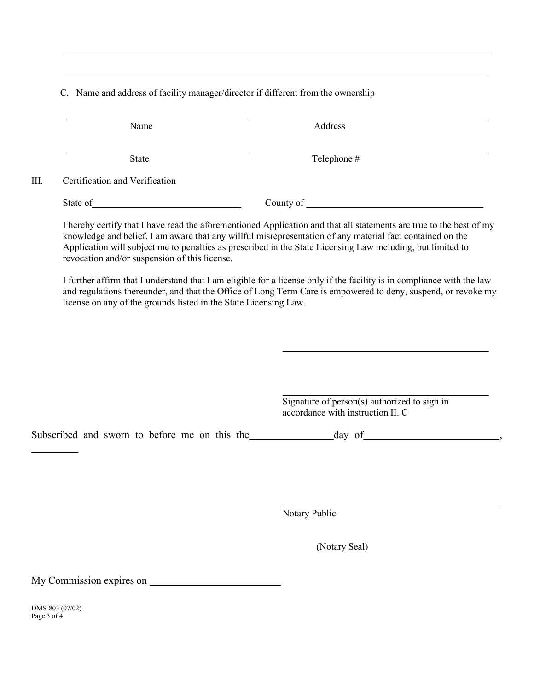C. Name and address of facility manager/director if different from the ownership

|    | Name                           | Address     |
|----|--------------------------------|-------------|
|    | State                          | Telephone # |
| Ш. | Certification and Verification |             |
|    | State of                       | County of   |

I hereby certify that I have read the aforementioned Application and that all statements are true to the best of my knowledge and belief. I am aware that any willful misrepresentation of any material fact contained on the Application will subject me to penalties as prescribed in the State Licensing Law including, but limited to revocation and/or suspension of this license.

I further affirm that I understand that I am eligible for a license only if the facility is in compliance with the law and regulations thereunder, and that the Office of Long Term Care is empowered to deny, suspend, or revoke my license on any of the grounds listed in the State Licensing Law.

> Signature of person(s) authorized to sign in accordance with instruction II. C

Subscribed and sworn to before me on this the day of haster day of haster and sworn to before me on this the

Notary Public

(Notary Seal)

My Commission expires on

DMS-803 (07/02) Page 3 of 4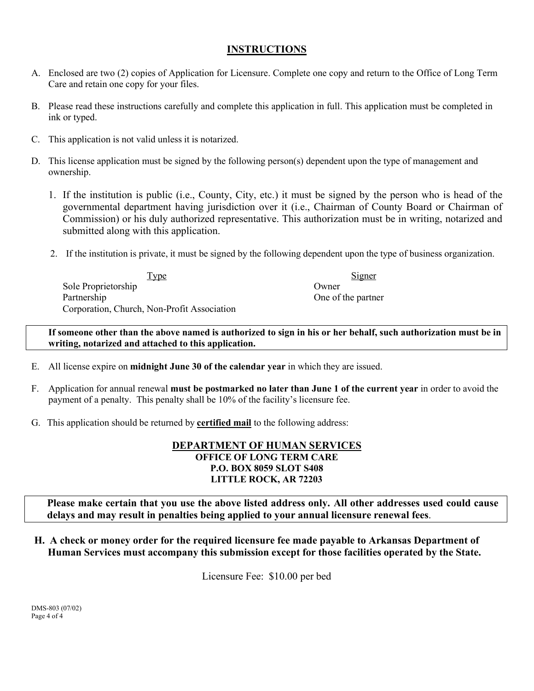# **INSTRUCTIONS**

- A. Enclosed are two (2) copies of Application for Licensure. Complete one copy and return to the Office of Long Term Care and retain one copy for your files.
- B. Please read these instructions carefully and complete this application in full. This application must be completed in ink or typed.
- C. This application is not valid unless it is notarized.
- D. This license application must be signed by the following person(s) dependent upon the type of management and ownership.
	- 1. If the institution is public (i.e., County, City, etc.) it must be signed by the person who is head of the governmental department having jurisdiction over it (i.e., Chairman of County Board or Chairman of Commission) or his duly authorized representative. This authorization must be in writing, notarized and submitted along with this application.
	- 2. If the institution is private, it must be signed by the following dependent upon the type of business organization.

| Type                                        | Signer            |
|---------------------------------------------|-------------------|
| Sole Proprietorship                         | Owner             |
| Partnership                                 | One of the partne |
| Corporation, Church, Non-Profit Association |                   |

One of the partner

**If someone other than the above named is authorized to sign in his or her behalf, such authorization must be in writing, notarized and attached to this application.**

- E. All license expire on **midnight June 30 of the calendar year** in which they are issued.
- F. Application for annual renewal **must be postmarked no later than June 1 of the current year** in order to avoid the payment of a penalty. This penalty shall be 10% of the facility's licensure fee.
- G. This application should be returned by **certified mail** to the following address:

### **DEPARTMENT OF HUMAN SERVICES OFFICE OF LONG TERM CARE P.O. BOX 8059 SLOT S408 LITTLE ROCK, AR 72203**

**Please make certain that you use the above listed address only. All other addresses used could cause delays and may result in penalties being applied to your annual licensure renewal fees**.

**H. A check or money order for the required licensure fee made payable to Arkansas Department of Human Services must accompany this submission except for those facilities operated by the State.**

Licensure Fee: \$10.00 per bed